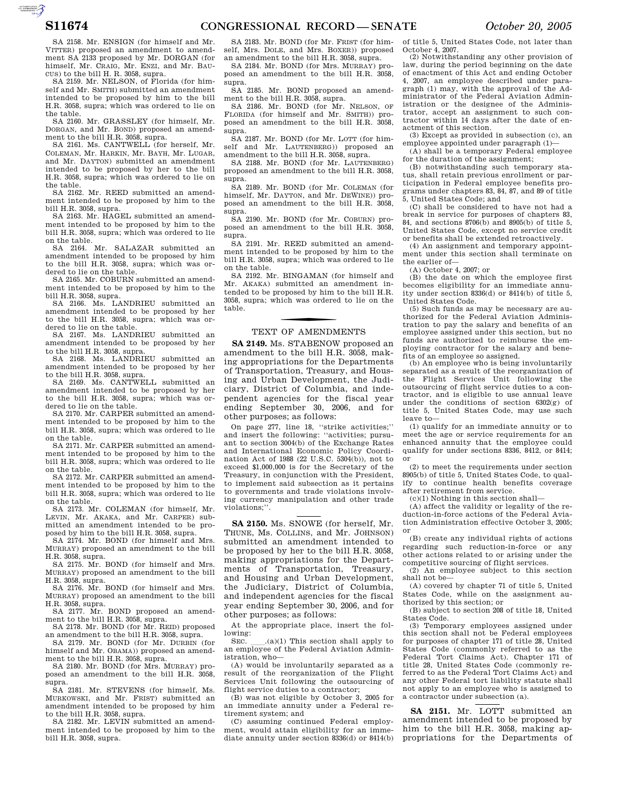$\sum_{\text{SUSMATION}}$ 

SA 2158. Mr. ENSIGN (for himself and Mr. VITTER) proposed an amendment to amendment SA 2133 proposed by Mr. DORGAN (for himself, Mr. CRAIG, Mr. ENZI, and Mr. BAU-CUS) to the bill H. R. 3058, supra.

SA 2159. Mr. NELSON, of Florida (for himself and Mr. SMITH) submitted an amendment intended to be proposed by him to the bill H.R. 3058, supra; which was ordered to lie on the table.

SA 2160. Mr. GRASSLEY (for himself, Mr. DORGAN, and Mr. BOND) proposed an amendment to the bill H.R. 3058, supra.

SA 2161. Ms. CANTWELL (for herself, Mr. COLEMAN, Mr. HARKIN, Mr. BAYH, Mr. LUGAR, and Mr. DAYTON) submitted an amendment intended to be proposed by her to the bill H.R. 3058, supra; which was ordered to lie on the table.

SA 2162. Mr. REED submitted an amendment intended to be proposed by him to the bill H.R. 3058, supra.

SA 2163. Mr. HAGEL submitted an amendment intended to be proposed by him to the bill H.R. 3058, supra; which was ordered to lie on the table.

SA 2164. Mr. SALAZAR submitted an amendment intended to be proposed by him to the bill H.R. 3058, supra; which was ordered to lie on the table.

SA 2165. Mr. COBURN submitted an amendment intended to be proposed by him to the bill H.R. 3058, supra.

SA 2166. Ms. LANDRIEU submitted an amendment intended to be proposed by her to the bill H.R. 3058, supra; which was ordered to lie on the table.

SA 2167. Ms. LANDRIEU submitted an amendment intended to be proposed by her to the bill H.R. 3058, supra.

SA 2168. Ms. LANDRIEU submitted an amendment intended to be proposed by her to the bill H.R. 3058, supra.

SA 2169. Ms. CANTWELL submitted an amendment intended to be proposed by her to the bill H.R. 3058, supra; which was ordered to lie on the table.

SA 2170. Mr. CARPER submitted an amendment intended to be proposed by him to the bill H.R. 3058, supra; which was ordered to lie on the table.

SA 2171. Mr. CARPER submitted an amendment intended to be proposed by him to the bill H.R. 3058, supra; which was ordered to lie on the table.

SA 2172. Mr. CARPER submitted an amendment intended to be proposed by him to the bill H.R. 3058, supra; which was ordered to lie on the table.

SA 2173. Mr. COLEMAN (for himself, Mr. LEVIN, Mr. AKAKA, and Mr. CARPER) submitted an amendment intended to be proposed by him to the bill H.R. 3058, supra.

SA 2174. Mr. BOND (for himself and Mrs. MURRAY) proposed an amendment to the bill H.R. 3058, supra.

SA 2175. Mr. BOND (for himself and Mrs. MURRAY) proposed an amendment to the bill H.R. 3058, supra.

SA 2176. Mr. BOND (for himself and Mrs. MURRAY) proposed an amendment to the bill

H.R. 3058, supra. SA 2177. Mr. BOND proposed an amendment to the bill H.R. 3058, supra.

SA 2178. Mr. BOND (for Mr. REID) proposed an amendment to the bill H.R. 3058, supra.

SA 2179. Mr. BOND (for Mr. DURBIN (for himself and Mr. OBAMA)) proposed an amendment to the bill H.R. 3058, supra.

SA 2180. Mr. BOND (for Mrs. MURRAY) proposed an amendment to the bill H.R. 3058, supra.

SA 2181. Mr. STEVENS (for himself, Ms. MURKOWSKI, and Mr. FRIST) submitted an amendment intended to be proposed by him to the bill H.R. 3058, supra.

SA 2182. Mr. LEVIN submitted an amendment intended to be proposed by him to the bill H.R. 3058, supra.

SA 2183. Mr. BOND (for Mr. FRIST (for himself, Mrs. DOLE, and Mrs. BOXER)) proposed an amendment to the bill H.R. 3058, supra.

SA 2184. Mr. BOND (for Mrs. MURRAY) proposed an amendment to the bill H.R. 3058, supra.

SA 2185. Mr. BOND proposed an amendment to the bill H.R. 3058, supra.

SA 2186. Mr. BOND (for Mr. NELSON, OF FLORIDA (for himself and Mr. SMITH)) proposed an amendment to the bill H.R. 3058, supra.

SA 2187. Mr. BOND (for Mr. LOTT (for himself and Mr. LAUTENBERG)) proposed an amendment to the bill H.R. 3058, supra.

SA 2188. Mr. BOND (for Mr. LAUTENBERG) proposed an amendment to the bill H.R. 3058, supra.

SA 2189. Mr. BOND (for Mr. COLEMAN (for himself, Mr. DAYTON, and Mr. DEWINE)) proposed an amendment to the bill H.R. 3058, supra.

SA 2190. Mr. BOND (for Mr. COBURN) proposed an amendment to the bill H.R. 3058, supra.

SA 2191. Mr. REED submitted an amendment intended to be proposed by him to the bill H.R. 3058, supra; which was ordered to lie on the table.

SA 2192. Mr. BINGAMAN (for himself and Mr. AKAKA) submitted an amendment intended to be proposed by him to the bill H.R. 3058, supra; which was ordered to lie on the table.

# TEXT OF AMENDMENTS

**SA 2149.** Ms. STABENOW proposed an amendment to the bill H.R. 3058, making appropriations for the Departments of Transportation, Treasury, and Housing and Urban Development, the Judiciary, District of Columbia, and independent agencies for the fiscal year ending September 30, 2006, and for other purposes; as follows:

On page 277, line 18, ''strike activities;'' and insert the following: ''activities; pursuant to section 3004(b) of the Exchange Rates and International Economic Policy Coordination Act of 1988 (22 U.S.C. 5304(b)), not to exceed \$1,000,000 is for the Secretary of the Treasury, in conjunction with the President, to implement said subsection as it pertains to governments and trade violations involving currency manipulation and other trade violations;''.

**SA 2150.** Ms. SNOWE (for herself, Mr. THUNE, Ms. COLLINS, and Mr. JOHNSON) submitted an amendment intended to be proposed by her to the bill H.R. 3058, making appropriations for the Departments of Transportation, Treasury, and Housing and Urban Development, the Judiciary, District of Columbia, and independent agencies for the fiscal year ending September 30, 2006, and for other purposes; as follows:

At the appropriate place, insert the following:

SEC.  $\_\_ (a)(1)$  This section shall apply to an employee of the Federal Aviation Administration, who—

(A) would be involuntarily separated as a result of the reorganization of the Flight Services Unit following the outsourcing of flight service duties to a contractor;

(B) was not eligible by October 3, 2005 for an immediate annuity under a Federal retirement system; and

(C) assuming continued Federal employment, would attain eligibility for an immediate annuity under section 8336(d) or 8414(b)

of title 5, United States Code, not later than October 4, 2007.

(2) Notwithstanding any other provision of law, during the period beginning on the date of enactment of this Act and ending October 4, 2007, an employee described under paragraph (1) may, with the approval of the Administrator of the Federal Aviation Administration or the designee of the Administrator, accept an assignment to such contractor within 14 days after the date of enactment of this section.

(3) Except as provided in subsection (c), an employee appointed under paragraph (1)—

(A) shall be a temporary Federal employee for the duration of the assignment;

(B) notwithstanding such temporary status, shall retain previous enrollment or participation in Federal employee benefits programs under chapters 83, 84, 87, and 89 of title 5, United States Code; and

(C) shall be considered to have not had a break in service for purposes of chapters 83, 84, and sections 8706(b) and 8905(b) of title 5, United States Code, except no service credit or benefits shall be extended retroactively.

(4) An assignment and temporary appointment under this section shall terminate on the earlier of—

(A) October 4, 2007; or

(B) the date on which the employee first becomes eligibility for an immediate annuity under section 8336(d) or 8414(b) of title 5, United States Code.

(5) Such funds as may be necessary are authorized for the Federal Aviation Administration to pay the salary and benefits of an employee assigned under this section, but no funds are authorized to reimburse the employing contractor for the salary and benefits of an employee so assigned.

(b) An employee who is being involuntarily separated as a result of the reorganization of the Flight Services Unit following the outsourcing of flight service duties to a contractor, and is eligible to use annual leave under the conditions of section 6302(g) of title 5, United States Code, may use such leave to—

(1) qualify for an immediate annuity or to meet the age or service requirements for an enhanced annuity that the employee could qualify for under sections 8336, 8412, or 8414; or

(2) to meet the requirements under section 8905(b) of title 5, United States Code, to qualify to continue health benefits coverage after retirement from service.

 $(c)(1)$  Nothing in this section shall-

(A) affect the validity or legality of the reduction-in-force actions of the Federal Aviation Administration effective October 3, 2005; or

(B) create any individual rights of actions regarding such reduction-in-force or any other actions related to or arising under the competitive sourcing of flight services.

(2) An employee subject to this section shall not be-

(A) covered by chapter 71 of title 5, United States Code, while on the assignment authorized by this section; or

(B) subject to section 208 of title 18, United States Code.

(3) Temporary employees assigned under this section shall not be Federal employees for purposes of chapter 171 of title 28, United States Code (commonly referred to as the Federal Tort Claims Act). Chapter 171 of title 28, United States Code (commonly referred to as the Federal Tort Claims Act) and any other Federal tort liability statute shall not apply to an employee who is assigned to a contractor under subsection (a).

**SA 2151.** Mr. LOTT submitted an amendment intended to be proposed by him to the bill H.R. 3058, making appropriations for the Departments of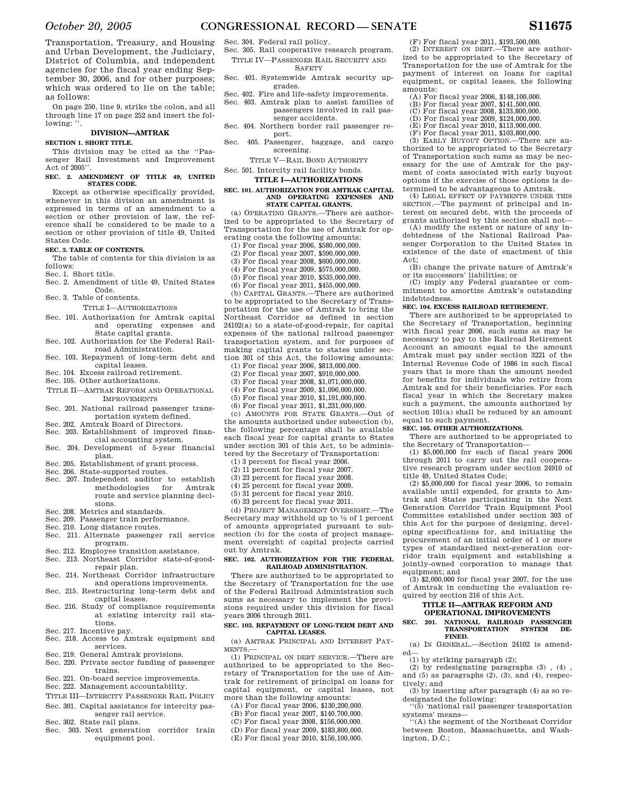Transportation, Treasury, and Housing and Urban Development, the Judiciary, District of Columbia, and independent agencies for the fiscal year ending September 30, 2006, and for other purposes; which was ordered to lie on the table; as follows:

On page 250, line 9, strike the colon, and all through line 17 on page 252 and insert the following:

## **DIVISION—AMTRAK**

## **SECTION 1. SHORT TITLE.**

This division may be cited as the ''Passenger Rail Investment and Improvement Act of 2005''.

## **SEC. 2. AMENDMENT OF TITLE 49, UNITED STATES CODE.**

Except as otherwise specifically provided, whenever in this division an amendment is expressed in terms of an amendment to a section or other provision of law, the reference shall be considered to be made to a section or other provision of title 49, United States Code.

## **SEC. 3. TABLE OF CONTENTS.**

The table of contents for this division is as follows:

Sec. 1. Short title.

- Sec. 2. Amendment of title 49, United States Code.
- Sec. 3. Table of contents.
	- TITLE I—AUTHORIZATIONS
- Sec. 101. Authorization for Amtrak capital and operating expenses State capital grants.
- Sec. 102. Authorization for the Federal Railroad Administration.
- Sec. 103. Repayment of long-term debt and capital leases.
- Sec. 104. Excess railroad retirement.
- Sec. 105. Other authorizations.
- TITLE II—AMTRAK REFORM AND OPERATIONAL IMPROVEMENTS
- Sec. 201. National railroad passenger trans-
- portation system defined. Sec. 202. Amtrak Board of Directors.
- Sec. 203. Establishment of improved finan-
- cial accounting system. Sec. 204. Development of 5-year financial
- plan. Sec. 205. Establishment of grant process.
- Sec. 206. State-supported routes.
- Sec. 207. Independent auditor to establish methodologies for Amtrak route and service planning decisions.
- Sec. 208. Metrics and standards.
- Sec. 209. Passenger train performance.
- Sec. 210. Long distance routes.
- Sec. 211. Alternate passenger rail service program.
- Sec. 212. Employee transition assistance.
- Sec. 213. Northeast Corridor state-of-goodrepair plan.
- Sec. 214. Northeast Corridor infrastructure
- and operations improvements. Sec. 215. Restructuring long-term debt and capital leases.
- Sec. 216. Study of compliance requirements at existing intercity rail sta
	- tions.
- Sec. 217. Incentive pay.
- Sec. 218. Access to Amtrak equipment and services.
- Sec. 219. General Amtrak provisions.
- Sec. 220. Private sector funding of passenger trains.
- Sec. 221. On-board service improvements.
- Sec. 222. Management accountability.
- TITLE III—INTERCITY PASSENGER RAIL POLICY Sec. 301. Capital assistance for intercity pas-
- senger rail service. Sec. 302. State rail plans.
- Sec. 303. Next generation corridor train equipment pool.
- Sec. 304. Federal rail policy.
- Sec. 305. Rail cooperative research program. TITLE IV—PASSENGER RAIL SECURITY AND **SAFETY**
- Sec. 401. Systemwide Amtrak security up-
- grades. Sec. 402. Fire and life-safety improvements.
- Sec. 403. Amtrak plan to assist families of passengers involved in rail pas-
- senger accidents. Sec. 404. Northern border rail passenger re
	- port.
- Sec. 405. Passenger, baggage, and cargo screening.
	- TITLE V—RAIL BOND AUTHORITY

## Sec. 501. Intercity rail facility bonds. **TITLE I—AUTHORIZATIONS**

## **SEC. 101. AUTHORIZATION FOR AMTRAK CAPITAL AND OPERATING EXPENSES AND STATE CAPITAL GRANTS.**

(a) OPERATING GRANTS.—There are authorized to be appropriated to the Secretary of Transportation for the use of Amtrak for operating costs the following amounts:

- (1) For fiscal year 2006, \$580,000,000.
- (2) For fiscal year 2007, \$590,000,000.
- (3) For fiscal year 2008, \$600,000,000.
- (4) For fiscal year 2009, \$575,000,000.
- (5) For fiscal year 2010, \$535,000,000.
- (6) For fiscal year 2011, \$455,000,000.

(b) CAPITAL GRANTS.—There are authorized to be appropriated to the Secretary of Transportation for the use of Amtrak to bring the Northeast Corridor as defined in section 24102(a) to a state-of-good-repair, for capital expenses of the national railroad passenger transportation system, and for purposes of making capital grants to states under section 301 of this Act, the following amounts:

- (1) For fiscal year 2006, \$813,000,000.
- (2) For fiscal year 2007, \$910,000,000.
- (3) For fiscal year 2008, \$1,071,000,000.
- (4) For fiscal year 2009, \$1,096,000,000.
- (5) For fiscal year 2010, \$1,191,000,000. (6) For fiscal year 2011, \$1,231,000,000.
- 

(c) AMOUNTS FOR STATE GRANTS.—Out of the amounts authorized under subsection (b), the following percentage shall be available each fiscal year for capital grants to States under section 301 of this Act, to be administered by the Secretary of Transportation:

- (1) 3 percent for fiscal year 2006.
- (2) 11 percent for fiscal year 2007.
- (3) 23 percent for fiscal year 2008.
- (4) 25 percent for fiscal year 2009.
- (5) 31 percent for fiscal year 2010.
- (6) 33 percent for fiscal year 2011.

(d) PROJECT MANAGEMENT OVERSIGHT. The Secretary may withhold up to  $\frac{1}{2}$  of 1 percent of amounts appropriated pursuant to subsection (b) for the costs of project management oversight of capital projects carried out by Amtrak.

## **SEC. 102. AUTHORIZATION FOR THE FEDERAL RAILROAD ADMINISTRATION.**

There are authorized to be appropriated to the Secretary of Transportation for the use of the Federal Railroad Administration such sums as necessary to implement the provisions required under this division for fiscal years 2006 through 2011.

## **SEC. 103. REPAYMENT OF LONG-TERM DEBT AND CAPITAL LEASES.**

(a) AMTRAK PRINCIPAL AND INTEREST PAY-MENTS.—

(1) PRINCIPAL ON DEBT SERVICE.—There are authorized to be appropriated to the Secretary of Transportation for the use of Amtrak for retirement of principal on loans for capital equipment, or capital leases, not more than the following amounts:

- (A) For fiscal year 2006, \$130,200,000.
- (B) For fiscal year 2007, \$140,700,000.
- (C) For fiscal year 2008, \$156,000,000. (D) For fiscal year 2009, \$183,800,000.
- (E) For fiscal year 2010, \$156,100,000.

(F) For fiscal year 2011, \$193,500,000.

(2) INTEREST ON DEBT.—There are authorized to be appropriated to the Secretary of Transportation for the use of Amtrak for the payment of interest on loans for capital equipment, or capital leases, the following amounts:

- (A) For fiscal year 2006, \$148,100,000.
- (B) For fiscal year 2007, \$141,500,000. (C) For fiscal year 2008, \$133,800,000.
- (D) For fiscal year 2009, \$124,000,000.
- (E) For fiscal year 2010, \$113,900,000.
- (F) For fiscal year 2011, \$103,800,000.

(3) EARLY BUYOUT OPTION.—There are authorized to be appropriated to the Secretary of Transportation such sums as may be necessary for the use of Amtrak for the payment of costs associated with early buyout options if the exercise of those options is determined to be advantageous to Amtrak.

(4) LEGAL EFFECT OF PAYMENTS UNDER THIS SECTION.—The payment of principal and interest on secured debt, with the proceeds of grants authorized by this section shall not—

(A) modify the extent or nature of any indebtedness of the National Railroad Passenger Corporation to the United States in existence of the date of enactment of this Act; (B) change the private nature of Amtrak's

(C) imply any Federal guarantee or commitment to amortize Amtrak's outstanding

There are authorized to be appropriated to

(1) \$5,000,000 for each of fiscal years 2006 through 2011 to carry out the rail cooperative research program under section 24910 of

(2) \$5,000,000 for fiscal year 2006, to remain available until expended, for grants to Amtrak and States participating in the Next Generation Corridor Train Equipment Pool Committee established under section 303 of this Act for the purpose of designing, developing specifications for, and initiating the procurement of an initial order of 1 or more types of standardized next-generation corridor train equipment and establishing a jointly-owned corporation to manage that

(3) \$2,000,000 for fiscal year 2007, for the use of Amtrak in conducting the evaluation re-

**TITLE II—AMTRAK REFORM AND OPERATIONAL IMPROVEMENTS SEC. 201. NATIONAL RAILROAD PASSENGER TRANSPORTATION** 

(a) IN GENERAL.—Section 24102 is amend-

(2) by redesignating paragraphs (3) , (4) , and (5) as paragraphs (2), (3), and (4), respec-

(3) by inserting after paragraph (4) as so re-

''(5) 'national rail passenger transportation

''(A) the segment of the Northeast Corridor between Boston, Massachusetts, and Wash-

**SEC. 104. EXCESS RAILROAD RETIREMENT.**  There are authorized to be appropriated to the Secretary of Transportation, beginning with fiscal year 2006, such sums as may be necessary to pay to the Railroad Retirement Account an amount equal to the amount Amtrak must pay under section 3221 of the Internal Revenue Code of 1986 in such fiscal years that is more than the amount needed for benefits for individuals who retire from Amtrak and for their beneficiaries. For each fiscal year in which the Secretary makes such a payment, the amounts authorized by section 101(a) shall be reduced by an amount

or its successors' liabilities; or

indebtedness.

equal to such payment. **SEC. 105. OTHER AUTHORIZATIONS.** 

the Secretary of Transportation—

title 49, United States Code;

quired by section 216 of this Act.

**FINED.** 

designated the following:

(1) by striking paragraph (2);

equipment; and

ed—

tively; and

systems' means—

ington, D.C.;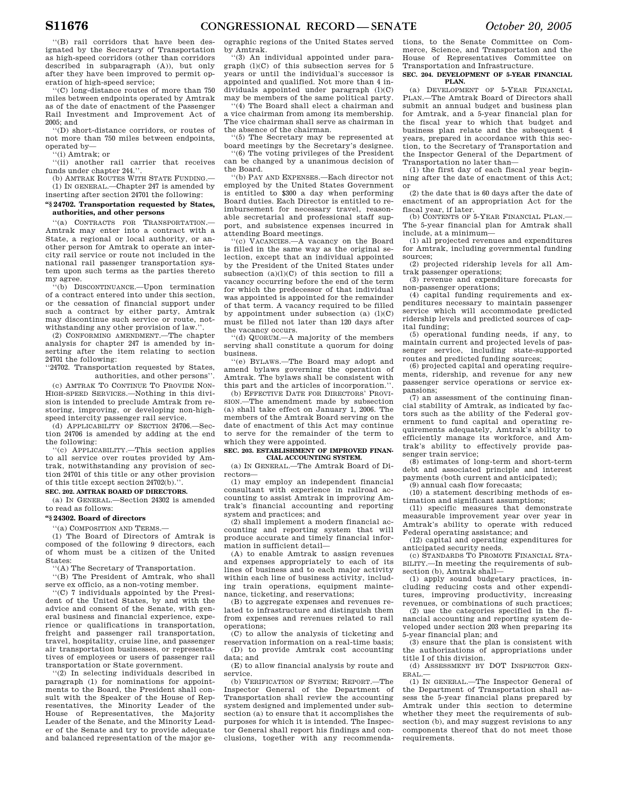''(B) rail corridors that have been designated by the Secretary of Transportation as high-speed corridors (other than corridors described in subparagraph (A)), but only after they have been improved to permit operation of high-speed service;

''(C) long-distance routes of more than 750 miles between endpoints operated by Amtrak as of the date of enactment of the Passenger Rail Investment and Improvement Act of 2005; and

''(D) short-distance corridors, or routes of not more than 750 miles between endpoints, operated by—

''(i) Amtrak; or

''(ii) another rail carrier that receives funds under chapter 244.''. (b) AMTRAK ROUTES WITH STATE FUNDING.

(1) IN GENERAL.—Chapter 247 is amended by inserting after section 24701 the following:

## **''§ 24702. Transportation requested by States, authorities, and other persons**

''(a) CONTRACTS FOR TRANSPORTATION.— Amtrak may enter into a contract with a State, a regional or local authority, or another person for Amtrak to operate an intercity rail service or route not included in the national rail passenger transportation system upon such terms as the parties thereto my agree.

''(b) DISCONTINUANCE.—Upon termination of a contract entered into under this section, or the cessation of financial support under such a contract by either party, Amtrak may discontinue such service or route, notwithstanding any other provision of law.''.

(2) CONFORMING AMENDMENT.—The chapter analysis for chapter 247 is amended by inserting after the item relating to section 24701 the following:

''24702. Transportation requested by States, authorities, and other persons''.

(c) AMTRAK TO CONTINUE TO PROVIDE NON-HIGH-SPEED SERVICES.—Nothing in this division is intended to preclude Amtrak from restoring, improving, or developing non-highspeed intercity passenger rail service.

(d) APPLICABILITY OF SECTION 24706.—Section 24706 is amended by adding at the end the following:

''(c) APPLICABILITY.—This section applies to all service over routes provided by Amtrak, notwithstanding any provision of section 24701 of this title or any other provision of this title except section 24702(b).'

## **SEC. 202. AMTRAK BOARD OF DIRECTORS.**

(a) IN GENERAL.—Section 24302 is amended to read as follows:

## **''§ 24302. Board of directors**

'(a) COMPOSITION AND TERMS.-

(1) The Board of Directors of Amtrak is composed of the following 9 directors, each of whom must be a citizen of the United States:

''(A) The Secretary of Transportation.

''(B) The President of Amtrak, who shall serve ex officio, as a non-voting member.

''(C) 7 individuals appointed by the President of the United States, by and with the advice and consent of the Senate, with general business and financial experience, experience or qualifications in transportation, freight and passenger rail transportation, travel, hospitality, cruise line, and passenger air transportation businesses, or representatives of employees or users of passenger rail transportation or State government.

''(2) In selecting individuals described in paragraph (1) for nominations for appointments to the Board, the President shall consult with the Speaker of the House of Representatives, the Minority Leader of the House of Representatives, the Majority Leader of the Senate, and the Minority Leader of the Senate and try to provide adequate and balanced representation of the major geographic regions of the United States served by Amtrak. ''(3) An individual appointed under para-

graph (l)(C) of this subsection serves for 5 years or until the individual's successor is appointed and qualified. Not more than 4 individuals appointed under paragraph (l)(C) may be members of the same political party.

(4) The Board shall elect a chairman and a vice chairman from among its membership. The vice chairman shall serve as chairman in the absence of the chairman.

''(5) The Secretary may be represented at board meetings by the Secretary's designee.

''(6) The voting privileges of the President can be changed by a unanimous decision of the Board.

''(b) PAY AND EXPENSES.—Each director not employed by the United States Government is entitled to \$300 a day when performing Board duties. Each Director is entitled to reimbursement for necessary travel, reasonable secretarial and professional staff support, and subsistence expenses incurred in attending Board meetings.

''(c) VACANCIES.—A vacancy on the Board is filled in the same way as the original selection, except that an individual appointed by the President of the United States under subsection  $(a)(l)(C)$  of this section to fill a vacancy occurring before the end of the term for which the predecessor of that individual was appointed is appointed for the remainder of that term. A vacancy required to be filled by appointment under subsection (a)  $(l)(C)$ must be filled not later than 120 days after the vacancy occurs.

''(d) QUORUM.—A majority of the members serving shall constitute a quorum for doing business.

''(e) BYLAWS.—The Board may adopt and amend bylaws governing the operation of Amtrak. The bylaws shall be consistent with this part and the articles of incorporation.''.

(b) EFFECTIVE DATE FOR DIRECTORS' PROVI-SION.—The amendment made by subsection (a) shall take effect on January 1, 2006. The members of the Amtrak Board serving on the date of enactment of this Act may continue to serve for the remainder of the term to which they were appointed.

#### **SEC. 203. ESTABLISHMENT OF IMPROVED FINAN-CIAL ACCOUNTING SYSTEM.**

(a) IN GENERAL.—The Amtrak Board of Directors—

(1) may employ an independent financial consultant with experience in railroad accounting to assist Amtrak in improving Amtrak's financial accounting and reporting system and practices; and

(2) shall implement a modern financial accounting and reporting system that will produce accurate and timely financial information in sufficient detail—

(A) to enable Amtrak to assign revenues and expenses appropriately to each of its lines of business and to each major activity within each line of business activity, including train operations, equipment maintenance, ticketing, and reservations;

(B) to aggregate expenses and revenues related to infrastructure and distinguish them from expenses and revenues related to rail operations;

(C) to allow the analysis of ticketing and reservation information on a real-time basis; (D) to provide Amtrak cost accounting data; and

(E) to allow financial analysis by route and service.

(b) VERIFICATION OF SYSTEM; REPORT.—The Inspector General of the Department of Transportation shall review the accounting system designed and implemented under subsection (a) to ensure that it accomplishes the purposes for which it is intended. The Inspector General shall report his findings and conclusions, together with any recommendations, to the Senate Committee on Commerce, Science, and Transportation and the House of Representatives Committee on Transportation and Infrastructure.

#### **SEC. 204. DEVELOPMENT OF 5-YEAR FINANCIAL PLAN.**

(a) DEVELOPMENT OF 5-YEAR FINANCIAL PLAN.—The Amtrak Board of Directors shall submit an annual budget and business plan for Amtrak, and a 5-year financial plan for the fiscal year to which that budget and business plan relate and the subsequent 4 years, prepared in accordance with this section, to the Secretary of Transportation and the Inspector General of the Department of Transportation no later than—

(1) the first day of each fiscal year beginning after the date of enactment of this Act; or

(2) the date that is 60 days after the date of enactment of an appropriation Act for the fiscal year, if later.

(b) CONTENTS OF 5-YEAR FINANCIAL PLAN.— The 5-year financial plan for Amtrak shall include, at a minimum—

(1) all projected revenues and expenditures for Amtrak, including governmental funding sources;

(2) projected ridership levels for all Amtrak passenger operations;

(3) revenue and expenditure forecasts for non-passenger operations;

(4) capital funding requirements and expenditures necessary to maintain passenger service which will accommodate predicted ridership levels and predicted sources of capital funding;

(5) operational funding needs, if any, to maintain current and projected levels of passenger service, including state-supported routes and predicted funding sources;

(6) projected capital and operating requirements, ridership, and revenue for any new passenger service operations or service expansions;

(7) an assessment of the continuing financial stability of Amtrak, as indicated by factors such as the ability of the Federal government to fund capital and operating requirements adequately, Amtrak's ability to efficiently manage its workforce, and Amtrak's ability to effectively provide passenger train service;

(8) estimates of long-term and short-term debt and associated principle and interest payments (both current and anticipated);

(9) annual cash flow forecasts;

(10) a statement describing methods of estimation and significant assumptions;

(11) specific measures that demonstrate measurable improvement year over year in Amtrak's ability to operate with reduced Federal operating assistance; and

(12) capital and operating expenditures for anticipated security needs.

(c) STANDARDS TO PROMOTE FINANCIAL STA-BILITY.—In meeting the requirements of subsection (b), Amtrak shall—

(1) apply sound budgetary practices, including reducing costs and other expenditures, improving productivity, increasing

revenues, or combinations of such practices; (2) use the categories specified in the financial accounting and reporting system developed under section 203 when preparing its 5-year financial plan; and

(3) ensure that the plan is consistent with the authorizations of appropriations under title I of this division.

(d) ASSESSMENT BY DOT INSPECTOR GEN-ERAL.—

(1) IN GENERAL.—The Inspector General of the Department of Transportation shall assess the 5-year financial plans prepared by Amtrak under this section to determine whether they meet the requirements of subsection (b), and may suggest revisions to any components thereof that do not meet those requirements.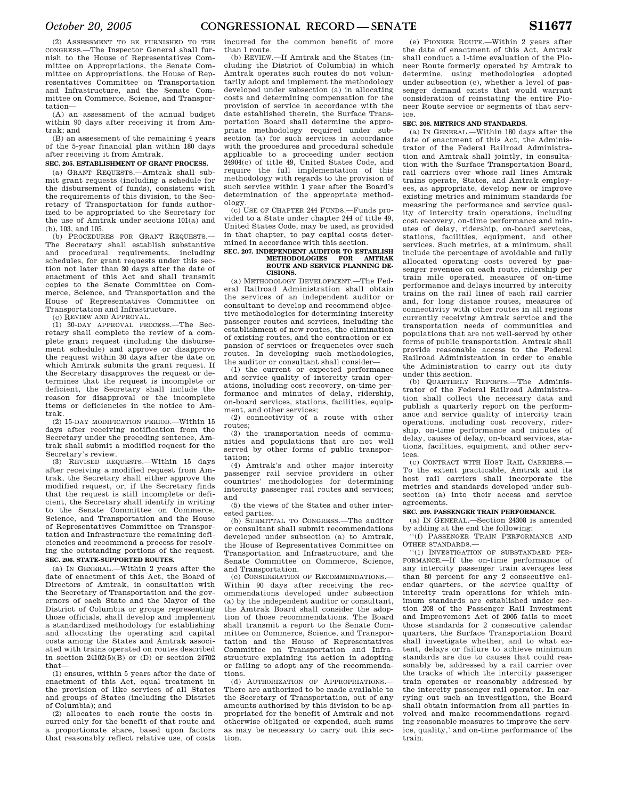(2) ASSESSMENT TO BE FURNISHED TO THE CONGRESS.—The Inspector General shall furnish to the House of Representatives Committee on Appropriations, the Senate Committee on Appropriations, the House of Representatives Committee on Transportation and Infrastructure, and the Senate Committee on Commerce, Science, and Transportation—

(A) an assessment of the annual budget within 90 days after receiving it from Amtrak; and

(B) an assessment of the remaining 4 years of the 5-year financial plan within 180 days after receiving it from Amtrak.

## **SEC. 205. ESTABLISHMENT OF GRANT PROCESS.**

(a) GRANT REQUESTS.—Amtrak shall submit grant requests (including a schedule for the disbursement of funds), consistent with the requirements of this division, to the Secretary of Transportation for funds authorized to be appropriated to the Secretary for the use of Amtrak under sections 101(a) and (b), 103, and 105.

(b) PROCEDURES FOR GRANT REQUESTS.— The Secretary shall establish substantive and procedural requirements, including schedules, for grant requests under this section not later than 30 days after the date of enactment of this Act and shall transmit copies to the Senate Committee on Commerce, Science, and Transportation and the House of Representatives Committee on Transportation and Infrastructure.

(c) REVIEW AND APPROVAL.

(1) 30-DAY APPROVAL PROCESS.—The Secretary shall complete the review of a complete grant request (including the disbursement schedule) and approve or disapprove the request within 30 days after the date on which Amtrak submits the grant request. If the Secretary disapproves the request or determines that the request is incomplete or deficient, the Secretary shall include the reason for disapproval or the incomplete items or deficiencies in the notice to Amtrak.

(2) 15-DAY MODIFICATION PERIOD.—Within 15 days after receiving notification from the Secretary under the preceding sentence, Amtrak shall submit a modified request for the Secretary's review.

(3) REVISED REQUESTS.—Within 15 days after receiving a modified request from Amtrak, the Secretary shall either approve the modified request, or, if the Secretary finds that the request is still incomplete or deficient, the Secretary shall identify in writing to the Senate Committee on Commerce, Science, and Transportation and the House of Representatives Committee on Transportation and Infrastructure the remaining deficiencies and recommend a process for resolving the outstanding portions of the request. **SEC. 206. STATE-SUPPORTED ROUTES.** 

(a) IN GENERAL.—Within 2 years after the date of enactment of this Act, the Board of Directors of Amtrak, in consultation with the Secretary of Transportation and the governors of each State and the Mayor of the District of Columbia or groups representing those officials, shall develop and implement a standardized methodology for establishing and allocating the operating and capital costs among the States and Amtrak associated with trains operated on routes described in section  $24102(5)(B)$  or (D) or section  $24702$ that—

(1) ensures, within 5 years after the date of enactment of this Act, equal treatment in the provision of like services of all States and groups of States (including the District of Columbia); and

(2) allocates to each route the costs incurred only for the benefit of that route and a proportionate share, based upon factors that reasonably reflect relative use, of costs incurred for the common benefit of more than 1 route.

(b) REVIEW.—If Amtrak and the States (including the District of Columbia) in which Amtrak operates such routes do not voluntarily adopt and implement the methodology developed under subsection (a) in allocating costs and determining compensation for the provision of service in accordance with the date established therein, the Surface Transportation Board shall determine the appropriate methodology required under subsection (a) for such services in accordance with the procedures and procedural schedule applicable to a proceeding under section 24904(c) of title 49, United States Code, and require the full implementation of this methodology with regards to the provision of such service within 1 year after the Board's determination of the appropriate methodology.

(c) USE OF CHAPTER 244 FUNDS.—Funds provided to a State under chapter 244 of title 49, United States Code, may be used, as provided in that chapter, to pay capital costs determined in accordance with this section.

#### **SEC. 207. INDEPENDENT AUDITOR TO ESTABLISH METHODOLOGIES FOR ROUTE AND SERVICE PLANNING DE-CISIONS.**

(a) METHODOLOGY DEVELOPMENT.—The Federal Railroad Administration shall obtain the services of an independent auditor or consultant to develop and recommend objective methodologies for determining intercity passenger routes and services, including the establishment of new routes, the elimination of existing routes, and the contraction or expansion of services or frequencies over such routes. In developing such methodologies, the auditor or consultant shall consider—

(1) the current or expected performance and service quality of intercity train operations, including cost recovery, on-time performance and minutes of delay, ridership, on-board services, stations, facilities, equipment, and other services;

(2) connectivity of a route with other routes;

(3) the transportation needs of communities and populations that are not well served by other forms of public transportation;

(4) Amtrak's and other major intercity passenger rail service providers in other countries' methodologies for determining intercity passenger rail routes and services; and

(5) the views of the States and other interested parties.

(b) SUBMITTAL TO CONGRESS.—The auditor or consultant shall submit recommendations developed under subsection (a) to Amtrak, the House of Representatives Committee on Transportation and Infrastructure, and the Senate Committee on Commerce, Science, and Transportation.

(c) CONSIDERATION OF RECOMMENDATIONS.— Within 90 days after receiving the recommendations developed under subsection (a) by the independent auditor or consultant, the Amtrak Board shall consider the adoption of those recommendations. The Board shall transmit a report to the Senate Committee on Commerce, Science, and Transportation and the House of Representatives Committee on Transportation and Infrastructure explaining its action in adopting or failing to adopt any of the recommendations.

(d) AUTHORIZATION OF APPROPRIATIONS. There are authorized to be made available to the Secretary of Transportation, out of any amounts authorized by this division to be appropriated for the benefit of Amtrak and not otherwise obligated or expended, such sums as may be necessary to carry out this section.

(e) PIONEER ROUTE.—Within 2 years after the date of enactment of this Act, Amtrak shall conduct a 1-time evaluation of the Pioneer Route formerly operated by Amtrak to determine, using methodologies adopted under subsection (c), whether a level of passenger demand exists that would warrant consideration of reinstating the entire Pioneer Route service or segments of that service.

#### **SEC. 208. METRICS AND STANDARDS.**

(a) IN GENERAL.—Within 180 days after the date of enactment of this Act, the Administrator of the Federal Railroad Administration and Amtrak shall jointly, in consultation with the Surface Transportation Board, rail carriers over whose rail lines Amtrak trains operate, States, and Amtrak employees, as appropriate, develop new or improve existing metrics and minimum standards for measring the performance and service quality of intercity train operations, including cost recovery, on-time performance and minutes of delay, ridership, on-board services, stations, facilities, equipment, and other services. Such metrics, at a minimum, shall include the percentage of avoidable and fully allocated operating costs covered by passenger revenues on each route, ridership per train mile operated, measures of on-time performance and delays incurred by intercity trains on the rail lines of each rail carrier and, for long distance routes, measures of connectivity with other routes in all regions currently receiving Amtrak service and the transportation needs of communities and populations that are not well-served by other forms of public transportation. Amtrak shall provide reasonable access to the Federal Railroad Administration in order to enable the Administration to carry out its duty

under this section. (b) QUARTERLY REPORTS.—The Administrator of the Federal Railroad Administration shall collect the necessary data and publish a quarterly report on the performance and service quality of intercity train operations, including cost recovery, ridership, on-time performance and minutes of delay, causes of delay, on-board services, stations, facilities, equipment, and other services.

(c) CONTRACT WITH HOST RAIL CARRIERS.— To the extent practicable, Amtrak and its host rail carriers shall incorporate the metrics and standards developed under subsection (a) into their access and service agreements.

### **SEC. 209. PASSENGER TRAIN PERFORMANCE.**

(a) IN GENERAL.—Section 24308 is amended by adding at the end the following:

''(f) PASSENGER TRAIN PERFORMANCE AND OTHER STANDARDS.—

''(1) INVESTIGATION OF SUBSTANDARD PER-FORMANCE.—If the on-time performance of any intercity passenger train averages less than 80 percent for any 2 consecutive calendar quarters, or the service quality of intercity train operations for which minimum standards are established under section 208 of the Passenger Rail Investment and Improvement Act of 2005 fails to meet those standards for 2 consecutive calendar quarters, the Surface Transportation Board shall investigate whether, and to what extent, delays or failure to achieve minimum standards are due to causes that could reasonably be, addressed by a rail carrier over the tracks of which the intercity passenger train operates or reasonably addressed by the intercity passenger rail operator. In carrying out such an investigation, the Board shall obtain information from all parties involved and make recommendations regarding reasonable measures to improve the service, quality,' and on-time performance of the train.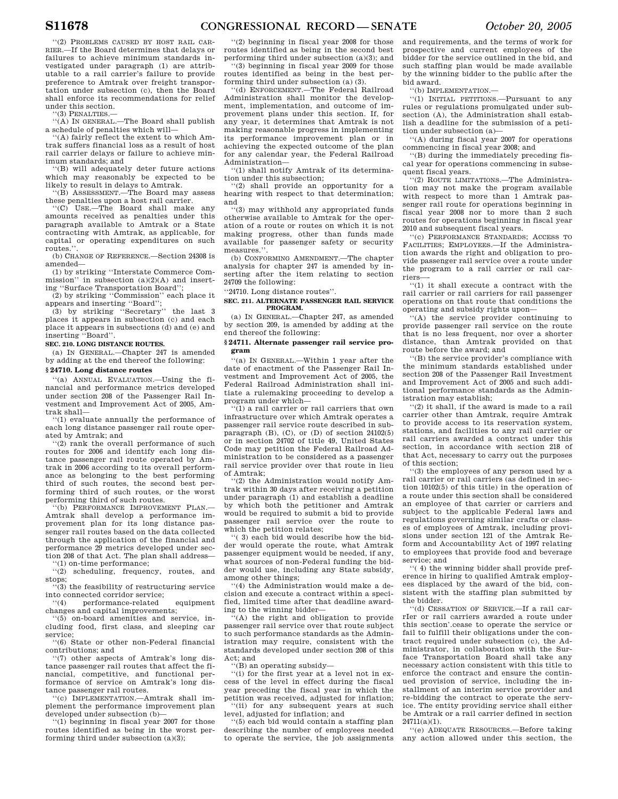''(2) PROBLEMS CAUSED BY HOST RAIL CAR-RIER.—If the Board determines that delays or failures to achieve minimum standards investigated under paragraph (1) are attributable to a rail carrier's failure to provide preference to Amtrak over freight transportation under subsection (c), then the Board shall enforce its recommendations for relief under this section.

''(3) PENALTIES.—

''(A) IN GENERAL.—The Board shall publish a schedule of penalties which will—

''(A) fairly reflect the extent to which Amtrak suffers financial loss as a result of host rail carrier delays or failure to achieve minimum standards; and

''(B) will adequately deter future actions which may reasonably be expected to be likely to result in delays to Amtrak.

''(B) ASSESSMENT.—The Board may assess these penalties upon a host rail carrier.

''(C) USE.—The Board shall make any amounts received as penalties under this paragraph available to Amtrak or a State contracting with Amtrak, as applicable, for capital or operating expenditures on such routes."

(b) CHANGE OF REFERENCE.—Section 24308 is amended—

(1) by striking ''Interstate Commerce Commission'' in subsection (a)(2)(A) and inserting ''Surface Transportation Board'';

(2) by striking ''Commission'' each place it appears and inserting ''Board'';

(3) by striking ''Secretary'' the last 3 places it appears in subsection (c) and each place it appears in subsections (d) and (e) and inserting ''Board''.

## **SEC. 210. LONG DISTANCE ROUTES.**

(a) IN GENERAL.—Chapter 247 is amended by adding at the end thereof the following:

## **§ 24710. Long distance routes**

''(a) ANNUAL EVALUATION.—Using the financial and performance metrics developed under section 208 of the Passenger Rail Investment and Improvement Act of 2005, Amtrak shall—

''(1) evaluate annually the performance of each long distance passenger rail route operated by Amtrak; and

''(2) rank the overall performance of such routes for 2006 and identify each long distance passenger rail route operated by Amtrak in 2006 according to its overall performance as belonging to the best performing third of such routes, the second best performing third of such routes, or the worst performing third of such routes.

''(b) PERFORMANCE IMPROVEMENT PLAN.— Amtrak shall develop a performance improvement plan for its long distance passenger rail routes based on the data collected through the application of the financial and performance 29 metrics developed under section 208 of that Act. The plan shall address—

''(1) on-time performance; ''(2) scheduling, frequency, routes, and

stops;  $\cdot$ (3) the feasibility of restructuring service

into connected corridor service;

''(4) performance-related equipment changes and capital improvements;

''(5) on-board amenities and service, including food, first class, and sleeping car service;

''(6) State or other non-Federal financial contributions; and

''(7) other aspects of Amtrak's long distance passenger rail routes that affect the financial, competitive, and functional performance of service on Amtrak's long distance passenger rail routes.

''(c) IMPLEMENTATION.—Amtrak shall implement the performance improvement plan developed under subsection (b)—

''(1) beginning in fiscal year 2007 for those routes identified as being in the worst performing third under subsection (a)(3);

''(2) beginning in fiscal year 2008 for those routes identified as being in the second best performing third under subsection (a)(3); and ''(3) beginning in fiscal year 2009 for those

routes identified as being in the best performing third under subsection (a) (3).

''(d) ENFORCEMENT.—The Federal Railroad Administration shall monitor the development, implementation, and outcome of improvement plans under this section. If, for any year, it determines that Amtrak is not making reasonable progress in implementing its performance improvement plan or in achieving the expected outcome of the plan for any calendar year, the Federal Railroad Administration—

''(1) shall notify Amtrak of its determination under this subsection;

''(2) shall provide an opportunity for a hearing with respect to that determination; and

''(3) may withhold any appropriated funds otherwise available to Amtrak for the operation of a route or routes on which it is not making progress, other than funds made available for passenger safety or security measures."

(b) CONFORMING AMENDMENT.—The chapter analysis for chapter 247 is amended by inserting after the item relating to section 24709 the following:

''24710. Long distance routes''.

**SEC. 211. ALTERNATE PASSENGER RAIL SERVICE PROGRAM.** 

(a) IN GENERAL.—Chapter 247, as amended by section 209, is amended by adding at the end thereof the following:

## **§ 24711. Alternate passenger rail service program**

''(a) IN GENERAL.—Within 1 year after the date of enactment of the Passenger Rail Investment and Improvement Act of 2005, the Federal Railroad Administration shall initiate a rulemaking proceeding to develop a program under which—

 $(1)$  a rail carrier or rail carriers that own infrastructure over which Amtrak operates a passenger rail service route described in subparagraph  $(B)$ ,  $(C)$ , or  $(D)$  of section 24102 $(5)$ or in section 24702 of title 49, United States Code may petition the Federal Railroad Administration to be considered as a passenger rail service provider over that route in lieu of Amtrak;

''(2) the Administration would notify Amtrak within 30 days after receiving a petition under paragraph (1) and establish a deadline by which both the petitioner and Amtrak would be required to submit a bid to provide passenger rail service over the route to which the petition relates;

''( 3) each bid would describe how the bidder would operate the route, what Amtrak passenger equipment would be needed, if any, what sources of non-Federal funding the bidder would use, including any State subsidy, among other things;

''(4) the Administration would make a decision and execute a contract within a specified, limited time after that deadline awarding to the winning bidder—

''(A) the right and obligation to provide passenger rail service over that route subject to such performance standards as the Administration may require, consistent with the standards developed under section 208 of this Act; and

''(B) an operating subsidy—

''(i) for the first year at a level not in excess of the level in effect during the fiscal year preceding the fiscal year in which the petition was received, adjusted for inflation; (ii) for any subsequent years at such level, adjusted for inflation; and

''(5) each bid would contain a staffing plan describing the number of employees needed to operate the service, the job assignments and requirements, and the terms of work for prospective and current employees of the bidder for the service outlined in the bid, and such staffing plan would be made available by the winning bidder to the public after the bid award.

''(b) IMPLEMENTATION.—

''(1) INITIAL PETITIONS.—Pursuant to any rules or regulations promulgated under subsection (A), the Administration shall establish a deadline for the submission of a petition under subsection (a)—

'(A) during fiscal year 2007 for operations commencing in fiscal year 2008; and

''(B) during the immediately preceding fiscal year for operations commencing in subsequent fiscal years.

''(2) ROUTE LIMITATIONS.—The Administration may not make the program available with respect to more than 1 Amtrak passenger rail route for operations beginning in fiscal year 2008 nor to more than 2 such routes for operations beginning in fiscal year 2010 and subsequent fiscal years.

''(c) PERFORMANCE STANDARDS; ACCESS TO FACILITIES; EMPLOYEES.—If the Administration awards the right and obligation to provide passenger rail service over a route under the program to a rail carrier or rail carriers—-

''(1) it shall execute a contract with the rail carrier or rail carriers for rail passenger operations on that route that conditions the operating and subsidy rights upon—

''(A) the service provider continuing to provide passenger rail service on the route that is no less frequent, nor over a shorter distance, than Amtrak provided on that route before the award; and

''(B) the service provider's compliance with the minimum standards established under section 208 of the Passenger Rail Investment and Improvement Act of 2005 and such additional performance standards as the Administration may establish;

''(2) it shall, if the award is made to a rail carrier other than Amtrak, require Amtrak to provide access to its reservation system, stations, and facilities to any rail carrier or rail carriers awarded a contract under this section, in accordance with section 218 of that Act, necessary to carry out the purposes of this section;

''(3) the employees of any person used by a rail carrier or rail carriers (as defined in section 10102(5) of this title) in the operation of a route under this section shall be considered an employee of that carrier or carriers and subject to the applicable Federal laws and regulations governing similar crafts or classes of employees of Amtrak, including provisions under section 121 of the Amtrak Reform and Accountability Act of 1997 relating to employees that provide food and beverage service; and

''( 4) the winning bidder shall provide preference in hiring to qualified Amtrak employees displaced by the award of the bid, consistent with the staffing plan submitted by the bidder.

''(d) CESSATION OF SERVICE.—If a rail carrIer or rail carriers awarded a route under this section'.cease to operate the service or fail to fulfill their obligations under the contract required under subsection (c), the Administrator, in collaboration with the Surface Transportation Board shall take any necessary action consistent with this title to enforce the contract and ensure the continued provision of service, including the installment of an interim service provider and re-bidding the contract to operate the service. The entity providing service shall either be Amtrak or a rail carrier defined in section 24711(a)(1).

''(e) ADEQUATE RESOURCES.—Before taking any action allowed under this section, the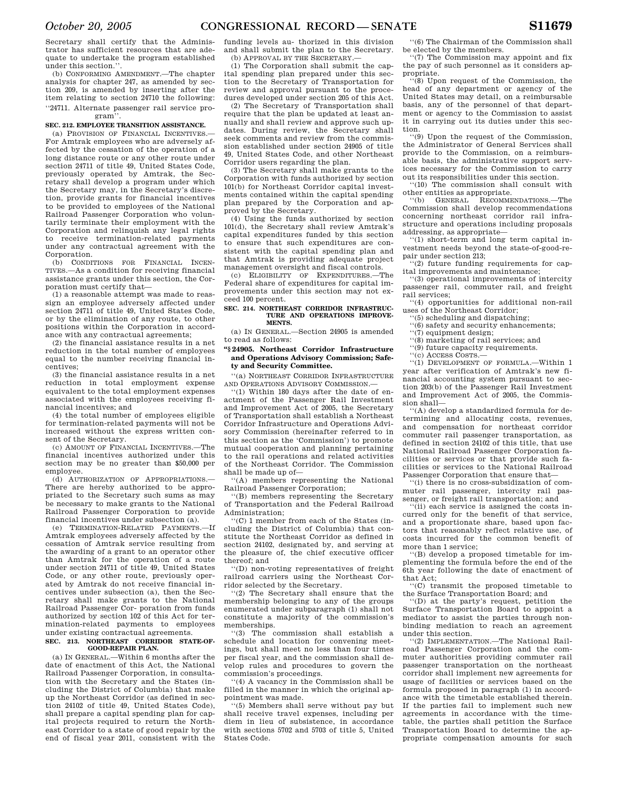Secretary shall certify that the Administrator has sufficient resources that are adequate to undertake the program established under this section."

(b) CONFORMING AMENDMENT.—The chapter analysis for chapter 247, as amended by section 209, is amended by inserting after the item relating to section 24710 the following: ''24711. Alternate passenger rail service program''.

#### **SEC. 212. EMPLOYEE TRANSITION ASSISTANCE.**

(a) PROVISION OF FINANCIAL INCENTIVES.— For Amtrak employees who are adversely affected by the cessation of the operation of a long distance route or any other route under section 24711 of title 49, United States Code, previously operated by Amtrak, the Secretary shall develop a program under which the Secretary may, in the Secretary's discretion, provide grants for financial incentives to be provided to employees of the National Railroad Passenger Corporation who voluntarily terminate their employment with the Corporation and relinquish any legal rights to receive termination-related payments under any contractual agreement with the Corporation.

(b) CONDITIONS FOR FINANCIAL INCEN-TIVES.—As a condition for receiving financial assistance grants under this section, the Corporation must certify that—

(1) a reasonable attempt was made to reassign an employee adversely affected under section 24711 of title 49, United States Code, or by the elimination of any route, to other positions within the Corporation in accordance with any contractual agreements;

(2) the financial assistance results in a net reduction in the total number of employees equal to the number receiving financial incentives;

(3) the financial assistance results in a net reduction in total employment expense equivalent to the total employment expenses associated with the employees receiving financial incentives; and

(4) the total number of employees eligible for termination-related payments will not be increased without the express written consent of the Secretary.

(c) AMOUNT OF FINANCIAL INCENTIVES.—The financial incentives authorized under this section may be no greater than \$50,000 per employee.

(d) AUTHORIZATION OF APPROPRIATIONS.— There are hereby authorized to be appropriated to the Secretary such sums as may be necessary to make grants to the National Railroad Passenger Corporation to provide financial incentives under subsection (a).

(e) TERMINATION-RELATED PAYMENTS.—If Amtrak employees adversely affected by the cessation of Amtrak service resulting from the awarding of a grant to an operator other than Amtrak for the operation of a route under section 24711 of title 49, United States Code, or any other route, previously operated by Amtrak do not receive financial incentives under subsection (a), then the Secretary shall make grants to the National Railroad Passenger Cor- poration from funds authorized by section 102 of this Act for termination-related payments to employees under existing contractual agreements.

#### **SEC. 213. NORTHEAST CORRIDOR STATE-OF-GOOD-REPAIR PLAN.**

(a) IN GENERAL.—Within 6 months after the date of enactment of this Act, the National Railroad Passenger Corporation, in consultation with the Secretary and the States (including the District of Columbia) that make up the Northeast Corridor (as defined in section 24102 of title 49, United States Code), shall prepare a capital spending plan for capital projects required to return the Northeast Corridor to a state of good repair by the end of fiscal year 2011, consistent with the funding levels au- thorized in this division and shall submit the plan to the Secretary. (b) APPROVAL BY THE SECRETARY.

(1) The Corporation shall submit the capital spending plan prepared under this section to the Secretary of Transportation for review and approval pursuant to the procedures developed under section 205 of this Act.

(2) The Secretary of Transportation shall require that the plan be updated at least annually and shall review and approve such updates. During review, the Secretary shall seek comments and review from the commission established under section 24905 of title 49, United States Code, and other Northeast Corridor users regarding the plan.

(3) The Secretary shall make grants to the Corporation with funds authorized by section 101(b) for Northeast Corridor capital investments contained within the capital spending plan prepared by the Corporation and approved by the Secretary.

(4) Using the funds authorized by section 101(d), the Secretary shall review Amtrak's capital expenditures funded by this section to ensure that such expenditures are consistent with the capital spending plan and that Amtrak is providing adequate project management oversight and fiscal controls.

(c) ELIGIBILITY OF EXPENDITURES.—The Federal share of expenditures for capital improvements under this section may not exceed 100 percent.

#### **SEC. 214. NORTHEAST CORRIDOR INFRASTRUC-TURE AND OPERATIONS IMPROVE-MENTS.**

(a) IN GENERAL.—Section 24905 is amended to read as follows:

## **''§ 24905. Northeast Corridor Infrastructure and Operations Advisory Commission; Safety and Security Committee.**

''(a) NORTHEAST CORRIDOR INFRASTRUCTURE AND OPERATIONS ADVISORY COMMISSION.—

''(1) Within 180 days after the date of enactment of the Passenger Rail Investment and Improvement Act of 2005, the Secretary of Transportation shall establish a Northeast Corridor Infrastructure and Operations Advisory Commission (hereinafter referred to in this section as the 'Commission') to promote mutual cooperation and planning pertaining to the rail operations and related activities of the Northeast Corridor. The Commission shall be made up of—

''(A) members representing the National Railroad Passenger Corporation;

''(B) members representing the Secretary of Transportation and the Federal Railroad Administration;

''(C) 1 member from each of the States (including the District of Columbia) that constitute the Northeast Corridor as defined in section 24102, designated by, and serving at the pleasure of, the chief executive officer thereof; and

''(D) non-voting representatives of freight railroad carriers using the Northeast Corridor selected by the Secretary.

''(2) The Secretary shall ensure that the membership belonging to any of the groups enumerated under subparagraph (1) shall not constitute a majority of the commission's memberships.

''(3) The commission shall establish a schedule and location for convening meetings, but shall meet no less than four times per fiscal year, and the commission shall develop rules and procedures to govern the commission's proceedings.

''(4) A vacancy in the Commission shall be filled in the manner in which the original appointment was made.

''(5) Members shall serve without pay but shall receive travel expenses, including per diem in lieu of subsistence, in accordance with sections 5702 and 5703 of title 5, United States Code.

''(6) The Chairman of the Commission shall be elected by the members.

''(7) The Commission may appoint and fix the pay of such personnel as it considers appropriate.

''(8) Upon request of the Commission, the head of any department or agency of the United States may detail, on a reimbursable basis, any of the personnel of that department or agency to the Commission to assist it in carrying out its duties under this section.

''(9) Upon the request of the Commission, the Administrator of General Services shall provide to the Commission, on a reimbursable basis, the administrative support services necessary for the Commission to carry out its responsibilities under this section.

''(10) The commission shall consult with other entities as appropriate.

''(b) GENERAL RECOMMENDATIONS.—The Commission shall develop recommendations concerning northeast corridor rail infrastructure and operations including proposals addressing, as appropriate—

''(1) short-term and long term capital investment needs beyond the state-of-good-repair under section 213;

''(2) future funding requirements for capital improvements and maintenance;

''(3) operational improvements of intercity passenger rail, commuter rail, and freight rail services;

''(4) opportunities for additional non-rail uses of the Northeast Corridor;

- ''(5) scheduling and dispatching;
- ''(6) safety and security enhancements;
- ''(7) equipment design;
- ''(8) marketing of rail services; and
- ''(9) future capacity requirements. ''(c) ACCESS COSTS.—

''(1) DEVELOPMENT OF FORMULA.—Within 1 year after verification of Amtrak's new financial accounting system pursuant to section 203(b) of the Passenger Rail Investment and Improvement Act of 2005, the Commission shall—

''(A) develop a standardized formula for determining and allocating costs, revenues, and compensation for northeast corridor commuter rail passenger transportation, as defined in section 24102 of this title, that use National Railroad Passenger Corporation facilities or services or that provide such facilities or services to the National Railroad Passenger Corporation that ensure that—

''(i) there is no cross-subsidization of commuter rail passenger, intercity rail passenger, or freight rail transportation; and

''(ii) each service is assigned the costs incurred only for the benefit of that service, and a proportionate share, based upon factors that reasonably reflect relative use, of costs incurred for the common benefit of more than 1 service;

'(B) develop a proposed timetable for implementing the formula before the end of the 6th year following the date of enactment of that Act;

''(C) transmit the proposed timetable to the Surface Transportation Board; and

''(D) at the party's request, petition the Surface Transportation Board to appoint a mediator to assist the parties through nonbinding mediation to reach an agreement under this section.

''(2) IMPLEMENTATION.—The National Railroad Passenger Corporation and the commuter authorities providing commuter rail passenger transportation on the northeast corridor shall implement new agreements for usage of facilities or services based on the formula proposed in paragraph (1) in accordance with the timetable established therein. If the parties fail to implement such new agreements in accordance with the timetable, the parties shall petition the Surface Transportation Board to determine the appropriate compensation amounts for such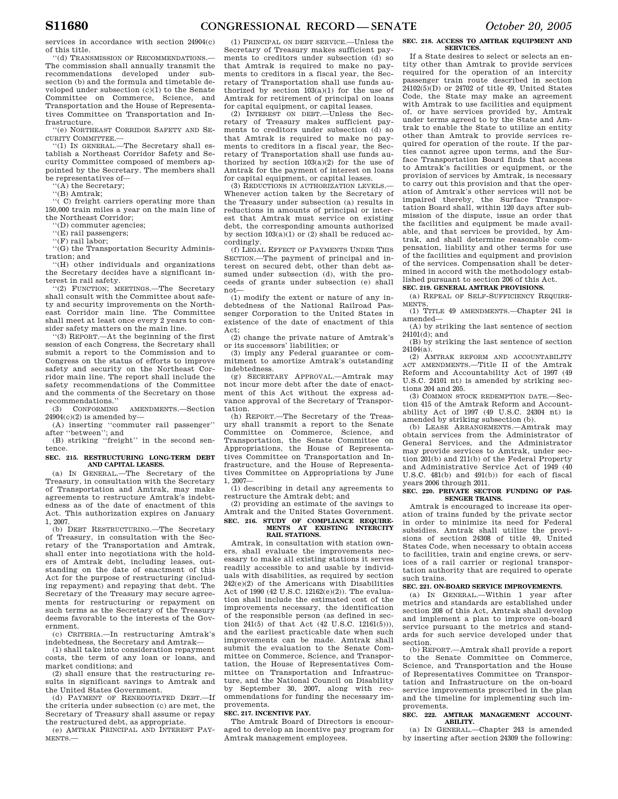services in accordance with section 24904(c) of this title.

''(d) TRANSMISSION OF RECOMMENDATIONS.— The commission shall annually transmit the recommendations developed under subsection (b) and the formula and timetable developed under subsection (c)(1) to the Senate Committee on Commerce, Science, and Transportation and the House of Representatives Committee on Transportation and Infrastructure.

''(e) NORTHEAST CORRIDOR SAFETY AND SE-CURITY COMMITTEE.—

''(1) IN GENERAL.—The Secretary shall establish a Northeast Corridor Safety and Security Committee composed of members appointed by the Secretary. The members shall be representatives of—

''(A) the Secretary;

''(B) Amtrak;

''( C) freight carriers operating more than 150,000 train miles a year on the main line of the Northeast Corridor;

''(D) commuter agencies;

''(E) rail passengers;

''(F) rail labor;

''(G) the Transportation Security Administration; and

''(H) other individuals and organizations the Secretary decides have a significant interest in rail safety.

''(2) FUNCTION; MEETINGS.—The Secretary shall consult with the Committee about safety and security improvements on the Northeast Corridor main line. The Committee shall meet at least once every 2 years to consider safety matters on the main line.

 $(3)$  REPORT  $-At$  the beginning of the first session of each Congress, the Secretary shall submit a report to the Commission and to Congress on the status of efforts to improve safety and security on the Northeast Corridor main line. The report shall include the safety recommendations of the Committee and the comments of the Secretary on those recommendations."<br>(3) CONFORMING

AMENDMENTS.-Section  $24904(c)(2)$  is amended by-

(A) inserting ''commuter rail passenger'' after ''between''; and

(B) striking ''freight'' in the second sentence.

**SEC. 215. RESTRUCTURING LONG-TERM DEBT AND CAPITAL LEASES.** 

(a) IN GENERAL.—The Secretary of the Treasury, in consultation with the Secretary of Transportation and Amtrak, may make agreements to restructure Amtrak's indebtedness as of the date of enactment of this Act. This authorization expires on January 1, 2007.

(b) DEBT RESTRUCTURING.—The Secretary of Treasury, in consultation with the Secretary of the Transportation and Amtrak, shall enter into negotiations with the holders of Amtrak debt, including leases, outstanding on the date of enactment of this Act for the purpose of restructuring (including repayment) and repaying that debt. The Secretary of the Treasury may secure agreements for restructuring or repayment on such terms as the Secretary of the Treasury deems favorable to the interests of the Government.

(c) CRITERIA.—In restructuring Amtrak's indebtedness, the Secretary and Amtrak—

(1) shall take into consideration repayment costs, the term of any loan or loans, and market conditions; and

(2) shall ensure that the restructuring results in significant savings to Amtrak and the United States Government.

(d) PAYMENT OF RENEGOTIATED DEBT.—If the criteria under subsection (c) are met, the Secretary of Treasury shall assume or repay the restructured debt, as appropriate.

(e) AMTRAK PRINCIPAL AND INTEREST PAY-MENTS.—

(1) PRINCIPAL ON DEBT SERVICE.—Unless the Secretary of Treasury makes sufficient payments to creditors under subsection (d) so that Amtrak is required to make no payments to creditors in a fiscal year, the Secretary of Transportation shall use funds authorized by section  $103(a)(1)$  for the use of Amtrak for retirement of principal on loans for capital equipment, or capital leases.

(2) INTEREST ON DEBT.—Unless the Secretary of Treasury makes sufficient payments to creditors under subsection (d) so that Amtrak is required to make no payments to creditors in a fiscal year, the Secretary of Transportation shall use funds authorized by section 103(a)(2) for the use of Amtrak for the payment of interest on loans for capital equipment, or capital leases.

(3) REDUCTIONS IN AUTHORIZATION LEVELS.— Whenever action taken by the Secretary of the Treasury under subsection (a) results in reductions in amounts of principal or interest that Amtrak must service on existing debt, the corresponding amounts authorized by section  $103(a)(1)$  or  $(2)$  shall be reduced accordingly.

(f) LEGAL EFFECT OF PAYMENTS UNDER THIS SECTION.—The payment of principal and interest on secured debt, other than debt assumed under subsection (d), with the proceeds of grants under subsection (e) shall not—

(1) modify the extent or nature of any indebtedness of the National Railroad Passenger Corporation to the United States in existence of the date of enactment of this Act;

(2) change the private nature of Amtrak's or its successors' liabilities; or

(3) imply any Federal guarantee or commitment to amortize Amtrak's outstanding indebtedness.

(g) SECRETARY APPROVAL.—Amtrak may not incur more debt after the date of enactment of this Act without the express advance approval of the Secretary of Transportation.

(h) REPORT.—The Secretary of the Treasury shall transmit a report to the Senate Committee on Commerce, Science, and Transportation, the Senate Committee on Appropriations, the House of Representatives Committee on Transportation and Infrastructure, and the House of Representatives Committee on Appropriations by June 1, 2007—

(1) describing in detail any agreements to restructure the Amtrak debt; and

(2) providing an estimate of the savings to Amtrak and the United States Government. **SEC. 216. STUDY OF COMPLIANCE REQUIRE-MENTS AT EXISTING INTERCITY RAIL STATIONS.** 

Amtrak, in consultation with station owners, shall evaluate the improvements necessary to make all existing stations it serves readily accessible to and usable by individuals with disabilities, as required by section 242(e)(2) of the Americans with Disabilities Act of 1990 (42 U.S.C. 12162(e)(2)). The evaluation shall include the estimated cost of the improvements necessary, the identification of the responsible person (as defined in section 241(5) of that Act (42 U.S.C. 12161(5))), and the earliest practicable date when such improvements can be made. Amtrak shall submit the evaluation to the Senate Committee on Commerce, Science, and Transportation, the House of Representatives Committee on Transportation and Infrastructure, and the National Council on Disability by September 30, 2007, along with recommendations for funding the necessary improvements.

#### **SEC. 217. INCENTIVE PAY.**

The Amtrak Board of Directors is encouraged to develop an incentive pay program for Amtrak management employees.

## **SEC. 218. ACCESS TO AMTRAK EQUIPMENT AND SERVICES.**

If a State desires to select or selects an entity other than Amtrak to provide services required for the operation of an intercity passenger train route described in section  $24102(5)(D)$  or  $24702$  of title 49, United States Code, the State may make an agreement with Amtrak to use facilities and equipment of, or have services provided by, Amtrak under terms agreed to by the State and Amtrak to enable the State to utilize an entity other than Amtrak to provide services required for operation of the route. If the parties cannot agree upon terms, and the Surface Transportation Board finds that access to Amtrak's facilities or equipment, or the provision of services by Amtrak, is necessary to carry out this provision and that the operation of Amtrak's other services will not be impaired thereby, the Surface Transportation Board shall, within 120 days after submission of the dispute, issue an order that the facilities and equipment be made available, and that services be provided, by Amtrak, and shall determine reasonable compensation, liability and other terms for use of the facilities and equipment and provision of the services. Compensation shall be determined in accord with the methodology established pursuant to section 206 of this Act.

**SEC. 219. GENERAL AMTRAK PROVISIONS.** 

(a) REPEAL OF SELF-SUFFICIENCY REQUIRE-MENTS.

(1) TITLE 49 AMENDMENTS.—Chapter 241 is amended—

(A) by striking the last sentence of section 24101(d); and

(B) by striking the last sentence of section 24104(a).

(2) AMTRAK REFORM AND ACCOUNTABILITY ACT AMENDMENTS.—Title II of the Amtrak Reform and Accountability Act of 1997 (49 U.S.C. 24101 nt) is amended by striking sections 204 and 205.

(3) COMMON STOCK REDEMPTION DATE.—Section 415 of the Amtrak Reform and Accountability Act of 1997 (49 U.S.C. 24304 nt) is amended by striking subsection (b).

(b) LEASE ARRANGEMENTS.—Amtrak may obtain services from the Administrator of General Services, and the Administrator may provide services to Amtrak, under section 201(b) and 211(b) of the Federal Property and Administrative Service Act of 1949 (40 U.S.C. 481(b) and 491(b)) for each of fiscal years 2006 through 2011.

#### **SEC. 220. PRIVATE SECTOR FUNDING OF PAS-SENGER TRAINS.**

Amtrak is encouraged to increase its operation of trains funded by the private sector in order to minimize its need for Federal subsidies. Amtrak shall utilize the provisions of section 24308 of title 49, United States Code, when necessary to obtain access to facilities, train and engine crews, or services of a rail carrier or regional transportation authority that are required to operate such trains.

## **SEC. 221. ON-BOARD SERVICE IMPROVEMENTS.**

(a) IN GENERAL.—Within 1 year after metrics and standards are established under section 208 of this Act, Amtrak shall develop and implement a plan to improve on-board service pursuant to the metrics and standards for such service developed under that section.

(b) REPORT.—Amtrak shall provide a report to the Senate Committee on Commerce, Science, and Transportation and the House of Representatives Committee on Transportation and Infrastructure on the on-board service improvements proscribed in the plan and the timeline for implementing such improvements.

#### **SEC. 222. AMTRAK MANAGEMENT ACCOUNT-ABILITY.**

(a) IN GENERAL.—Chapter 243 is amended by inserting after section 24309 the following: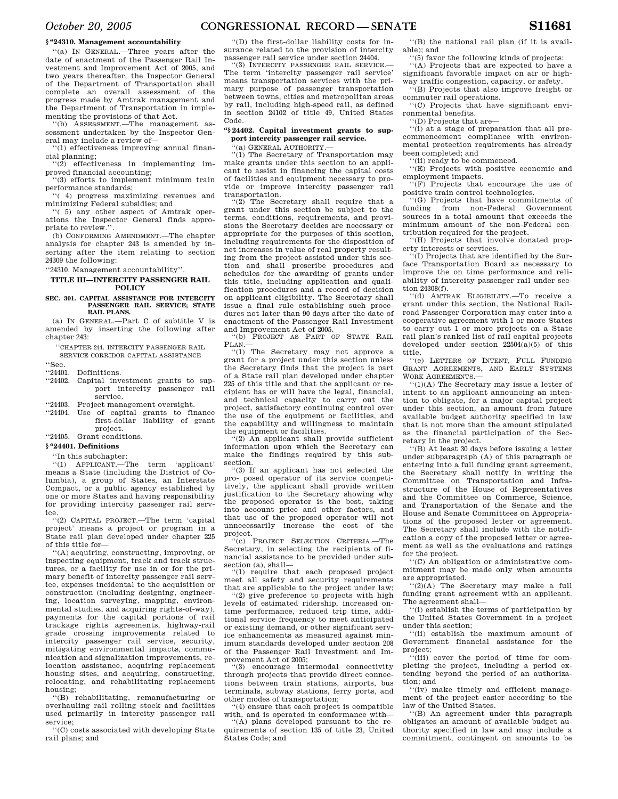#### **§ ''24310. Management accountability**

''(a) IN GENERAL.—Three years after the date of enactment of the Passenger Rail Investment and Improvement Act of 2005, and two years thereafter, the Inspector General of the Department of Transportation shall complete an overall assessment of the progress made by Amtrak management and the Department of Transportation in implementing the provisions of that Act.

''(b) ASSESSMENT.—The management assessment undertaken by the Inspector General may include a review of—

''(1) effectiveness improving annual financial planning;

''(2) effectiveness in implementing improved financial accounting;

''(3) efforts to implement minimum train performance standards;

''( 4) progress maximizing revenues and minimizing Federal subsidies; and

'( 5) any other aspect of Amtrak operations the Inspector General finds appropriate to review.''.

(b) CONFORMING AMENDMENT.—The chapter analysis for chapter 243 is amended by inserting after the item relating to section 24309 the following:

''24310. Management accountability''.

## **TITLE III—INTERCITY PASSENGER RAIL POLICY**

#### **SEC. 301. CAPITAL ASSISTANCE FOR INTERCITY PASSENGER RAIL SERVICE; STATE RAIL PLANS.**

(a) IN GENERAL.—Part C of subtitle V is amended by inserting the following after chapter 243:

''CHAPTER 244. INTERCITY PASSENGER RAIL SERVICE CORRIDOR CAPITAL ASSISTANCE

- "Sec.<br>"24401.
- Definitions.
- ''24402. Capital investment grants to support intercity passenger rail service.

''24403. Project management oversight.

''24404. Use of capital grants to finance first-dollar liability of grant project.

''24405. Grant conditions.

## **§ ''24401. Definitions**

''In this subchapter:

''(1) APPLICANT.—The term 'applicant' means a State (including the District of Columbia), a group of States, an Interstate Compact, or a public agency established by one or more States and having responsibility for providing intercity passenger rail service.

''(2) CAPITAL PROJECT.—The term 'capital project' means a project or program in a State rail plan developed under chapter 225 of this title for—

''(A) acquiring, constructing, improving, or inspecting equipment, track and track structures, or a facility for use in or for the primary benefit of intercity passenger rail service, expenses incidental to the acquisition or construction (including designing, engineering, location surveying, mapping, environmental studies, and acquiring rights-of-way), payments for the capital portions of rail trackage rights agreements, highway-rail grade crossing improvements related to intercity passenger rail service, security, mitigating environmental impacts, communication and signalization improvements, relocation assistance, acquiring replacement housing sites, and acquiring, constructing, relocating, and rehabilitating replacement housing;

''(B) rehabilitating, remanufacturing or overhauling rail rolling stock and facilities used primarily in intercity passenger rail service;

''(C) costs associated with developing State rail plans; and

''(D) the first-dollar liability costs for insurance related to the provision of intercity passenger rail service under section 24404.

'(3) INTERCITY PASSENGER RAIL SERVICE. The term 'intercity passenger rail service' means transportation services with the primary purpose of passenger transportation between towns, cities and metropolitan areas by rail, including high-speed rail, as defined in section 24102 of title 49, United States Code.

## **''§ 24402. Capital investment grants to support intercity passenger rail service.**

'(a) GENERAL AUTHORITY.-

''(1) The Secretary of Transportation may make grants under this section to an applicant to assist in financing the capital costs of facilities and equipment necessary to provide or improve intercity passenger rail transportation.<br>"(2) The Sec

The Secretary shall require that a grant under this section be subject to the terms, conditions, requirements, and provisions the Secretary decides are necessary or appropriate for the purposes of this section, including requirements for the disposition of net increases in value of real property resulting from the project assisted under this section and shall prescribe procedures and schedules for the awarding of grants under this title, including application and qualification procedures and a record of decision on applicant eligibility. The Secretary shall issue a final rule establishing such procedures not later than 90 days after the date of enactment of the Passenger Rail Investment and Improvement Act of 2005.

''(b) PROJECT AS PART OF STATE RAIL  $P_{\text{LAN.}}$  $(1)$ 

The Secretary may not approve a grant for a project under this section unless the Secretary finds that the project is part of a State rail plan developed under chapter 225 of this title and that the applicant or recipient has or will have the legal, financial, and technical capacity to carry out the project, satisfactory continuing control over the use of the equipment or facilities, and the capability and willingness to maintain the equipment or facilities.

 $'(2)$  An applicant shall provide sufficient information upon which the Secretary can make the findings required by this subsection.

''(3) If an applicant has not selected the pro- posed operator of its service competitively, the applicant shall provide written justification to the Secretary showing why the proposed operator is the best, taking into account price and other factors, and that use of the proposed operator will not unnecessarily increase the cost of the project.

''(c) PROJECT SELECTION CRITERIA.—The Secretary, in selecting the recipients of financial assistance to be provided under subsection (a), shall—

''(1) require that each proposed project meet all safety and security requirements that are applicable to the project under law;

''(2) give preference to projects with high levels of estimated ridership, increased ontime performance, reduced trip time, additional service frequency to meet anticipated or existing demand, or other significant service enhancements as measured against minimum standards developed under section 208 of the Passenger Rail Investment and Improvement Act of 2005;

''(3) encourage intermodal connectivity through projects that provide direct connections between train stations, airports, bus terminals, subway stations, ferry ports, and other modes of transportation;

''(4) ensure that each project is compatible with, and is operated in conformance with—

''(A) plans developed pursuant to the requirements of section 135 of title 23, United States Code; and

''(B) the national rail plan (if it is available); and

''(5) favor the following kinds of projects: ''(A) Projects that are expected to have a significant favorable impact on air or high-

way traffic congestion, capacity, or safety. ''(B) Projects that also improve freight or

commuter rail operations. ''(C) Projects that have significant environmental benefits.

''(D) Projects that are—

''(i) at a stage of preparation that all precommencement compliance with environmental protection requirements has already been completed; and

''(ii) ready to be commenced.

''(E) Projects with positive economic and employment impacts.

 $(F)$  Projects that encourage the use of positive train control technologies.

''(G) Projects that have commitments of funding from non-Federal Government sources in a total amount that exceeds the minimum amount of the non-Federal contribution required for the project.

''(H) Projects that involve donated property interests or services.

 $\widetilde{f}(I)$  Projects that are identified by the Surface Transportation Board as necessary to improve the on time performance and reliability of intercity passenger rail under section 24308(f).

''(d) AMTRAK ELIGIBILITY.—To receive a grant under this section, the National Railroad Passenger Corporation may enter into a cooperative agreement with 1 or more States to carry out 1 or more projects on a State rail plan's ranked list of rail capital projects developed under section 22504(a)(5) of this title.

''(e) LETTERS OF INTENT, FULL FUNDING GRANT AGREEMENTS, AND EARLY SYSTEMS WORK AGREEMENTS-

''(1)(A) The Secretary may issue a letter of intent to an applicant announcing an intention to obligate, for a major capital project under this section, an amount from future available budget authority specified in law that is not more than the amount stipulated as the financial participation of the Secretary in the project.

''(B) At least 30 days before issuing a letter under subparagraph (A) of this paragraph or entering into a full funding grant agreement, the Secretary shall notify in writing the Committee on Transportation and Infrastructure of the House of Representatives and the Committee on Commerce, Science, and Transportation of the Senate and the House and Senate Committees on Appropriations of the proposed letter or agreement. The Secretary shall include with the notification a copy of the proposed letter or agreement as well as the evaluations and ratings for the project.

''(C) An obligation or administrative commitment may be made only when amounts are appropriated.

''(2)(A) The Secretary may make a full funding grant agreement with an applicant. The agreement shall—

''(i) establish the terms of participation by the United States Government in a project under this section;

''(ii) establish the maximum amount of Government financial assistance for the project;

''(iii) cover the period of time for completing the project, including a period extending beyond the period of an authorization; and

''(iv) make timely and efficient management of the project easier according to the law of the United States.

''(B) An agreement under this paragraph obligates an amount of available budget authority specified in law and may include a commitment, contingent on amounts to be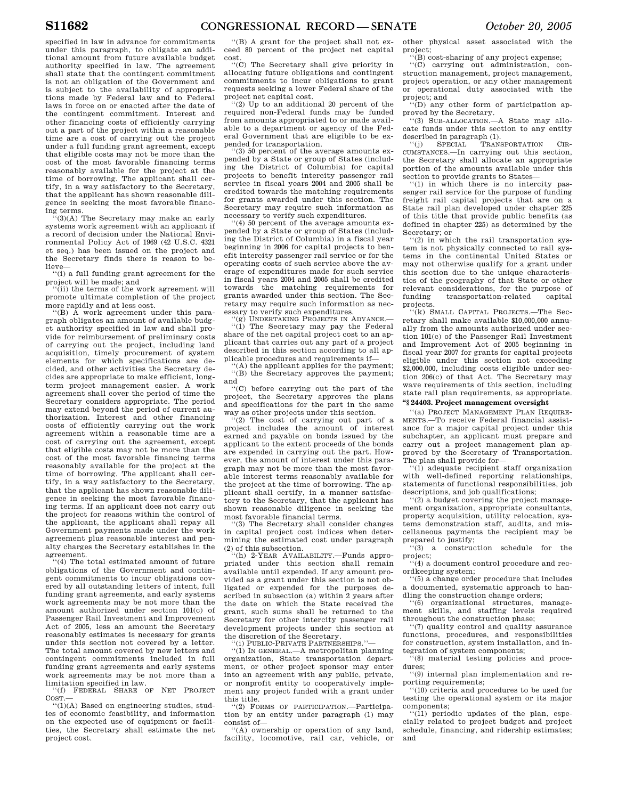specified in law in advance for commitments under this paragraph, to obligate an additional amount from future available budget authority specified in law. The agreement shall state that the contingent commitment is not an obligation of the Government and is subject to the availability of appropriations made by Federal law and to Federal laws in force on or enacted after the date of the contingent commitment. Interest and other financing costs of efficiently carrying out a part of the project within a reasonable time are a cost of carrying out the project under a full funding grant agreement, except that eligible costs may not be more than the cost of the most favorable financing terms reasonably available for the project at the time of borrowing. The applicant shall certify, in a way satisfactory to the Secretary, that the applicant has shown reasonable diligence in seeking the most favorable financing terms.

''(3)(A) The Secretary may make an early systems work agreement with an applicant if a record of decision under the National Environmental Policy Act of 1969 (42 U.S.C. 4321 et seq.) has been issued on the project and the Secretary finds there is reason to believe—

''(i) a full funding grant agreement for the project will be made; and

''(ii) the terms of the work agreement will promote ultimate completion of the project more rapidly and at less cost.

''(B) A work agreement under this paragraph obligates an amount of available budget authority specified in law and shall provide for reimbursement of preliminary costs of carrying out the project, including land acquisition, timely procurement of system elements for which specifications are decided, and other activities the Secretary decides are appropriate to make efficient, longterm project management easier. A work agreement shall cover the period of time the Secretary considers appropriate. The period may extend beyond the period of current authorization. Interest and other financing costs of efficiently carrying out the work agreement within a reasonable time are a cost of carrying out the agreement, except that eligible costs may not be more than the cost of the most favorable financing terms reasonably available for the project at the time of borrowing. The applicant shall certify, in a way satisfactory to the Secretary, that the applicant has shown reasonable diligence in seeking the most favorable financing terms. If an applicant does not carry out the project for reasons within the control of the applicant, the applicant shall repay all Government payments made under the work agreement plus reasonable interest and penalty charges the Secretary establishes in the agreement.

''(4) The total estimated amount of future obligations of the Government and contingent commitments to incur obligations covered by all outstanding letters of intent, full funding grant agreements, and early systems work agreements may be not more than the amount authorized under section 101(c) of Passenger Rail Investment and Improvement Act of 2005, less an amount the Secretary reasonably estimates is necessary for grants under this section not covered by a letter. The total amount covered by new letters and contingent commitments included in full funding grant agreements and early systems work agreements may be not more than a limitation specified in law.

''(f) FEDERAL SHARE OF NET PROJECT  $CosT$ .

''(1)(A) Based on engineering studies, studies of economic feasibility, and information on the expected use of equipment or facilities, the Secretary shall estimate the net project cost.

''(B) A grant for the project shall not exceed 80 percent of the project net capital cost.

''(C) The Secretary shall give priority in allocating future obligations and contingent commitments to incur obligations to grant requests seeking a lower Federal share of the project net capital cost.

''(2) Up to an additional 20 percent of the required non-Federal funds may be funded from amounts appropriated to or made available to a department or agency of the Federal Government that are eligible to be expended for transportation.

(3) 50 percent of the average amounts expended by a State or group of States (including the District of Columbia) for capital projects to benefit intercity passenger rail service in fiscal years 2004 and 2005 shall be credited towards the matching requirements for grants awarded under this section. The Secretary may require such information as necessary to verify such expenditures.

(4) 50 percent of the average amounts expended by a State or group of States (including the District of Columbia) in a fiscal year beginning in 2006 for capital projects to benefit intercity passenger rail service or for the operating costs of such service above the average of expenditures made for such service in fiscal years 2004 and 2005 shall be credited towards the matching requirements for grants awarded under this section. The Secretary may require such information as necessary to verify such expenditures.

''(g) UNDERTAKING PROJECTS IN ADVANCE.— ''(1) The Secretary may pay the Federal share of the net capital project cost to an applicant that carries out any part of a project described in this section according to all applicable procedures and requirements if—

''(A) the applicant applies for the payment; ''(B) the Secretary approves the payment; and

''(C) before carrying out the part of the project, the Secretary approves the plans and specifications for the part in the same way as other projects under this section.

(2) The cost of carrying out part of a project includes the amount of interest earned and payable on bonds issued by the applicant to the extent proceeds of the bonds are expended in carrying out the part. However, the amount of interest under this paragraph may not be more than the most favorable interest terms reasonably available for the project at the time of borrowing. The applicant shall certify, in a manner satisfactory to the Secretary, that the applicant has shown reasonable diligence in seeking the most favorable financial terms.

''(3) The Secretary shall consider changes in capital project cost indices when determining the estimated cost under paragraph (2) of this subsection.

''(h) 2-YEAR AVAILABILITY.—Funds appropriated under this section shall remain available until expended. If any amount provided as a grant under this section is not obligated or expended for the purposes described in subsection (a) within 2 years after the date on which the State received the grant, such sums shall be returned to the Secretary for other intercity passenger rail development projects under this section at the discretion of the Secretary.

''(i) PUBLIC-PRIVATE PARTNERSHIPS.''—

''(1) IN GENERAL.—A metropolitan planning organization, State transportation department, or other project sponsor may enter into an agreement with any public, private, or nonprofit entity to cooperatively implement any project funded with a grant under this title.

''(2) FORMS OF PARTICIPATION.—Participation by an entity under paragraph (1) may consist of—

''(A) ownership or operation of any land, facility, locomotive, rail car, vehicle, or other physical asset associated with the project;

''(B) cost-sharing of any project expense;

''(C) carrying out administration, construction management, project management, project operation, or any other management or operational duty associated with the project; and

''(D) any other form of participation approved by the Secretary.

''(3) SUB-ALLOCATION.—A State may allocate funds under this section to any entity described in paragraph  $(1)$ .<br>
"(j) SPECIAL TRANS

TRANSPORTATION CIR-CUMSTANCES.—In carrying out this section, the Secretary shall allocate an appropriate portion of the amounts available under this section to provide grants to States—

'(1) in which there is no intercity passenger rail service for the purpose of funding freight rail capital projects that are on a State rail plan developed under chapter 225 of this title that provide public benefits (as defined in chapter 225) as determined by the Secretary; or

''(2) in which the rail transportation system is not physically connected to rail systems in the continental United States or may not otherwise qualify for a grant under this section due to the unique characteristics of the geography of that State or other relevant considerations, for the purpose of funding transportation-related capital projects.

'(k) SMALL CAPITAL PROJECTS.-The Secretary shall make available \$10,000,000 annually from the amounts authorized under section 101(c) of the Passenger Rail Investment and Improvement Act of 2005 beginning in fiscal year 2007 for grants for capital projects eligible under this section not exceeding \$2,000,000, including costs eligible under section 206(c) of that Act. The Secretary may wave requirements of this section, including state rail plan requirements, as appropriate. **''§ 24403. Project management oversight** 

''(a) PROJECT MANAGEMENT PLAN REQUIRE-MENTS.—To receive Federal financial assistance for a major capital project under this subchapter, an applicant must prepare and carry out a project management plan approved by the Secretary of Transportation. The plan shall provide for-

''(1) adequate recipient staff organization with well-defined reporting relationships, statements of functional responsibilities, job descriptions, and job qualifications;

''(2) a budget covering the project management organization, appropriate consultants, property acquisition, utility relocation, systems demonstration staff, audits, and miscellaneous payments the recipient may be prepared to justify;

''(3) a construction schedule for the project;

''(4) a document control procedure and recordkeeping system;

''(5) a change order procedure that includes a documented, systematic approach to handling the construction change orders;

''(6) organizational structures, management skills, and staffing levels required throughout the construction phase;

''(7) quality control and quality assurance functions, procedures, and responsibilities for construction, system installation, and integration of system components;

''(8) material testing policies and procedures;

''(9) internal plan implementation and reporting requirements;

''(10) criteria and procedures to be used for testing the operational system or its major components;

 $\cdot$ (11) periodic updates of the plan, especially related to project budget and project schedule, financing, and ridership estimates; and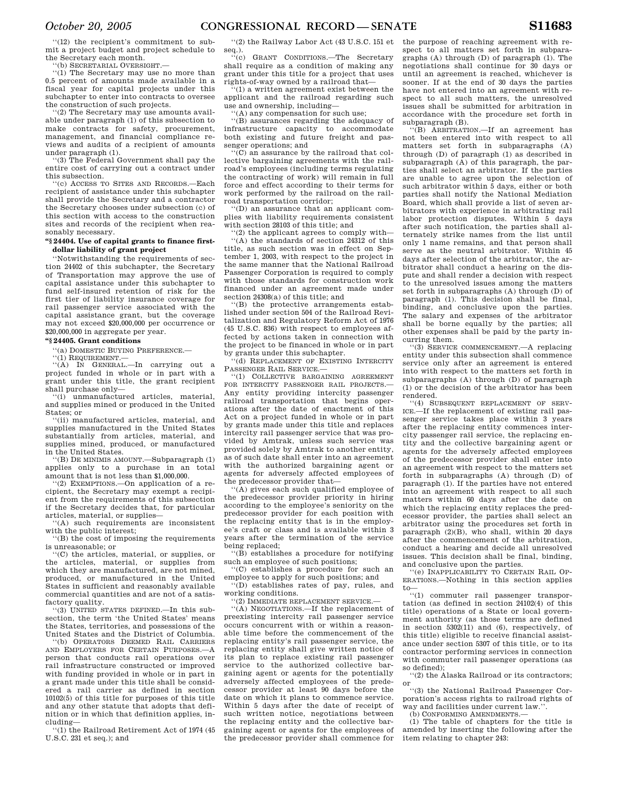''(12) the recipient's commitment to submit a project budget and project schedule to the Secretary each month.

''(b) SECRETARIAL OVERSIGHT.— ''(1) The Secretary may use no more than 0.5 percent of amounts made available in a fiscal year for capital projects under this subchapter to enter into contracts to oversee the construction of such projects.

'(2) The Secretary may use amounts available under paragraph (1) of this subsection to make contracts for safety, procurement, management, and financial compliance reviews and audits of a recipient of amounts under paragraph (1).

'(3) The Federal Government shall pay the entire cost of carrying out a contract under this subsection.

''(c) ACCESS TO SITES AND RECORDS.—Each recipient of assistance under this subchapter shall provide the Secretary and a contractor the Secretary chooses under subsection (c) of this section with access to the construction sites and records of the recipient when reasonably necessary.

## **''§ 24404. Use of capital grants to finance firstdollar liability of grant project**

''Notwithstanding the requirements of section 24402 of this subchapter, the Secretary of Transportation may approve the use of capital assistance under this subchapter to fund self-insured retention of risk for the first tier of liability insurance coverage for rail passenger service associated with the capital assistance grant, but the coverage may not exceed \$20,000,000 per occurrence or \$20,000,000 in aggregate per year.

#### **''§ 24405. Grant conditions**

''(a) DOMESTIC BUYING PREFERENCE.—

''(1) REQUIREMENT.—

''(A) IN GENERAL.—In carrying out a project funded in whole or in part with a grant under this title, the grant recipient shall purchase only—

unmanufactured articles, material, and supplies mined or produced in the United States; or

''(ii) manufactured articles, material, and supplies manufactured in the United States substantially from articles, material, and supplies mined, produced, or manufactured in the United States.

''(B) DE MINIMIS AMOUNT.—Subparagraph (1) applies only to a purchase in an total amount that is not less than \$1,000,000.

 $'(2)$  EXEMPTIONS.—On application of a recipient, the Secretary may exempt a recipient from the requirements of this subsection if the Secretary decides that, for particular articles, material, or supplies—

'(A) such requirements are inconsistent with the public interest;

(B) the cost of imposing the requirements is unreasonable; or

''(C) the articles, material, or supplies, or the articles, material, or supplies from which they are manufactured, are not mined, produced, or manufactured in the United States in sufficient and reasonably available commercial quantities and are not of a satisfactory quality.

'(3) UNITED STATES DEFINED.—In this subsection, the term 'the United States' means the States, territories, and possessions of the United States and the District of Columbia.

''(b) OPERATORS DEEMED RAIL CARRIERS AND EMPLOYERS FOR CERTAIN PURPOSES.—A person that conducts rail operations over rail infrastructure constructed or improved with funding provided in whole or in part in a grant made under this title shall be considered a rail carrier as defined in section 10102(5) of this title for purposes of this title and any other statute that adopts that definition or in which that definition applies, including—

''(1) the Railroad Retirement Act of 1974 (45 U.S.C. 231 et seq.); and

''(2) the Railway Labor Act (43 U.S.C. 151 et

seq.). ''(c) GRANT CONDITIONS.—The Secretary shall require as a condition of making any grant under this title for a project that uses rights-of-way owned by a railroad that—

''(1) a written agreement exist between the applicant and the railroad regarding such use and ownership, including—

''(A) any compensation for such use;

'(B) assurances regarding the adequacy of infrastructure capacity to accommodate both existing and future freight and passenger operations; and

''(C) an assurance by the railroad that collective bargaining agreements with the railroad's employees (including terms regulating the contracting of work) will remain in full force and effect according to their terms for work performed by the railroad on the railroad transportation corridor;

 $\cdot$ <sup>'</sup>(D) an assurance that an applicant complies with liability requirements consistent with section 28103 of this title; and

''(2) the applicant agrees to comply with—

''(A) the standards of section 24312 of this title, as such section was in effect on September 1, 2003, with respect to the project in the same manner that the National Railroad Passenger Corporation is required to comply with those standards for construction work financed under an agreement made under section 24308(a) of this title; and

''(B) the protective arrangements established under section 504 of the Railroad Revitalization and Regulatory Reform Act of 1976 (45 U.S.C. 836) with respect to employees affected by actions taken in connection with the project to be financed in whole or in part by grants under this subchapter.

''(d) REPLACEMENT OF EXISTING INTERCITY PASSENGER RAIL SERVICE.—

''(1) COLLECTIVE BARGAINING AGREEMENT FOR INTERCITY PASSENGER RAIL PROJECTS.— Any entity providing intercity passenger railroad transportation that begins operations after the date of enactment of this Act on a project funded in whole or in part by grants made under this title and replaces intercity rail passenger service that was provided by Amtrak, unless such service was provided solely by Amtrak to another entity, as of such date shall enter into an agreement with the authorized bargaining agent or agents for adversely affected employees of the predecessor provider that—

''(A) gives each such qualified employee of the predecessor provider priority in hiring according to the employee's seniority on the predecessor provider for each position with the replacing entity that is in the employee's craft or class and is available within 3 years after the termination of the service being replaced;

''(B) establishes a procedure for notifying such an employee of such positions;

''(C) establishes a procedure for such an employee to apply for such positions; and

''(D) establishes rates of pay, rules, and working conditions.

''(2) IMMEDIATE REPLACEMENT SERVICE.—

''(A) NEGOTIATIONS.—If the replacement of preexisting intercity rail passenger service occurs concurrent with or within a reasonable time before the commencement of the replacing entity's rail passenger service, the replacing entity shall give written notice of its plan to replace existing rail passenger service to the authorized collective bargaining agent or agents for the potentially adversely affected employees of the predecessor provider at least 90 days before the date on which it plans to commence service. Within 5 days after the date of receipt of such written notice, negotiations between the replacing entity and the collective bargaining agent or agents for the employees of the predecessor provider shall commence for the purpose of reaching agreement with respect to all matters set forth in subparagraphs (A) through (D) of paragraph (1). The negotiations shall continue for 30 days or until an agreement is reached, whichever is sooner. If at the end of 30 days the parties have not entered into an agreement with respect to all such matters, the unresolved issues shall be submitted for arbitration in accordance with the procedure set forth in subparagraph (B).

''(B) ARBITRATION.—If an agreement has not been entered into with respect to all matters set forth in subparagraphs (A) through (D) of paragraph (1) as described in subparagraph (A) of this paragraph, the parties shall select an arbitrator. If the parties are unable to agree upon the selection of such arbitrator within 5 days, either or both parties shall notify the National Mediation Board, which shall provide a list of seven arbitrators with experience in arbitrating rail labor protection disputes. Within 5 days after such notification, the parties shall alternately strike names from the list until only 1 name remains, and that person shall serve as the neutral arbitrator. Within 45 days after selection of the arbitrator, the arbitrator shall conduct a hearing on the dispute and shall render a decision with respect to the unresolved issues among the matters set forth in subparagraphs (A) through (D) of paragraph (1). This decision shall be final, binding, and conclusive upon the parties. The salary and expenses of the arbitrator shall be borne equally by the parties; all other expenses shall be paid by the party incurring them.

''(3) SERVICE COMMENCEMENT.—A replacing entity under this subsection shall commence service only after an agreement is entered into with respect to the matters set forth in subparagraphs (A) through (D) of paragraph (1) or the decision of the arbitrator has been rendered.

''(4) SUBSEQUENT REPLACEMENT OF SERV-ICE.—If the replacement of existing rail passenger service takes place within 3 years after the replacing entity commences intercity passenger rail service, the replacing entity and the collective bargaining agent or agents for the adversely affected employees of the predecessor provider shall enter into an agreement with respect to the matters set forth in subparagraphs (A) through (D) of paragraph (1). If the parties have not entered into an agreement with respect to all such matters within 60 days after the date on which the replacing entity replaces the predecessor provider, the parties shall select an arbitrator using the procedures set forth in paragraph  $(2)(B)$ , who shall, within 20 days after the commencement of the arbitration, conduct a hearing and decide all unresolved issues. This decision shall be final, binding, and conclusive upon the parties.

''(e) INAPPLICABILITY TO CERTAIN RAIL OP-ERATIONS.—Nothing in this section applies to—

''(1) commuter rail passenger transportation (as defined in section 24102(4) of this title) operations of a State or local government authority (as those terms are defined in section 5302(11) and (6), respectively, of this title) eligible to receive financial assistance under section 5307 of this title, or to its contractor performing services in connection with commuter rail passenger operations (as so defined);

''(2) the Alaska Railroad or its contractors; or

''(3) the National Railroad Passenger Corporation's access rights to railroad rights of way and facilities under current law.''. (b) CONFORMING AMENDMENTS.

(1) The table of chapters for the title is

amended by inserting the following after the item relating to chapter 243: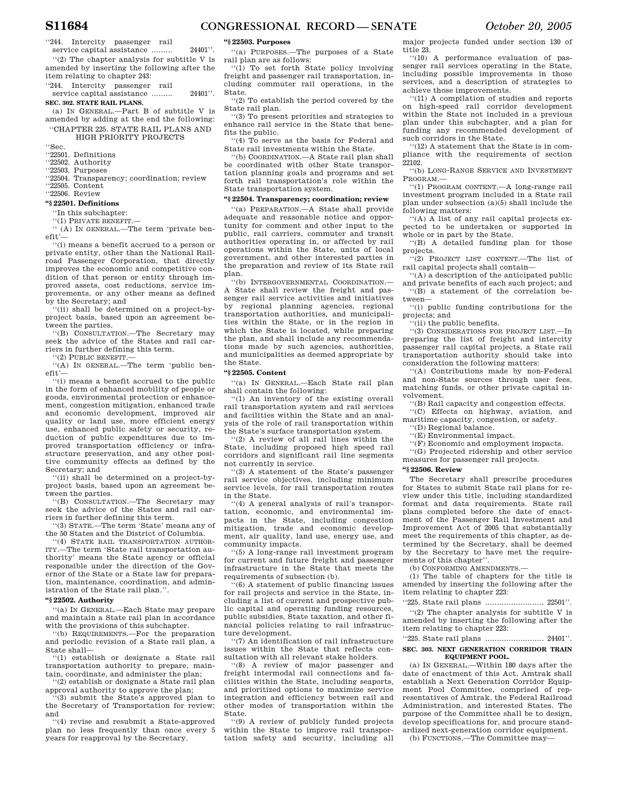''244. Intercity passenger rail service capital assistance ......... 24401''. ''(2) The chapter analysis for subtitle V is amended by inserting the following after the

item relating to chapter 243:

''244. Intercity passenger rail

service capital assistance ......... 24401''. **SEC. 302. STATE RAIL PLANS.** 

(a) IN GENERAL.—Part B of subtitle V is amended by adding at the end the following:

#### ''CHAPTER 225. STATE RAIL PLANS AND HIGH PRIORITY PROJECTS

''Sec.

''22501. Definitions

''22502. Authority

''22503. Purposes

''22504. Transparency; coordination; review

''22505. Content

''22506. Review

## **''§ 22501. Definitions**

''In this subchapter:

''(1) PRIVATE BENEFIT.—

'' (A) IN GENERAL.—The term 'private benefit'—

''(i) means a benefit accrued to a person or private entity, other than the National Railroad Passenger Corporation, that directly improves the economic and competitive condition of that person or entity through improved assets, cost reductions, service improvements, or any other means as defined by the Secretary; and

'(ii) shall be determined on a project-byproject basis, based upon an agreement between the parties.

''(B) CONSULTATION.—The Secretary may seek the advice of the States and rail carriers in further defining this term.

''(2) PUBLIC BENEFIT.—

''(A) IN GENERAL.—The term 'public benefit'—

''(i) means a benefit accrued to the public in the form of enhanced mobility of people or goods, environmental protection or enhancement, congestion mitigation, enhanced trade and economic development, improved air quality or land use, more efficient energy use, enhanced public safety or security, reduction of public expenditures due to improved transportation efficiency or infrastructure preservation, and any other positive community effects as defined by the Secretary; and

''(ii) shall be determined on a project-byproject basis, based upon an agreement between the parties.

''(B) CONSULTATION.—The Secretary may seek the advice of the States and rail carriers in further defining this term.

''(3) STATE.—The term 'State' means any of the 50 States and the District of Columbia.

''(4) STATE RAIL TRANSPORTATION AUTHOR-ITY.—The term 'State rail transportation authority' means the State agency or official responsible under the direction of the Governor of the State or a State law for preparation, maintenance, coordination, and administration of the State rail plan.'

## **''§ 22502. Authority**

''(a) IN GENERAL.—Each State may prepare and maintain a State rail plan in accordance with the provisions of this subchapter.

''(b) REQUIREMENTS.—For the preparation and periodic revision of a State rail plan, a State shall—

''(1) establish or designate a State rail transportation authority to prepare, maintain, coordinate, and administer the plan;

''(2) establish or designate a State rail plan approval authority to approve the plan; ''(3) submit the State's approved plan to

the Secretary of Transportation for review; and

''(4) revise and resubmit a State-approved plan no less frequently than once every 5 years for reapproval by the Secretary.

## **''§ 22503. Purposes**

''(a) PURPOSES.—The purposes of a State rail plan are as follows:

''(1) To set forth State policy involving freight and passenger rail transportation, including commuter rail operations, in the State.

''(2) To establish the period covered by the State rail plan.

''(3) To present priorities and strategies to enhance rail service in the State that benefits the public.

''(4) To serve as the basis for Federal and State rail investments within the State.

''(b) COORDINATION.—A State rail plan shall be coordinated with other State transportation planning goals and programs and set forth rail transportation's role within the State transportation system.

## **''§ 22504. Transparency; coordination; review**

''(a) PREPARATION.—A State shall provide adequate and reasonable notice and opportunity for comment and other input to the public, rail carriers, commuter and transit authorities operating in, or affected by rail operations within the State, units of local government, and other interested parties in the preparation and review of its State rail plan.

''(b) INTERGOVERNMENTAL COORDINATION.— A State shall review the freight and passenger rail service activities and initiatives by regional planning agencies, regional transportation authorities, and municipalities within the State, or in the region in which the State is located, while preparing the plan, and shall include any recommendations made by such agencies, authorities, and municipalities as deemed appropriate by the State.

## **''§ 22505. Content**

''(a) IN GENERAL.—Each State rail plan shall contain the following:

''(1) An inventory of the existing overall rail transportation system and rail services and facilities within the State and an analysis of the role of rail transportation within the State's surface transportation system.

''(2) A review of all rail lines within the State, including proposed high speed rail corridors and significant rail line segments not currently in service.

''(3) A statement of the State's passenger rail service objectives, including minimum service levels, for rail transportation routes in the State.

''(4) A general analysis of rail's transportation, economic, and environmental impacts in the State, including congestion mitigation, trade and economic development, air quality, land use, energy use, and community impacts.

''(5) A long-range rail investment program for current and future freight and passenger infrastructure in the State that meets the requirements of subsection (b).

''(6) A statement of public financing issues for rail projects and service in the State, including a list of current and prospective public capital and operating funding resources, public subsidies, State taxation, and other financial policies relating to rail infrastructure development.

''(7) An identification of rail infrastructure issues within the State that reflects consultation with all relevant stake holders.

''(8) A review of major passenger and freight intermodal rail connections and facilities within the State, including seaports, and prioritized options to maximize service integration and efficiency between rail and other modes of transportation within the State.

''(9) A review of publicly funded projects within the State to improve rail transportation safety and security, including all

major projects funded under section 130 of title 23. ''(10) A performance evaluation of pas-

senger rail services operating in the State, including possible improvements in those services, and a description of strategies to achieve those improvements.

''(11) A compilation of studies and reports on high-speed rail corridor development within the State not included in a previous plan under this subchapter, and a plan for funding any recommended development of such corridors in the State.

''(12) A statement that the State is in compliance with the requirements of section 22102.

''(b) LONG-RANGE SERVICE AND INVESTMENT PROGRAM.—

''(1) PROGRAM CONTENT.—A long-range rail investment program included in a State rail plan under subsection (a)(5) shall include the following matters:

''(A) A list of any rail capital projects expected to be undertaken or supported in whole or in part by the State.

''(B) A detailed funding plan for those projects.

''(2) PROJECT LIST CONTENT.—The list of rail capital projects shall contain—

''(A) a description of the anticipated public and private benefits of each such project; and ''(B) a statement of the correlation between—

''(i) public funding contributions for the projects; and

''(ii) the public benefits.

''(3) CONSIDERATIONS FOR PROJECT LIST.—In preparing the list of freight and intercity passenger rail capital projects, a State rail transportation authority should take into consideration the following matters:

''(A) Contributions made by non-Federal and non-State sources through user fees, matching funds, or other private capital involvement.

''(B) Rail capacity and congestion effects. ''(C) Effects on highway, aviation, and

maritime capacity, congestion, or safety. ''(D) Regional balance.

''(E) Environmental impact.

''(F) Economic and employment impacts.

''(G) Projected ridership and other service measures for passenger rail projects.

#### **''§ 22506. Review**

The Secretary shall prescribe procedures for States to submit State rail plans for review under this title, including standardized format and data requirements. State rail plans completed before the date of enactment of the Passenger Rail Investment and Improvement Act of 2005 that substantially meet the requirements of this chapter, as determined by the Secretary, shall be deemed by the Secretary to have met the requirements of this chapter''.

(b) CONFORMING AMENDMENTS.—

(1) The table of chapters for the title is amended by inserting the following after the item relating to chapter 223:

''225. State rail plans ......................... 22501''.

''(2) The chapter analysis for subtitle V is amended by inserting the following after the item relating to chapter 223:

''225. State rail plans ......................... 24401''.

#### **SEC. 303. NEXT GENERATION CORRIDOR TRAIN EQUIPMENT POOL.**

(a) IN GENERAL.—Within 180 days after the date of enactment of this Act, Amtrak shall establish a Next Generation Corridor Equipment Pool Committee, comprised of representatives of Amtrak, the Federal Railroad Administration, and interested States. The purpose of the Committee shall be to design, develop specifications for, and procure standardized next-generation corridor equipment.

(b) FUNCTIONS.—The Committee may—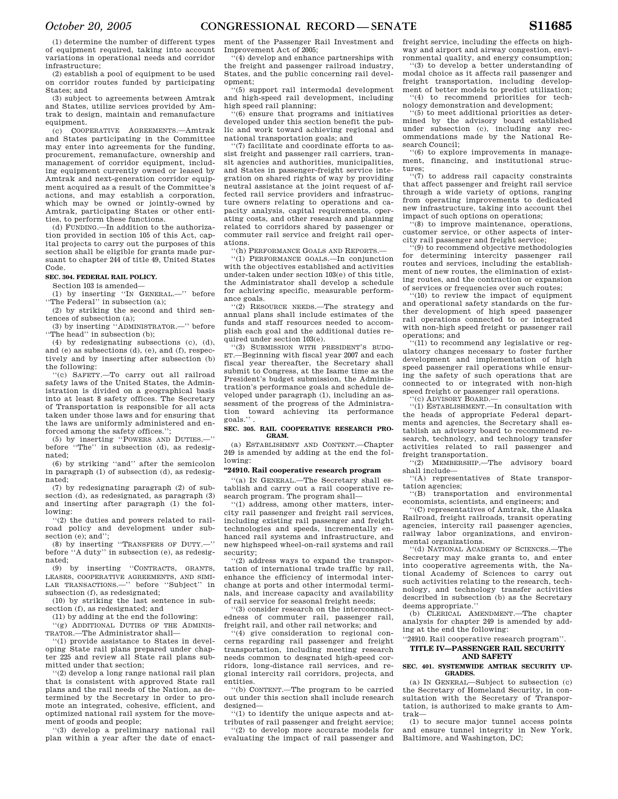(1) determine the number of different types of equipment required, taking into account variations in operational needs and corridor infrastructure;

(2) establish a pool of equipment to be used on corridor routes funded by participating States; and

(3) subject to agreements between Amtrak and States, utilize services provided by Amtrak to design, maintain and remanufacture equipment.

(c) COOPERATIVE AGREEMENTS.—Amtrak and States participating in the Committee may enter into agreements for the funding, procurement, remanufacture, ownership and management of corridor equipment, including equipment currently owned or leased by Amtrak and next-generation corridor equipment acquired as a result of the Committee's actions, and may establish a corporation, which may be owned or jointly-owned by Amtrak, participating States or other entities, to perform these functions.

 $(d)$  FUNDING  $\equiv$  In addition to the authorization provided in section 105 of this Act, capital projects to carry out the purposes of this section shall be eligible for grants made pursuant to chapter 244 of title 49, United States Code.

## **SEC. 304. FEDERAL RAIL POLICY.**

Section 103 is amended—

(1) by inserting ''IN GENERAL.—'' before "The Federal" in subsection (a);

(2) by striking the second and third sentences of subsection (a);

(3) by inserting ''ADMINISTRATOR.—'' before "The head" in subsection (b);

(4) by redesignating subsections (c), (d), and (e) as subsections (d), (e), and (f), respectively and by inserting after subsection (b) the following:

''(c) SAFETY.—To carry out all railroad safety laws of the United States, the Administration is divided on a geographical basis into at least 8 safety offices. The Secretary of Transportation is responsible for all acts taken under those laws and for ensuring that the laws are uniformly administered and enforced among the safety offices."

(5) by inserting ''POWERS AND DUTIES.—'' before ''The'' in subsection (d), as redesignated;

(6) by striking ''and'' after the semicolon in paragraph (1) of subsection (d), as redesignated;

(7) by redesignating paragraph (2) of subsection (d), as redesignated, as paragraph (3) and inserting after paragraph (1) the following:

''(2) the duties and powers related to railroad policy and development under subsection (e); and":

(8) by inserting ''TRANSFERS OF DUTY.—'' before ''A duty'' in subsection (e), as redesignated;

(9) by inserting ''CONTRACTS, GRANTS, LEASES, COOPERATIVE AGREEMENTS, AND SIMI-LAR TRANSACTIONS.—'' before ''Subject'' in subsection (f), as redesignated;

(10) by striking the last sentence in subsection (f), as redesignated; and

(11) by adding at the end the following:

'(g) ADDITIONAL DUTIES OF THE ADMINIS-TRATOR.—The Administrator shall—

''(1) provide assistance to States in developing State rail plans prepared under chapter 225 and review all State rail plans submitted under that section;

''(2) develop a long range national rail plan that is consistent with approved State rail plans and the rail needs of the Nation, as determined by the Secretary in order to promote an integrated, cohesive, efficient, and optimized national rail system for the movement of goods and people;

''(3) develop a preliminary national rail plan within a year after the date of enact-

ment of the Passenger Rail Investment and Improvement Act of 2005;

''(4) develop and enhance partnerships with the freight and passenger railroad industry, States, and the public concerning rail development;

''(5) support rail intermodal development and high-speed rail development, including high speed rail planning;

''(6) ensure that programs and initiatives developed under this section benefit the public and work toward achieving regional and national transportation goals; and

''(7) facilitate and coordinate efforts to assist freight and passenger rail carriers, transit agencies and authorities, municipalities, and States in passenger-freight service integration on shared rights of way by providing neutral assistance at the joint request of affected rail service providers and infrastructure owners relating to operations and capacity analysis, capital requirements, operating costs, and other research and planning related to corridors shared by passenger or commuter rail service and freight rail operations.

''(h) PERFORMANCE GOALS AND REPORTS.—

''(1) PERFORMANCE GOALS.—In conjunction with the objectives established and activities under-taken under section 103(e) of this title, the Administrator shall develop a schedule for achieving specific, measurable performance goals.

''(2) RESOURCE NEEDS.—The strategy and annual plans shall include estimates of the funds and staff resources needed to accomplish each goal and the additional duties required under section 103(e).

''(3) SUBMISSION WITH PRESIDENT'S BUDG-ET.—Beginning with fiscal year 2007 and each fiscal year thereafter, the Secretary shall submit to Congress, at the Isame time as the President's budget submission, the Administration's performance goals and schedule developed under paragraph (1), including an assessment of the progress of the Administration toward achieving its performance goals.'' .

#### **SEC. 305. RAIL COOPERATIVE RESEARCH PRO-GRAM.**

(a) ESTABLISHMNT AND CONTENT.—Chapter 249 is amended by adding at the end the following:

## **''24910. Rail cooperative research program**

''(a) IN GENERAL.—The Secretary shall establish and carry out a rail cooperative research program. The program shall—

''(1) address, among other matters, intercity rail passenger and freight rail services, including existing rail passenger and freight technologies and speeds, incrementally enhanced rail systems and infrastructure, and new highspeed wheel-on-rail systems and rail security;

''(2) address ways to expand the transportation of international trade traffic by rail, enhance the efficiency of intermodal interchange at ports and other intermodal terminals, and increase capacity and availability of rail service for seasonal freight needs;

''(3) consider research on the interconnectedness of commuter rail, passenger rail, freight rail, and other rail networks; and

''(4) give consideration to regional concerns regarding rail passenger and freight transportation, including meeting research needs common to desgnated high-speed corridors, long-distance rail services, and regional intercity rail corridors, projects, and entities.

''(b) CONTENT.—The program to be carried out under this section shall include research designed—

 $''(1)$  to identify the unique aspects and attributes of rail passenger and freight service; ''(2) to develop more accurate models for evaluating the impact of rail passenger and

freight service, including the effects on highway and airport and airway congestion, environmental quality, and energy consumption;

''(3) to develop a better understanding of modal choice as it affects rail passenger and freight transportation, including development of better models to predict utilization; ''(4) to recommend priorities for tech-

nology demonstration and development;

''(5) to meet additional priorities as determined by the advisory board established under subsection (c), including any recommendations made by the National Research Council;

''(6) to explore improvements in management, financing, and institutional structures;

''(7) to address rail capacity constraints that affect passenger and freight rail service through a wide variety of options, ranging from operating improvements to dedicated new infrastructure, taking into account thei impact of such options on operations;

 $(8)$  to improve maintenance, operations, customer service, or other aspects of intercity rail passenger and freight service;

 $\tilde{f}(9)$  to recommend objective methodologies for determining intercity passenger rail routes and services, including the establishment of new routes, the elimination of existing routes, and the contraction or expansion of services or frequencies over such routes;

''(10) to review the impact of equipment and operational safety standards on the further development of high speed passenger rail operations connected to or integrated with non-high speed freight or passenger rail operations; and

 $(11)$  to recommend any legislative or regulatory changes necessary to foster further development and implementation of high speed passenger rail operations while ensuring the safety of such operations that are connected to or integrated with non-high speed freight or passenger rail operations. '(c) ADVISORY BOARD.-

''(1) ESTABLISHMENT.—In consultation with the heads of appropriate Federal departments and agencies, the Secretary shall establish an advisory board to recommend research, technology, and technology transfer activities related to rail passenger and freight transportation.

''(2) MEMBERSHIP.—The advisory board shall include—

''(A) representatives of State transportation agencies;

''(B) transportation and environmental economists, scientists, and engineers; and

''(C) representatives of Amtrak, the Alaska Railroad, freight railroads, transit operating agencies, intercity rail passenger agencies, railway labor organizations, and environmental organizations.

''(d) NATIONAL ACADEMY OF SCIENCES.—The Secretary may make grants to, and enter into cooperative agreements with, the National Academy of Sciences to carry out such activities relating to the research, technology, and technology transfer activities described in subsection (b) as the Secretary deems appropriate.''

(b) CLERICAL AMENDMENT.—The chapter analysis for chapter 249 is amended by adding at the end the following:

### ''24910. Rail cooperative research program''. **TITLE IV—PASSENGER RAIL SECURITY AND SAFETY**

#### **SEC. 401. SYSTEMWIDE AMTRAK SECURITY UP-GRADES.**

(a) IN GENERAL—Subject to subsection (c) the Secretary of Homeland Security, in consultation with the Secretary of Transportation, is authorized to make grants to Amtrak—

(1) to secure major tunnel access points and ensure tunnel integrity in New York, Baltimore, and Washington, DC;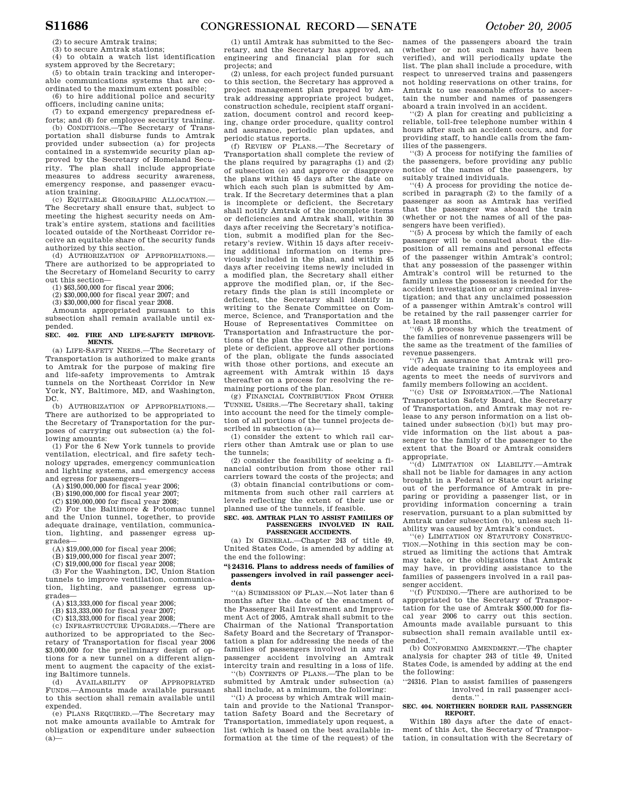(2) to secure Amtrak trains;

(3) to secure Amtrak stations; (4) to obtain a watch list identification

system approved by the Secretary:

(5) to obtain train tracking and interoperable communications systems that are coordinated to the maximum extent possible;

(6) to hire additional police and security officers, including canine units;

(7) to expand emergency preparedness efforts; and (8) for employee security training.

(b) CONDITIONS.—The Secretary of Transportation shall disburse funds to Amtrak provided under subsection (a) for projects contained in a systemwide security plan approved by the Secretary of Homeland Security. The plan shall include appropriate measures to address security awareness, emergency response, and passenger evacuation training.

(c) EQUITABLE GEOGRAPHIC ALLOCATION.— The Secretary shall ensure that, subject to meeting the highest security needs on Amtrak's entire system, stations and facilities located outside of the Northeast Corridor receive an equitable share of the security funds authorized by this section.

(d) AUTHORIZATION OF APPROPRIATIONS. There are authorized to be appropriated to the Secretary of Homeland Security to carry out this section—

(1) \$63,500,000 for fiscal year 2006;

(2) \$30,000,000 for fiscal year 2007; and

(3) \$30,000,000 for fiscal year 2008.

Amounts appropriated pursuant to this subsection shall remain available until expended.

**SEC. 402. FIRE AND LIFE-SAFETY IMPROVE-MENTS.** 

(a) LIFE-SAFETY NEEDS.—The Secretary of Transportation is authorized to make grants to Amtrak for the purpose of making fire and life-safety improvements to Amtrak tunnels on the Northeast Corridor in New York, NY, Baltimore, MD, and Washington, DC.

(b) AUTHORIZATION OF APPROPRIATIONS. There are authorized to be appropriated to the Secretary of Transportation for the purposes of carrying out subsection (a) the following amounts:

(1) For the 6 New York tunnels to provide ventilation, electrical, and fire safety technology upgrades, emergency communication and lighting systems, and emergency access and egress for passengers—

(A) \$190,000,000 for fiscal year 2006;

(B) \$190,000,000 for fiscal year 2007;

(C) \$190,000,000 for fiscal year 2008;

(2) For the Baltimore & Potomac tunnel and the Union tunnel, together, to provide adequate drainage, ventilation, communication, lighting, and passenger egress upgrades—

(A) \$19,000,000 for fiscal year 2006;

(B) \$19,000,000 for fiscal year 2007;

(C) \$19,000,000 for fiscal year 2008;

(3) For the Washington, DC, Union Station tunnels to improve ventilation, communication, lighting, and passenger egress upgrades—

(A) \$13,333,000 for fiscal year 2006;

(B) \$13,333,000 for fiscal year 2007;

(C) \$13,333,000 for fiscal year 2008; (c) INFRASTRUCTURE UPGRADES.—There are

authorized to be appropriated to the Secretary of Transportation for fiscal year 2006 \$3,000,000 for the preliminary design of options for a new tunnel on a different alignment to augment the capacity of the exist-

ing Baltimore tunnels.<br>(d) AVAILABILITY (d) AVAILABILITY OF APPROPRIATED FUNDS.—Amounts made available pursuant to this section shall remain available until expended.

(e) PLANS REQUIRED.—The Secretary may not make amounts available to Amtrak for obligation or expenditure under subsection  $(a)$ 

(1) until Amtrak has submitted to the Secretary, and the Secretary has approved, an engineering and financial plan for such projects; and

(2) unless, for each project funded pursuant to this section, the Secretary has approved a project management plan prepared by Amtrak addressing appropriate project budget, construction schedule, recipient staff organization, document control and record keeping, change order procedure, quality control and assurance, periodic plan updates, and periodic status reports.

(f) REVIEW OF PLANS.—The Secretary of Transportation shall complete the review of the plans required by paragraphs (1) and (2) of subsection (e) and approve or disapprove the plans within 45 days after the date on which each such plan is submitted by Amtrak. If the Secretary determines that a plan is incomplete or deficient, the Secretary shall notify Amtrak of the incomplete items or deficiencies and Amtrak shall, within 30 days after receiving the Secretary's notification, submit a modified plan for the Secretary's review. Within 15 days after receiving additional information on items previously included in the plan, and within 45 days after receiving items newly included in a modified plan, the Secretary shall either approve the modified plan, or, if the Secretary finds the plan is still incomplete or deficient, the Secretary shall identify in writing to the Senate Committee on Commerce, Science, and Transportation and the House of Representatives Committee on Transportation and Infrastructure the portions of the plan the Secretary finds incomplete or deficient, approve all other portions of the plan, obligate the funds associated with those other portions, and execute an agreement with Amtrak within 15 days thereafter on a process for resolving the remaining portions of the plan.

(g) FINANCIAL CONTRIBUTION FROM OTHER TUNNEL USERS.—The Secretary shall, taking into account the need for the timely completion of all portions of the tunnel projects described in subsection (a)—

(1) consider the extent to which rail carriers other than Amtrak use or plan to use the tunnels;

(2) consider the feasibility of seeking a financial contribution from those other rail carriers toward the costs of the projects; and

(3) obtain financial contributions or commitments from such other rail carriers at levels reflecting the extent of their use or planned use of the tunnels, if feasible.

#### **SEC. 403. AMTRAK PLAN TO ASSIST FAMILIES OF PASSENGERS INVOLVED IN RAIL PASSENGER ACCIDENTS.**

(a) IN GENERAL.—Chapter 243 of title 49, United States Code, is amended by adding at the end the following:

### **''§ 24316. Plans to address needs of families of passengers involved in rail passenger accidents**

''(a) SUBMISSION OF PLAN.—Not later than 6 months after the date of the enactment of the Passenger Rail Investment and Improvement Act of 2005, Amtrak shall submit to the Chairman of the National Transportation Safety Board and the Secretary of Transportation a plan for addressing the needs of the families of passengers involved in any rail passenger accident involving an Amtrak intercity train and resulting in a loss of life.

''(b) CONTENTS OF PLANS.—The plan to be submitted by Amtrak under subsection (a) shall include, at a minimum, the following:

''(1) A process by which Amtrak will maintain and provide to the National Transportation Safety Board and the Secretary of Transportation, immediately upon request, a list (which is based on the best available information at the time of the request) of the

names of the passengers aboard the train (whether or not such names have been verified), and will periodically update the list. The plan shall include a procedure, with respect to unreserved trains and passengers not holding reservations on other trains, for Amtrak to use reasonable efforts to ascertain the number and names of passengers aboard a train involved in an accident.

''(2) A plan for creating and publicizing a reliable, toll-free telephone number within 4 hours after such an accident occurs, and for providing staff, to handle calls from the families of the passengers.

''(3) A process for notifying the families of the passengers, before providing any public notice of the names of the passengers, by suitably trained individuals.

''(4) A process for providing the notice described in paragraph (2) to the family of a passenger as soon as Amtrak has verified that the passenger was aboard the train (whether or not the names of all of the passengers have been verified).

''(5) A process by which the family of each passenger will be consulted about the disposition of all remains and personal effects of the passenger within Amtrak's control; that any possession of the passenger within Amtrak's control will be returned to the family unless the possession is needed for the accident investigation or any criminal investigation; and that any unclaimed possession of a passenger within Amtrak's control will be retained by the rail passenger carrier for at least 18 months.

''(6) A process by which the treatment of the families of nonrevenue passengers will be the same as the treatment of the families of revenue passengers.

''(7) An assurance that Amtrak will provide adequate training to its employees and agents to meet the needs of survivors and family members following an accident.

''(c) USE OF INFORMATION.—The National Transportation Safety Board, the Secretary of Transportation, and Amtrak may not release to any person information on a list obtained under subsection (b)(l) but may provide information on the list about a passenger to the family of the passenger to the extent that the Board or Amtrak considers appropriate.

(d) LIMITATION ON LIABILITY.—Amtrak shall not be liable for damages in any action brought in a Federal or State court arising out of the performance of Amtrak in preparing or providing a passenger list, or in providing information concerning a train reservation, pursuant to a plan submitted by Amtrak under subsection (b), unless such liability was caused by Amtrak's conduct.

''(e) LIMITATION ON STATUTORY CONSTRUC-TION.—Nothing in this section may be construed as limiting the actions that Amtrak may take, or the obligations that Amtrak may have, in providing assistance to the families of passengers involved in a rail passenger accident.

''(f) FUNDING.—There are authorized to be appropriated to the Secretary of Transportation for the use of Amtrak \$500,000 for fiscal year 2006 to carry out this section. Amounts made available pursuant to this subsection shall remain available until expended.''.

(b) CONFORMING AMENDMENT.—The chapter analysis for chapter 243 of title 49, United States Code, is amended by adding at the end the following:

''24316. Plan to assist families of passengers involved in rail passenger accidents."

#### **SEC. 404. NORTHERN BORDER RAIL PASSENGER REPORT.**

Within 180 days after the date of enactment of this Act, the Secretary of Transportation, in consultation with the Secretary of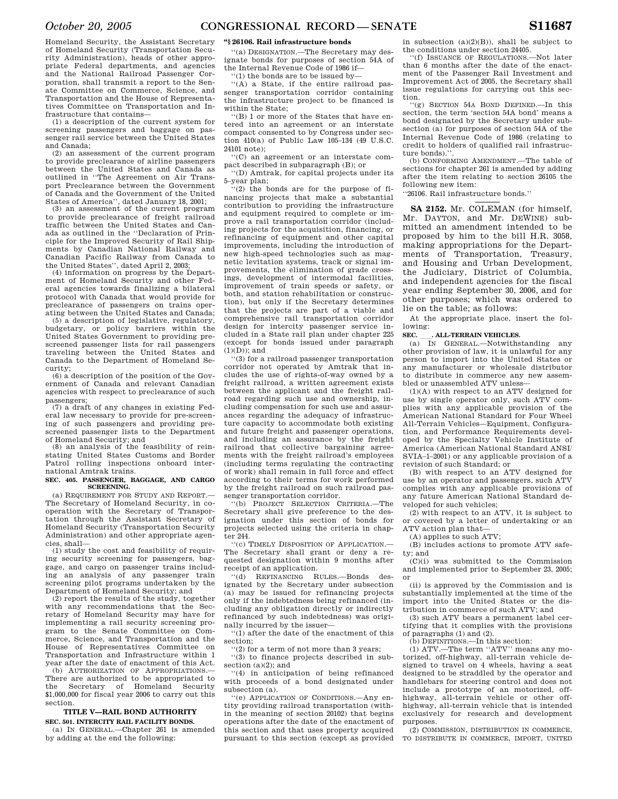Homeland Security, the Assistant Secretary of Homeland Security (Transportation Security Administration), heads of other appropriate Federal departments, and agencies and the National Railroad Passenger Corporation, shall transmit a report to the Senate Committee on Commerce, Science, and Transportation and the House of Representatives Committee on Transportation and Infrastructure that contains—

(1) a description of the current system for screening passengers and baggage on passenger rail service between the United States and Canada;

(2) an assessment of the current program to provide preclearance of airline passengers between the United States and Canada as outlined in ''The Agreement on Air Transport Preclearance between the Government of Canada and the Government of the United

States of America'', dated January 18, 2001; (3) an assessment of the current program to provide preclearance of freight railroad traffic between the United States and Canada as outlined in the ''Declaration of Principle for the Improved Security of Rail Shipments by Canadian National Railway and Canadian Pacific Railway from Canada to the United States'', dated April 2, 2003;

(4) information on progress by the Department of Homeland Security and other Federal agencies towards finalizing a bilateral protocol with Canada that would provide for preclearance of passengers on trains operating between the United States and Canada;

(5) a description of legislative, regulatory, budgetary, or policy barriers within the United States Government to providing prescreened passenger lists for rail passengers traveling between the United States and Canada to the Department of Homeland Security;

(6) a description of the position of the Government of Canada and relevant Canadian agencies with respect to preclearance of such passengers;

(7) a draft of any changes in existing Federal law necessary to provide for pre-screening of such passengers and providing prescreened passenger lists to the Department of Homeland Security; and

(8) an analysis of the feasibility of reinstating United States Customs and Border Patrol rolling inspections onboard international Amtrak trains.

#### **SEC. 405. PASSENGER, BAGGAGE, AND CARGO SCREENING.**

(a) REQUIREMENT FOR STUDY AND REPORT.— The Secretary of Homeland Security, in cooperation with the Secretary of Transportation through the Assistant Secretary of Homeland Security (Transportation Security Administration) and other appropriate agencies, shall—

(1) study the cost and feasibility of requiring security screening for passengers, baggage, and cargo on passenger trains including an analysis of any passenger train screening pilot programs undertaken by the Department of Homeland Security; and

 $(2)$  report the results of the study, together with any recommendations that the Secretary of Homeland Security may have for implementing a rail security screening program to the Senate Committee on Commerce, Science, and Transportation and the House of Representatives Committee on Transportation and Infrastructure within 1 year after the date of enactment of this Act. (b) AUTHORIZATION OF APPROPRIATIONS.

There are authorized to be appropriated to the Secretary of Homeland Security \$1,000,000 for fiscal year 2006 to carry out this section.

## **TITLE V—RAIL BOND AUTHORITY SEC. 501. INTERCITY RAIL FACILITY BONDS.**

(a) IN GENERAL.—Chapter 261 is amended by adding at the end the following:

## **''§ 26106. Rail infrastructure bonds**

''(a) DESIGNATION.—The Secretary may designate bonds for purposes of section 54A of the Internal Revenue Code of 1986 if—

''(1) the bonds are to be issued by—

''(A) a State, if the entire railroad passenger transportation corridor containing the infrastructure project to be financed is within the State;

''(B) 1 or more of the States that have entered into an agreement or an interstate compact consented to by Congress under section 410(a) of Public Law 105–134 (49 U.S.C. 24101 note);

''(C) an agreement or an interstate compact described in subparagraph (B); or

''(D) Amtrak, for capital projects under its 5–year plan;

 $(2)$  the bonds are for the purpose of financing projects that make a substantial contribution to providing the infrastructure and equipment required to complete or improve a rail transportation corridor (including projects for the acquisition, financing, or refinancing of equipment and other capital improvements, including the introduction of new high-speed technologies such as magnetic levitation systems, track or signal improvements, the elimination of grade crossings, development of intermodal facilities, improvement of train speeds or safety, or both, and station rehabilitation or construction), but only if the Secretary determines that the projects are part of a viable and comprehensive rail transportation corridor design for intercity passenger service included in a State rail plan under chapter 225 (except for bonds issued under paragraph  $(1)(D)$ ; and

''(3) for a railroad passenger transportation corridor not operated by Amtrak that includes the use of rights-of-way owned by a freight railroad, a written agreement exists between the applicant and the freight railroad regarding such use and ownership, including compensation for such use and assurances regarding the adequacy of infrastructure capacity to accommodate both existing and future freight and passenger operations, and including an assurance by the freight railroad that collective bargaining agreements with the freight railroad's employees (including terms regulating the contracting of work) shall remain in full force and effect according to their terms for work performed by the freight railroad on such railroad passenger transportation corridor.

'(b) PROJECT SELECTION CRITERIA.—The Secretary shall give preference to the designation under this section of bonds for projects selected using the criteria in chapter 244.

''(c) TIMELY DISPOSITION OF APPLICATION.— The Secretary shall grant or deny a requested designation within 9 months after receipt of an application.

''(d) REFINANCING RULES.—Bonds designated by the Secretary under subsection (a) may be issued for refinancing projects only if the indebtedness being refinanced (including any obligation directly or indirectly refinanced by such indebtedness) was originally incurred by the issuer—

''(1) after the date of the enactment of this section;

''(2) for a term of not more than 3 years;

''(3) to finance projects described in subsection (a)(2); and

''(4) in anticipation of being refinanced with proceeds of a bond designated under subsection (a).

''(e) APPLICATION OF CONDITIONS.—Any entity providing railroad transportation (within the meaning of section 20102) that begins operations after the date of the enactment of this section and that uses property acquired pursuant to this section (except as provided

in subsection  $(a)(2)(B)$ ), shall be subject to the conditions under section 24405.

''(f) ISSUANCE OF REGULATIONS.—Not later than 6 months after the date of the enactment of the Passenger Rail Investment and Improvement Act of 2005, the Secretary shall issue regulations for carrying out this section.

''(g) SECTION 54A BOND DEFINED.—In this section, the term 'section 54A bond' means a bond designated by the Secretary under subsection (a) for purposes of section 54A of the Internal Revenue Code of 1986 (relating to credit to holders of qualified rail infrastructure bonds)''

(b) CONFORMING AMENDMENT.—The table of sections for chapter 261 is amended by adding after the item relating to section 26105 the following new item:

''26106. Rail infrastructure bonds.''

**SA 2152.** Mr. COLEMAN (for himself, Mr. DAYTON, and Mr. DEWINE) submitted an amendment intended to be proposed by him to the bill H.R. 3058, making appropriations for the Departments of Transportation, Treasury, and Housing and Urban Development, the Judiciary, District of Columbia, and independent agencies for the fiscal year ending September 30, 2006, and for other purposes; which was ordered to lie on the table; as follows:

At the appropriate place, insert the following:

**SEC. \_\_\_. ALL-TERRAIN VEHICLES.**<br>(a) IN GENERAL.—Notwithstanding any other provision of law, it is unlawful for any person to import into the United States or any manufacturer or wholesale distributor to distribute in commerce any new assembled or unassembled ATV unless—

(1)(A) with respect to an ATV designed for use by single operator only, such ATV complies with any applicable provision of the American National Standard for Four Wheel All-Terrain Vehicles—Equipment, Configuration, and Performance Requirements developed by the Specialty Vehicle Institute of America (American National Standard ANSI/ SVIA–1–2001) or any applicable provision of a revision of such Standard; or

(B) with respect to an ATV designed for use by an operator and passengers, such ATV complies with any applicable provisions of any future American National Standard developed for such vehicles;

(2) with respect to an ATV, it is subject to or covered by a letter of undertaking or an ATV action plan that—

(A) applies to such ATV;

(B) includes actions to promote ATV safety; and

(C)(i) was submitted to the Commission and implemented prior to September 23, 2005; or

(ii) is approved by the Commission and is substantially implemented at the time of the import into the United States or the distribution in commerce of such ATV; and

(3) such ATV bears a permanent label certifying that it complies with the provisions of paragraphs (1) and (2).

(b) DEFINITIONS.—In this section: (1) ATV.—The term ''ATV'' means any motorized, off-highway, all-terrain vehicle designed to travel on 4 wheels, having a seat designed to be straddled by the operator and handlebars for steering control and does not include a prototype of an motorized, offhighway, all-terrain vehicle or other offhighway, all-terrain vehicle that is intended exclusively for research and development purposes.

(2) COMMISSION, DISTRIBUTION IN COMMERCE, TO DISTRIBUTE IN COMMERCE, IMPORT, UNITED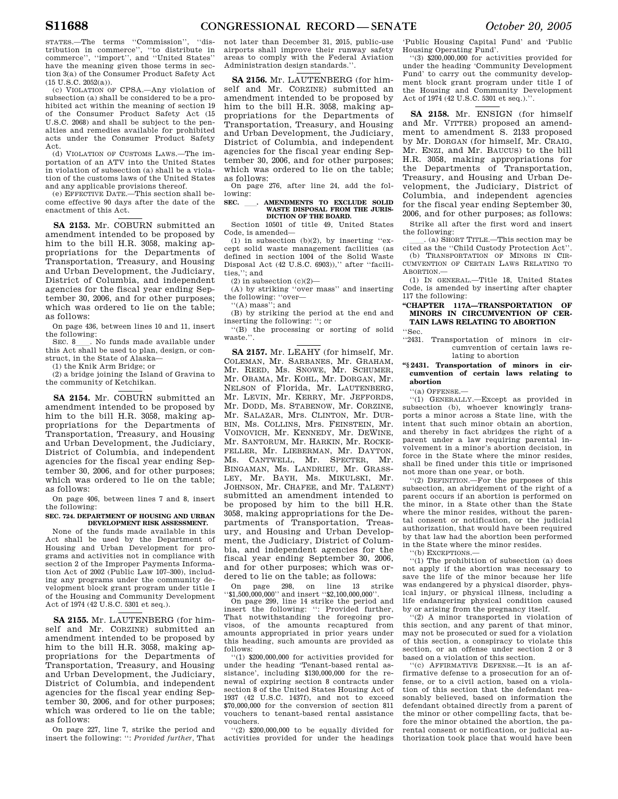STATES.—The terms ''Commission'', ''distribution in commerce'', ''to distribute in commerce'', ''import'', and ''United States'' have the meaning given those terms in section 3(a) of the Consumer Product Safety Act  $(15 \text{ U.S.C. } 2052(a)).$ 

(c) VIOLATION OF CPSA.—Any violation of subsection (a) shall be considered to be a prohibited act within the meaning of section 19 of the Consumer Product Safety Act (15 U.S.C. 2068) and shall be subject to the penalties and remedies available for prohibited acts under the Consumer Product Safety Act.

(d) VIOLATION OF CUSTOMS LAWS.—The importation of an ATV into the United States in violation of subsection (a) shall be a violation of the customs laws of the United States and any applicable provisions thereof.

(e) EFFECTIVE DATE.—This section shall become effective 90 days after the date of the enactment of this Act.

**SA 2153.** Mr. COBURN submitted an amendment intended to be proposed by him to the bill H.R. 3058, making appropriations for the Departments of Transportation, Treasury, and Housing and Urban Development, the Judiciary, District of Columbia, and independent agencies for the fiscal year ending September 30, 2006, and for other purposes; which was ordered to lie on the table; as follows:

On page 436, between lines 10 and 11, insert the following:<br>SEC. 8 . No funds made available under

SEC. 8<sub>ll</sub>. No funds made available under this Act shall be used to plan, design, or construct, in the State of Alaska—

(1) the Knik Arm Bridge; or

(2) a bridge joining the Island of Gravina to the community of Ketchikan.

**SA 2154.** Mr. COBURN submitted an amendment intended to be proposed by him to the bill H.R. 3058, making appropriations for the Departments of Transportation, Treasury, and Housing and Urban Development, the Judiciary, District of Columbia, and independent agencies for the fiscal year ending September 30, 2006, and for other purposes; which was ordered to lie on the table; as follows:

On page 406, between lines 7 and 8, insert the following:

**SEC. 724. DEPARTMENT OF HOUSING AND URBAN DEVELOPMENT RISK ASSESSMENT.** 

None of the funds made available in this Act shall be used by the Department of Housing and Urban Development for programs and activities not in compliance with section 2 of the Improper Payments Information Act of 2002 (Public Law 107–300), including any programs under the community development block grant program under title I of the Housing and Community Development Act of 1974 (42 U.S.C. 5301 et seq.).

**SA 2155.** Mr. LAUTENBERG (for himself and Mr. CORZINE) submitted an amendment intended to be proposed by him to the bill H.R. 3058, making appropriations for the Departments of Transportation, Treasury, and Housing and Urban Development, the Judiciary, District of Columbia, and independent agencies for the fiscal year ending September 30, 2006, and for other purposes; which was ordered to lie on the table; as follows:

On page 227, line 7, strike the period and insert the following: '': *Provided further,* That

not later than December 31, 2015, public-use airports shall improve their runway safety areas to comply with the Federal Aviation Administration design standards.''.

**SA 2156.** Mr. LAUTENBERG (for himself and Mr. CORZINE) submitted an amendment intended to be proposed by him to the bill H.R. 3058, making appropriations for the Departments of Transportation, Treasury, and Housing and Urban Development, the Judiciary, District of Columbia, and independent agencies for the fiscal year ending September 30, 2006, and for other purposes; which was ordered to lie on the table; as follows:

On page 276, after line 24, add the following:

## SEC. \_\_\_\_. AMENDMENTS TO EXCLUDE SOLID WASTE DISPOSAL FROM THE JURIS-**DICTION OF THE BOARD.**

Section 10501 of title 49, United States Code, is amended—

(1) in subsection (b)(2), by inserting "except solid waste management facilities (as defined in section 1004 of the Solid Waste Disposal Act (42 U.S.C. 6903))," after "facilities,''; and

(2) in subsection  $(c)(2)$ —

(A) by striking ''over mass'' and inserting the following: ''over—

''(A) mass''; and

(B) by striking the period at the end and inserting the following: ''; or

''(B) the processing or sorting of solid waste<sup>'</sup>

**SA 2157.** Mr. LEAHY (for himself, Mr. COLEMAN, Mr. SARBANES, Mr. GRAHAM, Mr. REED, Ms. SNOWE, Mr. SCHUMER, Mr. OBAMA, Mr. KOHL, Mr. DORGAN, Mr. NELSON of Florida, Mr. LAUTENBERG, Mr. LEVIN, Mr. KERRY, Mr. JEFFORDS, Mr. DODD, Ms. STABENOW, Mr. CORZINE, Mr. SALAZAR, Mrs. CLINTON, Mr. DUR-BIN, Ms. COLLINS, Mrs. FEINSTEIN, Mr. VOINOVICH, Mr. KENNEDY, Mr. DEWINE, Mr. SANTORUM, Mr. HARKIN, Mr. ROCKE-FELLER, Mr. LIEBERMAN, Mr. DAYTON, Ms. CANTWELL, Mr. SPECTER, Mr. BINGAMAN, Ms. LANDRIEU, Mr. GRASS-LEY, Mr. BAYH, Ms. MIKULSKI, Mr. JOHNSON, Mr. CHAFEE, and Mr. TALENT) submitted an amendment intended to be proposed by him to the bill H.R. 3058, making appropriations for the Departments of Transportation, Treasury, and Housing and Urban Development, the Judiciary, District of Columbia, and independent agencies for the fiscal year ending September 30, 2006, and for other purposes; which was ordered to lie on the table; as follows:

On page 298, on line 13 strike ''\$1,500,000,000'' and insert ''\$2,100,000,000''.

On page 299, line 14 strike the period and insert the following: '': Provided further, That notwithstanding the foregoing provisos, of the amounts recaptured from amounts appropriated in prior years under this heading, such amounts are provided as follows:

''(1) \$200,000,000 for activities provided for under the heading 'Tenant-based rental assistance', including \$130,000,000 for the renewal of expiring section 8 contracts under section 8 of the United States Housing Act of 1937 (42 U.S.C. 1437f), and not to exceed \$70,000,000 for the conversion of section 811 vouchers to tenant-based rental assistance vouchers.

''(2) \$200,000,000 to be equally divided for activities provided for under the headings

'Public Housing Capital Fund' and 'Public Housing Operating Fund'.

''(3) \$200,000,000 for activities provided for under the heading 'Community Development Fund' to carry out the community development block grant program under title I of the Housing and Community Development Act of 1974 (42 U.S.C. 5301 et seq.).''.

**SA 2158.** Mr. ENSIGN (for himself and Mr. VITTER) proposed an amendment to amendment S. 2133 proposed by Mr. DORGAN (for himself, Mr. CRAIG, Mr. ENZI, and Mr. BAUCUS) to the bill H.R. 3058, making appropriations for the Departments of Transportation, Treasury, and Housing and Urban Development, the Judiciary, District of Columbia, and independent agencies for the fiscal year ending September 30, 2006, and for other purposes; as follows:

Strike all after the first word and insert the following:<br>. (a) SHORT TITLE.—This section may be

ll. (a) SHORT TITLE.—This section may be cited as the ''Child Custody Protection Act''.

(b) TRANSPORTATION OF MINORS IN CIR-CUMVENTION OF CERTAIN LAWS RELATING TO ABORTION.—

(1) IN GENERAL.—Title 18, United States Code, is amended by inserting after chapter 117 the following:

## **''CHAPTER 117A—TRANSPORTATION OF MINORS IN CIRCUMVENTION OF CER-TAIN LAWS RELATING TO ABORTION**

''Sec.

''2431. Transportation of minors in circumvention of certain laws relating to abortion

## **''§ 2431. Transportation of minors in circumvention of certain laws relating to abortion**

''(a) OFFENSE.—

''(1) GENERALLY.—Except as provided in subsection (b), whoever knowingly transports a minor across a State line, with the intent that such minor obtain an abortion, and thereby in fact abridges the right of a parent under a law requiring parental involvement in a minor's abortion decision, in force in the State where the minor resides, shall be fined under this title or imprisoned not more than one year, or both.

''(2) DEFINITION.—For the purposes of this subsection, an abridgement of the right of a parent occurs if an abortion is performed on the minor, in a State other than the State where the minor resides, without the parental consent or notification, or the judicial authorization, that would have been required by that law had the abortion been performed in the State where the minor resides.

''(b) EXCEPTIONS.—

''(1) The prohibition of subsection (a) does not apply if the abortion was necessary to save the life of the minor because her life was endangered by a physical disorder, physical injury, or physical illness, including a life endangering physical condition caused by or arising from the pregnancy itself.

''(2) A minor transported in violation of this section, and any parent of that minor, may not be prosecuted or sued for a violation of this section, a conspiracy to violate this section, or an offense under section 2 or 3 based on a violation of this section.

''(c) AFFIRMATIVE DEFENSE.—It is an affirmative defense to a prosecution for an offense, or to a civil action, based on a violation of this section that the defendant reasonably believed, based on information the defendant obtained directly from a parent of the minor or other compelling facts, that before the minor obtained the abortion, the parental consent or notification, or judicial authorization took place that would have been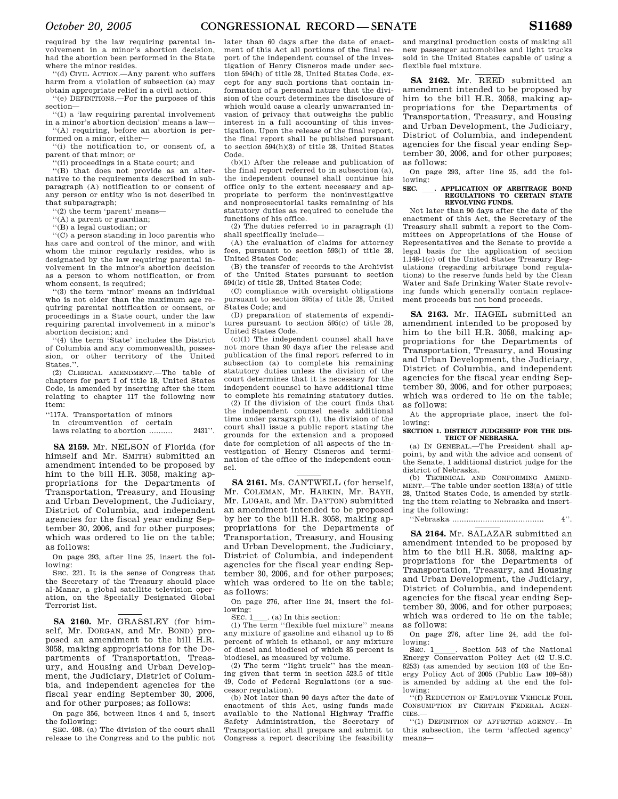required by the law requiring parental involvement in a minor's abortion decision, had the abortion been performed in the State where the minor resides.

''(d) CIVIL ACTION.—Any parent who suffers harm from a violation of subsection (a) may obtain appropriate relief in a civil action.

''(e) DEFINITIONS.—For the purposes of this section—

''(1) a 'law requiring parental involvement in a minor's abortion decision' means a law— ''(A) requiring, before an abortion is per-

formed on a minor, either— ''(i) the notification to, or consent of, a parent of that minor; or

''(ii) proceedings in a State court; and

''(B) that does not provide as an alternative to the requirements described in subparagraph (A) notification to or consent of any person or entity who is not described in that subparagraph;

'(2) the term 'parent' means-

''(A) a parent or guardian;

''(B) a legal custodian; or

''(C) a person standing in loco parentis who has care and control of the minor, and with whom the minor regularly resides, who is designated by the law requiring parental involvement in the minor's abortion decision as a person to whom notification, or from whom consent, is required;

''(3) the term 'minor' means an individual who is not older than the maximum age requiring parental notification or consent, or proceedings in a State court, under the law requiring parental involvement in a minor's abortion decision; and

''(4) the term 'State' includes the District of Columbia and any commonwealth, possession, or other territory of the United States.''.

(2) CLERICAL AMENDMENT.—The table of chapters for part I of title 18, United States Code, is amended by inserting after the item relating to chapter 117 the following new item:

''117A. Transportation of minors

in circumvention of certain

laws relating to abortion .......... 2431''.

**SA 2159.** Mr. NELSON of Florida (for himself and Mr. SMITH) submitted an amendment intended to be proposed by him to the bill H.R. 3058, making appropriations for the Departments of Transportation, Treasury, and Housing and Urban Development, the Judiciary, District of Columbia, and independent agencies for the fiscal year ending September 30, 2006, and for other purposes; which was ordered to lie on the table; as follows:

On page 293, after line 25, insert the following:

SEC. 221. It is the sense of Congress that the Secretary of the Treasury should place al-Manar, a global satellite television operation, on the Specially Designated Global Terrorist list.

**SA 2160.** Mr. GRASSLEY (for himself, Mr. DORGAN, and Mr. BOND) proposed an amendment to the bill H.R. 3058, making appropriations for the Departments of Transportation, Treasury, and Housing and Urban Development, the Judiciary, District of Columbia, and independent agencies for the fiscal year ending September 30, 2006, and for other purposes; as follows:

On page 356, between lines 4 and 5, insert the following:

SEC. 408. (a) The division of the court shall release to the Congress and to the public not later than 60 days after the date of enactment of this Act all portions of the final report of the independent counsel of the investigation of Henry Cisneros made under section 594(h) of title 28, United States Code, except for any such portions that contain information of a personal nature that the division of the court determines the disclosure of which would cause a clearly unwarranted invasion of privacy that outweighs the public interest in a full accounting of this investigation. Upon the release of the final report, the final report shall be published pursuant to section 594(h)(3) of title 28, United States Code.

(b)(1) After the release and publication of the final report referred to in subsection (a), the independent counsel shall continue his office only to the extent necessary and appropriate to perform the noninvestigative and nonprosecutorial tasks remaining of his statutory duties as required to conclude the functions of his office.

(2) The duties referred to in paragraph (1) shall specifically include—

(A) the evaluation of claims for attorney fees, pursuant to section 593(l) of title 28, United States Code;

(B) the transfer of records to the Archivist of the United States pursuant to section 594(k) of title 28, United States Code;

(C) compliance with oversight obligations pursuant to section 595(a) of title 28, United States Code; and

(D) preparation of statements of expenditures pursuant to section 595(c) of title 28, United States Code.

(c)(1) The independent counsel shall have not more than 90 days after the release and publication of the final report referred to in subsection (a) to complete his remaining statutory duties unless the division of the court determines that it is necessary for the independent counsel to have additional time to complete his remaining statutory duties.

(2) If the division of the court finds that the independent counsel needs additional time under paragraph (1), the division of the court shall issue a public report stating the grounds for the extension and a proposed date for completion of all aspects of the investigation of Henry Cisneros and termination of the office of the independent counsel.

**SA 2161.** Ms. CANTWELL (for herself, Mr. COLEMAN, Mr. HARKIN, Mr. BAYH, Mr. LUGAR, and Mr. DAYTON) submitted an amendment intended to be proposed by her to the bill H.R. 3058, making appropriations for the Departments of Transportation, Treasury, and Housing and Urban Development, the Judiciary, District of Columbia, and independent agencies for the fiscal year ending September 30, 2006, and for other purposes; which was ordered to lie on the table; as follows:

On page 276, after line 24, insert the following:

SEC. 1\_\_\_\_. (a) In this section:<br>(1) The term ''flexible fuel mixture'' means any mixture of gasoline and ethanol up to 85 percent of which is ethanol, or any mixture of diesel and biodiesel of which 85 percent is biodiesel, as measured by volume.

(2) The term ''light truck'' has the meaning given that term in section 523.5 of title 49, Code of Federal Regulations (or a successor regulation).

(b) Not later than 90 days after the date of enactment of this Act, using funds made available to the National Highway Traffic Safety Administration, the Secretary of Transportation shall prepare and submit to Congress a report describing the feasibility

and marginal production costs of making all new passenger automobiles and light trucks sold in the United States capable of using a flexible fuel mixture.

**SA 2162.** Mr. REED submitted an amendment intended to be proposed by him to the bill H.R. 3058, making appropriations for the Departments of Transportation, Treasury, and Housing and Urban Development, the Judiciary, District of Columbia, and independent agencies for the fiscal year ending September 30, 2006, and for other purposes; as follows:

On page 293, after line 25, add the following:<br>SEC.

## **SEC.** ll**. APPLICATION OF ARBITRAGE BOND REGULATIONS TO CERTAIN STATE REVOLVING FUNDS.**

Not later than 90 days after the date of the enactment of this Act, the Secretary of the Treasury shall submit a report to the Committees on Appropriations of the House of Representatives and the Senate to provide a legal basis for the application of section 1.148-1(c) of the United States Treasury Regulations (regarding arbitrage bond regulations) to the reserve funds held by the Clean Water and Safe Drinking Water State revolving funds which generally contain replacement proceeds but not bond proceeds.

**SA 2163.** Mr. HAGEL submitted an amendment intended to be proposed by him to the bill H.R. 3058, making appropriations for the Departments of Transportation, Treasury, and Housing and Urban Development, the Judiciary, District of Columbia, and independent agencies for the fiscal year ending September 30, 2006, and for other purposes; which was ordered to lie on the table; as follows:

At the appropriate place, insert the following:

#### **SECTION 1. DISTRICT JUDGESHIP FOR THE DIS-TRICT OF NEBRASKA.**

(a) IN GENERAL.—The President shall appoint, by and with the advice and consent of the Senate, 1 additional district judge for the district of Nebraska.

(b) TECHNICAL AND CONFORMING AMEND-MENT.—The table under section 133(a) of title 28, United States Code, is amended by striking the item relating to Nebraska and inserting the following:

''Nebraska ....................................... 4''.

**SA 2164.** Mr. SALAZAR submitted an amendment intended to be proposed by him to the bill H.R. 3058, making appropriations for the Departments of Transportation, Treasury, and Housing and Urban Development, the Judiciary, District of Columbia, and independent agencies for the fiscal year ending September 30, 2006, and for other purposes; which was ordered to lie on the table; as follows:

On page 276, after line 24, add the following:<br>SEC. 1

SEC. 1<sub>1</sub> Section 543 of the National Energy Conservation Policy Act (42 U.S.C. 8253) (as amended by section 103 of the Energy Policy Act of 2005 (Public Law 109–58)) is amended by adding at the end the following:

''(f) REDUCTION OF EMPLOYEE VEHICLE FUEL CONSUMPTION BY CERTAIN FEDERAL AGEN-CIES.—

''(1) DEFINITION OF AFFECTED AGENCY.—In this subsection, the term 'affected agency' means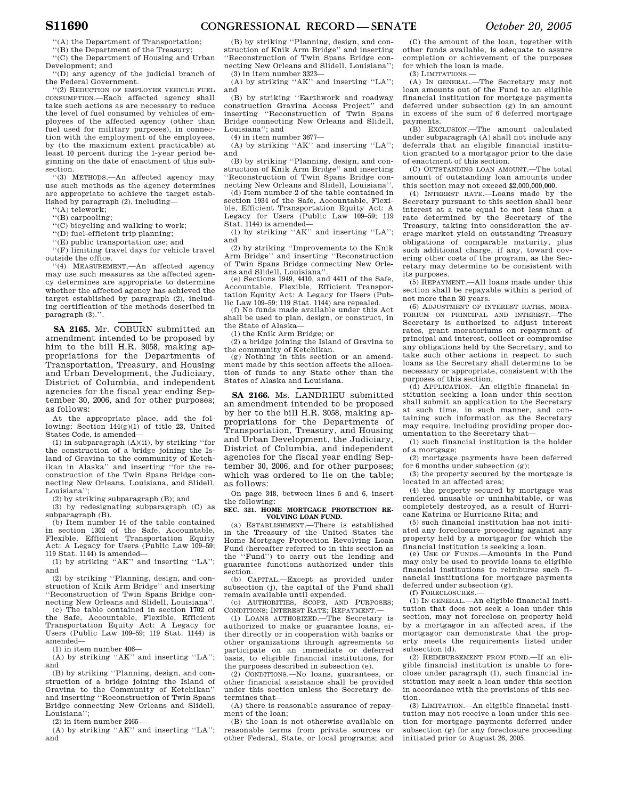''(A) the Department of Transportation;

''(B) the Department of the Treasury; ''(C) the Department of Housing and Urban

Development; and ''(D) any agency of the judicial branch of

the Federal Government.

''(2) REDUCTION OF EMPLOYEE VEHICLE FUEL CONSUMPTION.—Each affected agency shall take such actions as are necessary to reduce the level of fuel consumed by vehicles of employees of the affected agency (other than fuel used for military purposes), in connection with the employment of the employees, by (to the maximum extent practicable) at least 10 percent during the 1-year period beginning on the date of enactment of this subsection.

''(3) METHODS.—An affected agency may use such methods as the agency determines are appropriate to achieve the target established by paragraph (2), including—

''(A) telework;

''(B) carpooling;

''(C) bicycling and walking to work;

''(D) fuel-efficient trip planning;

''(E) public transportation use; and

''(F) limiting travel days for vehicle travel outside the office.

''(4) MEASUREMENT.—An affected agency may use such measures as the affected agency determines are appropriate to determine whether the affected agency has achieved the target established by paragraph (2), including certification of the methods described in paragraph (3).''.

**SA 2165.** Mr. COBURN submitted an amendment intended to be proposed by him to the bill H.R. 3058, making appropriations for the Departments of Transportation, Treasury, and Housing and Urban Development, the Judiciary, District of Columbia, and independent agencies for the fiscal year ending September 30, 2006, and for other purposes; as follows:

At the appropriate place, add the following: Section  $144(g)(1)$  of title 23, United States Code, is amended—

(1) in subparagraph (A)(ii), by striking ''for the construction of a bridge joining the Island of Gravina to the community of Ketchikan in Alaska'' and inserting ''for the reconstruction of the Twin Spans Bridge connecting New Orleans, Louisiana, and Slidell, Louisiana'';

(2) by striking subparagraph (B); and

(3) by redesignating subparagraph (C) as subparagraph (B).

(b) Item number 14 of the table contained in section 1302 of the Safe, Accountable, Flexible, Efficient Transportation Equity Act: A Legacy for Users (Public Law 109–59; 119 Stat. 1144) is amended—

(1) by striking ''AK'' and inserting ''LA''; and

(2) by striking ''Planning, design, and construction of Knik Arm Bridge'' and inserting ''Reconstruction of Twin Spans Bridge connecting New Orleans and Slidell, Louisiana'

(c) The table contained in section 1702 of the Safe, Accountable, Flexible, Efficient Transportation Equity Act: A Legacy for Users (Public Law 109–59; 119 Stat. 1144) is amended—

(1) in item number 406—

(A) by striking ''AK'' and inserting ''LA''; and

(B) by striking ''Planning, design, and construction of a bridge joining the Island of Gravina to the Community of Ketchikan'' and inserting ''Reconstruction of Twin Spans Bridge connecting New Orleans and Slidell, Louisiana'';

(2) in item number 2465—

(A) by striking ''AK'' and inserting ''LA''; and

(B) by striking ''Planning, design, and construction of Knik Arm Bridge'' and inserting ''Reconstruction of Twin Spans Bridge connecting New Orleans and Slidell, Louisiana'';

(3) in item number 3323— (A) by striking ''AK'' and inserting ''LA''; and

(B) by striking ''Earthwork and roadway construction Gravina Access Project'' and inserting ''Reconstruction of Twin Spans Bridge connecting New Orleans and Slidell, Louisiana''; and

(4) in item number 3677—

(A) by striking ''AK'' and inserting ''LA''; and

(B) by striking ''Planning, design, and construction of Knik Arm Bridge'' and inserting ''Reconstruction of Twin Spans Bridge connecting New Orleans and Slidell, Louisiana''.

(d) Item number 2 of the table contained in section 1934 of the Safe, Accountable, Flexible, Efficient Transportation Equity Act: A Legacy for Users (Public Law 109–59; 119 Stat. 1144) is amended—

(1) by striking "AK" and inserting "LA"; and

(2) by striking ''Improvements to the Knik Arm Bridge'' and inserting ''Reconstruction of Twin Spans Bridge connecting New Orleans and Slidell, Louisiana''.

(e) Sections 1949, 4410, and 4411 of the Safe, Accountable, Flexible, Efficient Transportation Equity Act: A Legacy for Users (Public Law 109–59; 119 Stat. 1144) are repealed.

(f) No funds made available under this Act shall be used to plan, design, or construct, in the State of Alaska—

(1) the Knik Arm Bridge; or

(2) a bridge joining the Island of Gravina to the community of Ketchikan.

(g) Nothing in this section or an amendment made by this section affects the allocation of funds to any State other than the States of Alaska and Louisiana.

**SA 2166.** Ms. LANDRIEU submitted an amendment intended to be proposed by her to the bill H.R. 3058, making appropriations for the Departments of Transportation, Treasury, and Housing and Urban Development, the Judiciary, District of Columbia, and independent agencies for the fiscal year ending September 30, 2006, and for other purposes; which was ordered to lie on the table; as follows:

On page 348, between lines 5 and 6, insert the following:

SEC. 321. HOME MORTGAGE PROTECTION RE-**VOLVING LOAN FUND.** 

(a) ESTABLISHMENT.—There is established in the Treasury of the United States the Home Mortgage Protection Revolving Loan Fund (hereafter referred to in this section as the ''Fund'') to carry out the lending and guarantee functions authorized under this section.

(b) CAPITAL.—Except as provided under subsection (j), the capital of the Fund shall remain available until expended.

(c) AUTHORITIES, SCOPE, AND PURPOSES; CONDITIONS; INTEREST RATE; REPAYMENT.—

(1) LOANS AUTHORIZED.—The Secretary is authorized to make or guarantee loans, either directly or in cooperation with banks or other organizations through agreements to participate on an immediate or deferred basis, to eligible financial institutions, for the purposes described in subsection (e).

(2) CONDITIONS.—No loans, guarantees, or other financial assistance shall be provided under this section unless the Secretary determines that—

(A) there is reasonable assurance of repayment of the loan;

(B) the loan is not otherwise available on reasonable terms from private sources or other Federal, State, or local programs; and

(C) the amount of the loan, together with other funds available, is adequate to assure completion or achievement of the purposes for which the loan is made.

(3) LIMITATIONS.—

(A) IN GENERAL.—The Secretary may not loan amounts out of the Fund to an eligible financial institution for mortgage payments deferred under subsection (g) in an amount in excess of the sum of 6 deferred mortgage payments.

(B) EXCLUSION.—The amount calculated under subparagraph (A) shall not include any deferrals that an eligible financial institution granted to a mortgagor prior to the date of enactment of this section.

(C) OUTSTANDING LOAN AMOUNT.—The total amount of outstanding loan amounts under this section may not exceed \$2,000,000,000.

(4) INTEREST RATE.—Loans made by the Secretary pursuant to this section shall bear interest at a rate equal to not less than a rate determined by the Secretary of the Treasury, taking into consideration the average market yield on outstanding Treasury obligations of comparable maturity, plus such additional charge, if any, toward covering other costs of the program, as the Secretary may determine to be consistent with its purposes.

(5) REPAYMENT.—All loans made under this section shall be repayable within a period of not more than 30 years.

(6) ADJUSTMENT OF INTEREST RATES, MORA-TORIUM ON PRINCIPAL AND INTEREST.—The Secretary is authorized to adjust interest rates, grant moratoriums on repayment of principal and interest, collect or compromise any obligations held by the Secretary, and to take such other actions in respect to such loans as the Secretary shall determine to be necessary or appropriate, consistent with the purposes of this section.

(d) APPLICATION.—An eligible financial institution seeking a loan under this section shall submit an application to the Secretary at such time, in such manner, and containing such information as the Secretary may require, including providing proper documentation to the Secretary that—

(1) such financial institution is the holder of a mortgage;

(2) mortgage payments have been deferred for 6 months under subsection (g);

(3) the property secured by the mortgage is located in an affected area;

(4) the property secured by mortgage was rendered unusable or uninhabitable, or was completely destroyed, as a result of Hurricane Katrina or Hurricane Rita; and

(5) such financial institution has not initiated any foreclosure proceeding against any property held by a mortgagor for which the financial institution is seeking a loan.

(e) USE OF FUNDS.—Amounts in the Fund may only be used to provide loans to eligible financial institutions to reimburse such financial institutions for mortgage payments deferred under subsection (g).

(f) FORECLOSURES.—

(1) IN GENERAL.—An eligible financial institution that does not seek a loan under this section, may not foreclose on property held by a mortgagor in an affected area, if the mortgagor can demonstrate that the property meets the requirements listed under subsection (d).

(2) REIMBURSEMENT FROM FUND.—If an eligible financial institution is unable to foreclose under paragraph (1), such financial institution may seek a loan under this section in accordance with the provisions of this section.

(3) LIMITATION.—An eligible financial institution may not receive a loan under this section for mortgage payments deferred under subsection (g) for any foreclosure proceeding initiated prior to August 26, 2005.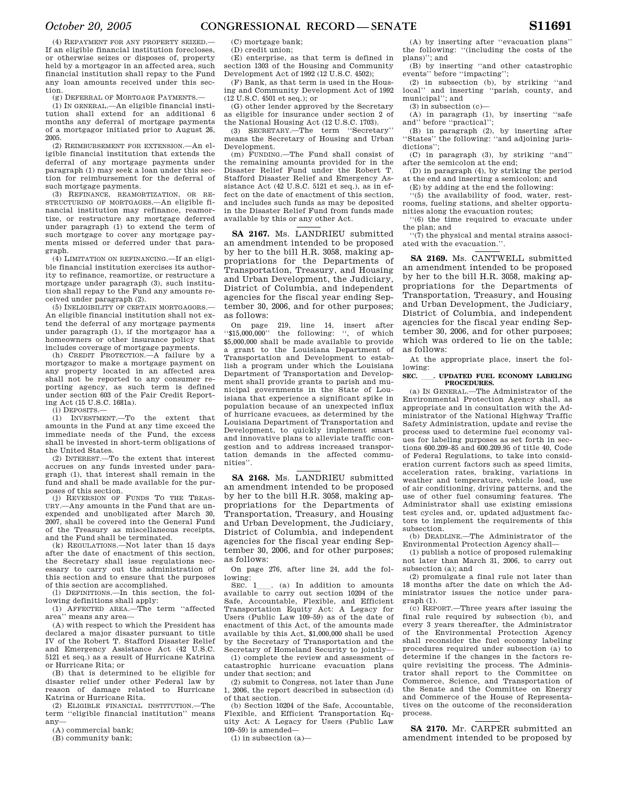(4) REPAYMENT FOR ANY PROPERTY SEIZED.— If an eligible financial institution forecloses, or otherwise seizes or disposes of, property held by a mortgagor in an affected area, such financial institution shall repay to the Fund any loan amounts received under this section.

(g) DEFERRAL OF MORTGAGE PAYMENTS.—

(1) IN GENERAL.—An eligible financial institution shall extend for an additional 6 months any deferral of mortgage payments of a mortgagor initiated prior to August 26, 2005.

(2) REIMBURSEMENT FOR EXTENSION.—An eligible financial institution that extends the deferral of any mortgage payments under paragraph (1) may seek a loan under this section for reimbursement for the deferral of such mortgage payments.

(3) REFINANCE, REAMORTIZATION, OR RE-STRUCTURING OF MORTGAGES.—An eligible financial institution may refinance, reamortize, or restructure any mortgage deferred under paragraph (1) to extend the term of such mortgage to cover any mortgage payments missed or deferred under that paragraph.

(4) LIMITATION ON REFINANCING.—If an eligible financial institution exercises its authority to refinance, reamortize, or restructure a mortgage under paragraph (3), such institution shall repay to the Fund any amounts received under paragraph (2).

(5) INELIGIBILITY OF CERTAIN MORTGAGORS.— An eligible financial institution shall not extend the deferral of any mortgage payments under paragraph (1), if the mortgagor has a homeowners or other insurance policy that includes coverage of mortgage payments.

(h) CREDIT PROTECTION.—A failure by a mortgagor to make a mortgage payment on any property located in an affected area shall not be reported to any consumer reporting agency, as such term is defined under section 603 of the Fair Credit Reporting Act (15 U.S.C. 1681a).

(i) DEPOSITS.—

(1) INVESTMENT.—To the extent that amounts in the Fund at any time exceed the immediate needs of the Fund, the excess shall be invested in short-term obligations of the United States.

(2) INTEREST.—To the extent that interest accrues on any funds invested under paragraph (1), that interest shall remain in the fund and shall be made available for the purposes of this section.

(j) REVERSION OF FUNDS TO THE TREAS-URY.—Any amounts in the Fund that are unexpended and unobligated after March 30, 2007, shall be covered into the General Fund of the Treasury as miscellaneous receipts, and the Fund shall be terminated.

(k) REGULATIONS.—Not later than 15 days after the date of enactment of this section, the Secretary shall issue regulations necessary to carry out the administration of this section and to ensure that the purposes of this section are accomplished.

(l) DEFINITIONS.—In this section, the following definitions shall apply:

(1) AFFECTED AREA.—The term ''affected area'' means any area—

(A) with respect to which the President has declared a major disaster pursuant to title IV of the Robert T. Stafford Disaster Relief and Emergency Assistance Act (42 U.S.C. 5121 et seq.) as a result of Hurricane Katrina or Hurricane Rita; or

(B) that is determined to be eligible for disaster relief under other Federal law by reason of damage related to Hurricane Katrina or Hurricane Rita.

(2) ELIGIBLE FINANCIAL INSTITUTION.—The term ''eligible financial institution'' means any—

(A) commercial bank;

(B) community bank;

(C) mortgage bank;

(D) credit union;

(E) enterprise, as that term is defined in section 1303 of the Housing and Community Development Act of 1992 (12 U.S.C. 4502);

(F) Bank, as that term is used in the Housing and Community Development Act of 1992 (12 U.S.C. 4501 et seq.); or

(G) other lender approved by the Secretary as eligible for insurance under section 2 of the National Housing Act (12 U.S.C. 1703).

(3) SECRETARY.—The term ''Secretary'' means the Secretary of Housing and Urban Development.

(m) FUNDING.—The Fund shall consist of the remaining amounts provided for in the Disaster Relief Fund under the Robert T. Stafford Disaster Relief and Emergency Assistance Act (42 U.S.C. 5121 et seq.), as in effect on the date of enactment of this section, and includes such funds as may be deposited in the Disaster Relief Fund from funds made available by this or any other Act.

**SA 2167.** Ms. LANDRIEU submitted an amendment intended to be proposed by her to the bill H.R. 3058, making appropriations for the Departments of Transportation, Treasury, and Housing and Urban Development, the Judiciary, District of Columbia, and independent agencies for the fiscal year ending September 30, 2006, and for other purposes; as follows:

On page 219, line 14, insert after ''\$15,000,000'' the following: '', of which \$5,000,000 shall be made available to provide a grant to the Louisiana Department of Transportation and Development to establish a program under which the Louisiana Department of Transportation and Development shall provide grants to parish and municipal governments in the State of Louisiana that experience a significant spike in population because of an unexpected influx of hurricane evacuees, as determined by the Louisiana Department of Transportation and Development, to quickly implement smart and innovative plans to alleviate traffic congestion and to address increased transportation demands in the affected communities''.

**SA 2168.** Ms. LANDRIEU submitted an amendment intended to be proposed by her to the bill H.R. 3058, making appropriations for the Departments of Transportation, Treasury, and Housing and Urban Development, the Judiciary, District of Columbia, and independent agencies for the fiscal year ending September 30, 2006, and for other purposes; as follows:

On page 276, after line 24, add the following:

SEC.  $1$  (a) In addition to amounts available to carry out section 10204 of the Safe, Accountable, Flexible, and Efficient Transportation Equity Act: A Legacy for Users (Public Law 109–59) as of the date of enactment of this Act, of the amounts made available by this Act, \$1,000,000 shall be used by the Secretary of Transportation and the Secretary of Homeland Security to jointly—

(1) complete the review and assessment of catastrophic hurricane evacuation plans under that section; and

(2) submit to Congress, not later than June 1, 2006, the report described in subsection (d) of that section.

(b) Section 10204 of the Safe, Accountable, Flexible, and Efficient Transportation Equity Act: A Legacy for Users (Public Law 109–59) is amended—

(1) in subsection (a)—

(A) by inserting after ''evacuation plans'' the following: ''(including the costs of the plans)''; and

(B) by inserting ''and other catastrophic events'' before ''impacting'';

(2) in subsection (b), by striking ''and local'' and inserting ''parish, county, and municipal''; and

(3) in subsection (c)—

(A) in paragraph (1), by inserting ''safe and'' before ''practical'';

(B) in paragraph (2), by inserting after<br>States'' the following: "and adjoining juristhe following: "and adjoining jurisdictions'';

(C) in paragraph (3), by striking ''and'' after the semicolon at the end;

(D) in paragraph (4), by striking the period at the end and inserting a semicolon; and

(E) by adding at the end the following:

 $(5)$  the availability of food, water, restrooms, fueling stations, and shelter opportunities along the evacuation routes;

''(6) the time required to evacuate under the plan; and

''(7) the physical and mental strains associated with the evacuation.''.

**SA 2169.** Ms. CANTWELL submitted an amendment intended to be proposed by her to the bill H.R. 3058, making appropriations for the Departments of Transportation, Treasury, and Housing and Urban Development, the Judiciary, District of Columbia, and independent agencies for the fiscal year ending September 30, 2006, and for other purposes; which was ordered to lie on the table; as follows:

At the appropriate place, insert the following:

#### **SEC.** ll**. UPDATED FUEL ECONOMY LABELING PROCEDURES.**

(a) IN GENERAL.—The Administrator of the Environmental Protection Agency shall, as appropriate and in consultation with the Administrator of the National Highway Traffic Safety Administration, update and revise the process used to determine fuel economy values for labeling purposes as set forth in sections 600.209–85 and 600.209.95 of title 40, Code of Federal Regulations, to take into consideration current factors such as speed limits, acceleration rates, braking, variations in weather and temperature, vehicle load, use of air conditioning, driving patterns, and the use of other fuel consuming features. The Administrator shall use existing emissions test cycles and, or, updated adjustment factors to implement the requirements of this subsection.

(b) DEADLINE.—The Administrator of the Environmental Protection Agency shall—

(1) publish a notice of proposed rulemaking not later than March 31, 2006, to carry out subsection (a); and

(2) promulgate a final rule not later than 18 months after the date on which the Administrator issues the notice under paragraph (1).

(c) REPORT.—Three years after issuing the final rule required by subsection (b), and every 3 years thereafter, the Administrator of the Environmental Protection Agency shall reconsider the fuel economy labeling procedures required under subsection (a) to determine if the changes in the factors require revisiting the process. The Administrator shall report to the Committee on Commerce, Science, and Transportation of the Senate and the Committee on Energy and Commerce of the House of Representatives on the outcome of the reconsideration process.

**SA 2170.** Mr. CARPER submitted an amendment intended to be proposed by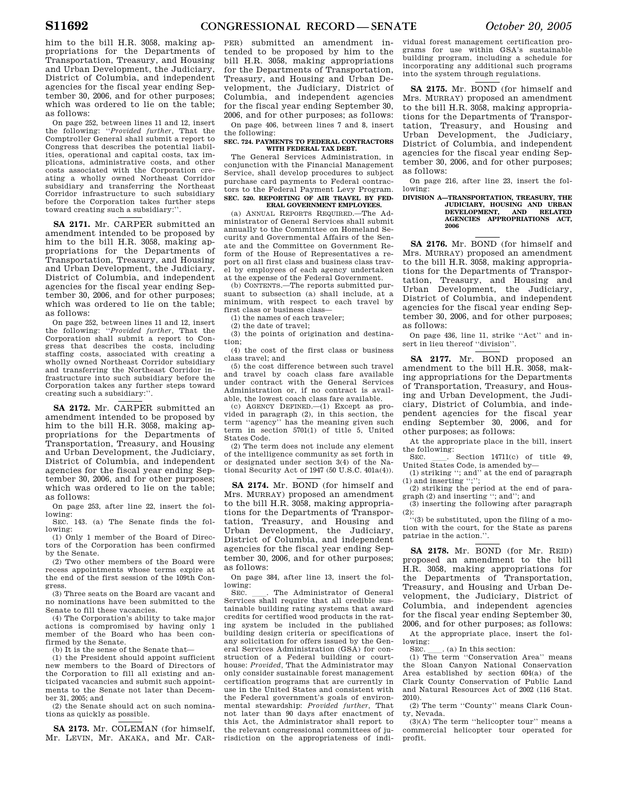him to the bill H.R. 3058, making appropriations for the Departments of Transportation, Treasury, and Housing and Urban Development, the Judiciary, District of Columbia, and independent agencies for the fiscal year ending September 30, 2006, and for other purposes; which was ordered to lie on the table; as follows:

On page 252, between lines 11 and 12, insert the following: ''*Provided further,* That the Comptroller General shall submit a report to Congress that describes the potential liabilities, operational and capital costs, tax implications, administrative costs, and other costs associated with the Corporation creating a wholly owned Northeast Corridor subsidiary and transferring the Northeast Corridor infrastructure to such subsidiary before the Corporation takes further steps toward creating such a subsidiary:''.

**SA 2171.** Mr. CARPER submitted an amendment intended to be proposed by him to the bill H.R. 3058, making appropriations for the Departments of Transportation, Treasury, and Housing and Urban Development, the Judiciary, District of Columbia, and independent agencies for the fiscal year ending September 30, 2006, and for other purposes; which was ordered to lie on the table; as follows:

On page 252, between lines 11 and 12, insert the following: ''*Provided further,* That the Corporation shall submit a report to Congress that describes the costs, including staffing costs, associated with creating a wholly owned Northeast Corridor subsidiary and transferring the Northeast Corridor infrastructure into such subsidiary before the Corporation takes any further steps toward creating such a subsidiary:''.

**SA 2172.** Mr. CARPER submitted an amendment intended to be proposed by him to the bill H.R. 3058, making appropriations for the Departments of Transportation, Treasury, and Housing and Urban Development, the Judiciary, District of Columbia, and independent agencies for the fiscal year ending September 30, 2006, and for other purposes; which was ordered to lie on the table; as follows:

On page 253, after line 22, insert the following:

SEC. 143. (a) The Senate finds the following:

(1) Only 1 member of the Board of Directors of the Corporation has been confirmed by the Senate.

(2) Two other members of the Board were recess appointments whose terms expire at the end of the first session of the 109th Congress.

(3) Three seats on the Board are vacant and no nominations have been submitted to the Senate to fill these vacancies.

(4) The Corporation's ability to take major actions is compromised by having only 1 member of the Board who has been confirmed by the Senate.

(b) It is the sense of the Senate that—

(1) the President should appoint sufficient new members to the Board of Directors of the Corporation to fill all existing and anticipated vacancies and submit such appointments to the Senate not later than December 31, 2005; and

(2) the Senate should act on such nominations as quickly as possible.

**SA 2173.** Mr. COLEMAN (for himself, Mr. LEVIN, Mr. AKAKA, and Mr. CAR-

PER) submitted an amendment intended to be proposed by him to the bill H.R. 3058, making appropriations for the Departments of Transportation, Treasury, and Housing and Urban Development, the Judiciary, District of Columbia, and independent agencies for the fiscal year ending September 30, 2006, and for other purposes; as follows:

On page 406, between lines 7 and 8, insert the following:

#### **SEC. 724. PAYMENTS TO FEDERAL CONTRACTORS WITH FEDERAL TAX DEBT.**

The General Services Administration, in conjunction with the Financial Management Service, shall develop procedures to subject purchase card payments to Federal contractors to the Federal Payment Levy Program. **SEC. 520. REPORTING OF AIR TRAVEL BY FED-ERAL GOVERNMENT EMPLOYEES.** 

(a) ANNUAL REPORTS REQUIRED.—The Ad-

ministrator of General Services shall submit annually to the Committee on Homeland Security and Governmental Affairs of the Senate and the Committee on Government Reform of the House of Representatives a report on all first class and business class travel by employees of each agency undertaken at the expense of the Federal Government.

(b) CONTENTS.—The reports submitted pursuant to subsection (a) shall include, at a minimum, with respect to each travel by first class or business class—

(1) the names of each traveler;

(2) the date of travel;

(3) the points of origination and destination;

(4) the cost of the first class or business class travel; and

(5) the cost difference between such travel and travel by coach class fare available under contract with the General Services Administration or, if no contract is available, the lowest coach class fare available.

(c) AGENCY DEFINED.—(1) Except as provided in paragraph (2), in this section, the term ''agency'' has the meaning given such term in section 5701(1) of title 5, United States Code.

(2) The term does not include any element of the intelligence community as set forth in or designated under section 3(4) of the National Security Act of 1947 (50 U.S.C. 401a(4)).

**SA 2174.** Mr. BOND (for himself and Mrs. MURRAY) proposed an amendment to the bill H.R. 3058, making appropriations for the Departments of Transportation, Treasury, and Housing and Urban Development, the Judiciary, District of Columbia, and independent agencies for the fiscal year ending September 30, 2006, and for other purposes; as follows:

On page 384, after line 13, insert the following:

SEC.  $\quad$  The Administrator of General Services shall require that all credible sustainable building rating systems that award credits for certified wood products in the rating system be included in the published building design criteria or specifications of any solicitation for offers issued by the General Services Administration (GSA) for construction of a Federal building or courthouse: *Provided,* That the Administrator may only consider sustainable forest management certification programs that are currently in use in the United States and consistent with the Federal government's goals of environmental stewardship: *Provided further,* That not later than 90 days after enactment of this Act, the Administrator shall report to the relevant congressional committees of jurisdiction on the appropriateness of individual forest management certification programs for use within GSA's sustainable building program, including a schedule for incorporating any additional such programs into the system through regulations.

**SA 2175.** Mr. BOND (for himself and Mrs. MURRAY) proposed an amendment to the bill H.R. 3058, making appropriations for the Departments of Transportation, Treasury, and Housing and Urban Development, the Judiciary, District of Columbia, and independent agencies for the fiscal year ending September 30, 2006, and for other purposes; as follows:

On page 216, after line 23, insert the following:

## **DIVISION A—TRANSPORTATION, TREASURY, THE JUDICIARY, HOUSING AND URBAN DEVELOPMENT, AND RELATED AGENCIES APPROPRIATIONS ACT, 2006**

**SA 2176.** Mr. BOND (for himself and Mrs. MURRAY) proposed an amendment to the bill H.R. 3058, making appropriations for the Departments of Transportation, Treasury, and Housing and Urban Development, the Judiciary, District of Columbia, and independent agencies for the fiscal year ending September 30, 2006, and for other purposes; as follows:

On page 436, line 11, strike ''Act'' and insert in lieu thereof ''division''.

**SA 2177.** Mr. BOND proposed an amendment to the bill H.R. 3058, making appropriations for the Departments of Transportation, Treasury, and Housing and Urban Development, the Judiciary, District of Columbia, and independent agencies for the fiscal year ending September 30, 2006, and for other purposes; as follows:

At the appropriate place in the bill, insert the following:<br>SEC. Section 14711(c) of title 49.

SEC. \_\_\_. Section 14711(c) of title 49, United States Code, is amended by—<br>(1) striking ''; and'' at the end of paragraph

(1) and inserting '';'';

(2) striking the period at the end of paragraph (2) and inserting ''; and''; and

 $(3)$  inserting the following after paragraph (2):

''(3) be substituted, upon the filing of a motion with the court, for the State as parens patriae in the action.''.

**SA 2178.** Mr. BOND (for Mr. REID) proposed an amendment to the bill H.R. 3058, making appropriations for the Departments of Transportation, Treasury, and Housing and Urban Development, the Judiciary, District of Columbia, and independent agencies for the fiscal year ending September 30, 2006, and for other purposes; as follows:

At the appropriate place, insert the following:<br>SEC.

SEC. \_\_\_. (a) In this section:<br>(1) The term "Conservation Area" means the Sloan Canyon National Conservation Area established by section 604(a) of the Clark County Conservation of Public Land and Natural Resources Act of 2002 (116 Stat. 2010).

(2) The term ''County'' means Clark County, Nevada.

(3)(A) The term ''helicopter tour'' means a commercial helicopter tour operated for profit.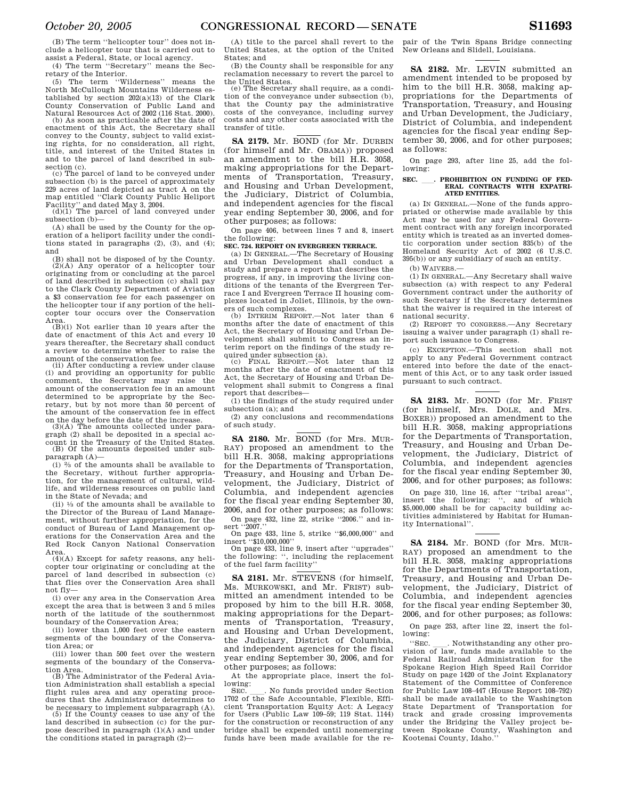(B) The term ''helicopter tour'' does not include a helicopter tour that is carried out to assist a Federal, State, or local agency.

(4) The term ''Secretary'' means the Secretary of the Interior.

(5) The term ''Wilderness'' means the North McCullough Mountains Wilderness established by section 202(a)(13) of the Clark County Conservation of Public Land and

Natural Resources Act of 2002 (116 Stat. 2000). (b) As soon as practicable after the date of enactment of this Act, the Secretary shall convey to the County, subject to valid existing rights, for no consideration, all right, title, and interest of the United States in and to the parcel of land described in subsection (c).

(c) The parcel of land to be conveyed under subsection (b) is the parcel of approximately 229 acres of land depicted as tract A on the map entitled ''Clark County Public Heliport

Facility'' and dated May 3, 2004. (d)(1) The parcel of land conveyed under subsection (b)—

(A) shall be used by the County for the operation of a heliport facility under the conditions stated in paragraphs (2), (3), and (4); and

(B) shall not be disposed of by the County. (2)(A) Any operator of a helicopter tour originating from or concluding at the parcel of land described in subsection (c) shall pay to the Clark County Department of Aviation a \$3 conservation fee for each passenger on the helicopter tour if any portion of the helicopter tour occurs over the Conservation Area.

 $(B)(i)$  Not earlier than 10 years after the date of enactment of this Act and every 10 years thereafter, the Secretary shall conduct a review to determine whether to raise the

amount of the conservation fee. (ii) After conducting a review under clause (i) and providing an opportunity for public comment, the Secretary may raise the amount of the conservation fee in an amount determined to be appropriate by the Secretary, but by not more than 50 percent of the amount of the conservation fee in effect on the day before the date of the increase. (3)(A) The amounts collected under para-

graph (2) shall be deposited in a special account in the Treasury of the United States. (B) Of the amounts deposited under subparagraph (A)—

 $(i)$   $\frac{2}{3}$  of the amounts shall be available to the Secretary, without further appropriation, for the management of cultural, wildlife, and wilderness resources on public land in the State of Nevada; and

 $(i)$   $\frac{1}{3}$  of the amounts shall be available to the Director of the Bureau of Land Management, without further appropriation, for the conduct of Bureau of Land Management operations for the Conservation Area and the Red Rock Canyon National Conservation Area.

 $(4)(A)$  Except for safety reasons, any helicopter tour originating or concluding at the parcel of land described in subsection (c) that flies over the Conservation Area shall not fly—

(i) over any area in the Conservation Area except the area that is between 3 and 5 miles north of the latitude of the southernmost boundary of the Conservation Area;

(ii) lower than 1,000 feet over the eastern segments of the boundary of the Conservation Area; or

(iii) lower than 500 feet over the western segments of the boundary of the Conservation Area. (B) The Administrator of the Federal Avia-

tion Administration shall establish a special flight rules area and any operating procedures that the Administrator determines to be necessary to implement subparagraph (A). (5) If the County ceases to use any of the

land described in subsection (c) for the purpose described in paragraph (1)(A) and under the conditions stated in paragraph (2)—

(A) title to the parcel shall revert to the United States, at the option of the United States; and

(B) the County shall be responsible for any reclamation necessary to revert the parcel to the United States.

(e) The Secretary shall require, as a condition of the conveyance under subsection (b), that the County pay the administrative costs of the conveyance, including survey costs and any other costs associated with the transfer of title.

**SA 2179.** Mr. BOND (for Mr. DURBIN (for himself and Mr. OBAMA)) proposed an amendment to the bill H.R. 3058, making appropriations for the Departments of Transportation, Treasury, and Housing and Urban Development, the Judiciary, District of Columbia, and independent agencies for the fiscal year ending September 30, 2006, and for other purposes; as follows:

On page 406, between lines 7 and 8, insert the following:

## **SEC. 724. REPORT ON EVERGREEN TERRACE.**

(a) IN GENERAL.—The Secretary of Housing and Urban Development shall conduct a study and prepare a report that describes the progress, if any, in improving the living conditions of the tenants of the Evergreen Terrace I and Evergreen Terrace II housing complexes located in Joliet, Illinois, by the owners of such complexes.

(b) INTERIM REPORT.—Not later than 6 months after the date of enactment of this Act, the Secretary of Housing and Urban Development shall submit to Congress an interim report on the findings of the study re-

quired under subsection (a). (c) FINAL REPORT.—Not later than 12 months after the date of enactment of this Act, the Secretary of Housing and Urban Development shall submit to Congress a final report that describes—

(1) the findings of the study required under subsection (a); and

(2) any conclusions and recommendations of such study.

**SA 2180.** Mr. BOND (for Mrs. MUR-RAY) proposed an amendment to the bill H.R. 3058, making appropriations for the Departments of Transportation, Treasury, and Housing and Urban Development, the Judiciary, District of Columbia, and independent agencies for the fiscal year ending September 30, 2006, and for other purposes; as follows:

On page 432, line 22, strike ''2006.'' and insert ''2007.''

on page 433, line 5, strike "\$6,000,000" and<br>insert "\$10,000,000"

insert ''\$10,000,000'' On page 433, line 9, insert after ''upgrades'' the following: '', including the replacement of the fuel farm facility''

**SA 2181.** Mr. STEVENS (for himself, Ms. MURKOWSKI, and Mr. FRIST) submitted an amendment intended to be proposed by him to the bill H.R. 3058, making appropriations for the Departments of Transportation, Treasury, and Housing and Urban Development, the Judiciary, District of Columbia, and independent agencies for the fiscal year ending September 30, 2006, and for other purposes; as follows:

At the appropriate place, insert the following:<br>SEC.

SEC. Let No funds provided under Section 1702 of the Safe Accountable, Flexible, Efficient Transportation Equity Act: A Legacy for Users (Public Law 109–59; 119 Stat. 1144) for the construction or reconstruction of any bridge shall be expended until nonemerging funds have been made available for the repair of the Twin Spans Bridge connecting New Orleans and Slidell, Louisiana.

**SA 2182.** Mr. LEVIN submitted an amendment intended to be proposed by him to the bill H.R. 3058, making appropriations for the Departments of Transportation, Treasury, and Housing and Urban Development, the Judiciary, District of Columbia, and independent agencies for the fiscal year ending September 30, 2006, and for other purposes; as follows:

On page 293, after line 25, add the following:

## SEC. **. PROHIBITION ON FUNDING OF FED-ERAL CONTRACTS WITH EXPATRI-ATED ENTITIES.**

(a) IN GENERAL.—None of the funds appropriated or otherwise made available by this Act may be used for any Federal Government contract with any foreign incorporated entity which is treated as an inverted domestic corporation under section 835(b) of the Homeland Security Act of 2002 (6 U.S.C. 395(b)) or any subsidiary of such an entity.

(b) WAIVERS.—

(1) IN GENERAL.—Any Secretary shall waive subsection (a) with respect to any Federal Government contract under the authority of such Secretary if the Secretary determines that the waiver is required in the interest of national security.

(2) REPORT TO CONGRESS.—Any Secretary issuing a waiver under paragraph (1) shall report such issuance to Congress.

(c) EXCEPTION.—This section shall not apply to any Federal Government contract entered into before the date of the enactment of this Act, or to any task order issued pursuant to such contract.

**SA 2183.** Mr. BOND (for Mr. FRIST (for himself, Mrs. DOLE, and Mrs. BOXER)) proposed an amendment to the bill H.R. 3058, making appropriations for the Departments of Transportation, Treasury, and Housing and Urban Development, the Judiciary, District of Columbia, and independent agencies for the fiscal year ending September 30, 2006, and for other purposes; as follows:

On page 310, line 16, after ''tribal areas'', insert the following: '', and of which \$5,000,000 shall be for capacity building activities administered by Habitat for Humanity International''.

**SA 2184.** Mr. BOND (for Mrs. MUR-RAY) proposed an amendment to the bill H.R. 3058, making appropriations for the Departments of Transportation, Treasury, and Housing and Urban Development, the Judiciary, District of Columbia, and independent agencies for the fiscal year ending September 30, 2006, and for other purposes; as follows:

On page 253, after line 22, insert the following:

''SEC. ll. Notwithstanding any other pro-vision of law, funds made available to the Federal Railroad Administration for the Spokane Region High Speed Rail Corridor Study on page 1420 of the Joint Explanatory Statement of the Committee of Conference for Public Law 108–447 (House Report 108–792) shall be made available to the Washington State Department of Transportation for<br>track and grade crossing improvements and grade crossing improvements under the Bridging the Valley project between Spokane County, Washington and Kootenai County, Idaho.''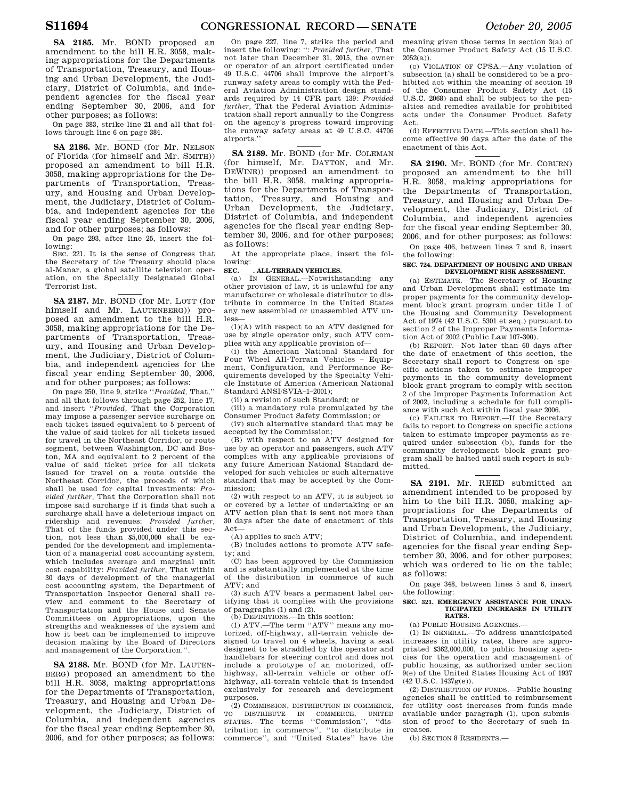**SA 2185.** Mr. BOND proposed an amendment to the bill H.R. 3058, making appropriations for the Departments of Transportation, Treasury, and Housing and Urban Development, the Judiciary, District of Columbia, and independent agencies for the fiscal year ending September 30, 2006, and for other purposes; as follows:

On page 383, strike line 21 and all that follows through line 6 on page 384.

**SA 2186.** Mr. BOND (for Mr. NELSON of Florida (for himself and Mr. SMITH)) proposed an amendment to bill H.R. 3058, making appropriations for the Departments of Transportation, Treasury, and Housing and Urban Development, the Judiciary, District of Columbia, and independent agencies for the fiscal year ending September 30, 2006, and for other purposes; as follows:

On page 293, after line 25, insert the following: SEC. 221. It is the sense of Congress that

the Secretary of the Treasury should place al-Manar, a global satellite television operation, on the Specially Designated Global Terrorist list.

**SA 2187.** Mr. BOND (for Mr. LOTT (for himself and Mr. LAUTENBERG)) proposed an amendment to the bill H.R. 3058, making appropriations for the Departments of Transportation, Treasury, and Housing and Urban Development, the Judiciary, District of Columbia, and independent agencies for the fiscal year ending September 30, 2006, and for other purposes; as follows:

On page 250, line 9, strike ''*Provided,* That,'' and all that follows through page 252, line 17, and insert ''*Provided,* That the Corporation may impose a passenger service surcharge on each ticket issued equivalent to 5 percent of the value of said ticket for all tickets issued for travel in the Northeast Corridor, or route segment, between Washington, DC and Boston, MA and equivalent to 2 percent of the value of said ticket price for all tickets issued for travel on a route outside the Northeast Corridor, the proceeds of which shall be used for capital investments: *Provided further,* That the Corporation shall not impose said surcharge if it finds that such a surcharge shall have a deleterious impact on ridership and revenues: *Provided further,*  That of the funds provided under this section, not less than \$5,000,000 shall be expended for the development and implementation of a managerial cost accounting system, which includes average and marginal unit cost capability: *Provided further,* That within 30 days of development of the managerial cost accounting system, the Department of Transportation Inspector General shall review and comment to the Secretary of Transportation and the House and Senate Committees on Appropriations, upon the strengths and weaknesses of the system and how it best can be implemented to improve decision making by the Board of Directors and management of the Corporation.''.

**SA 2188.** Mr. BOND (for Mr. LAUTEN-BERG) proposed an amendment to the bill H.R. 3058, making appropriations for the Departments of Transportation, Treasury, and Housing and Urban Development, the Judiciary, District of Columbia, and independent agencies for the fiscal year ending September 30, 2006, and for other purposes; as follows:

On page 227, line 7, strike the period and insert the following: '': *Provided further,* That not later than December 31, 2015, the owner or operator of an airport certificated under 49 U.S.C. 44706 shall improve the airport's runway safety areas to comply with the Federal Aviation Administration design standards required by 14 CFR part 139: *Provided further,* That the Federal Aviation Administration shall report annually to the Congress on the agency's progress toward improving the runway safety areas at 49 U.S.C. 44706 airports.''

**SA 2189.** Mr. BOND (for Mr. COLEMAN (for himself, Mr. DAYTON, and Mr. DEWINE)) proposed an amendment to the bill H.R. 3058, making appropriations for the Departments of Transportation, Treasury, and Housing and Urban Development, the Judiciary, District of Columbia, and independent agencies for the fiscal year ending September 30, 2006, and for other purposes; as follows:

At the appropriate place, insert the following:

# **SEC.** ALL-TERRAIN VEHICLES.<br>
(a) IN GENERAL.—Notwiths

IN GENERAL.—Notwithstanding any other provision of law, it is unlawful for any manufacturer or wholesale distributor to distribute in commerce in the United States any new assembled or unassembled ATV unless—

(1)(A) with respect to an ATV designed for use by single operator only, such ATV complies with any applicable provision of—

(i) the American National Standard for Four Wheel All-Terrain Vehicles – Equipment, Configuration, and Performance Requirements developed by the Specialty Vehicle Institute of America (American National Standard ANSI/SVIA–1–2001);

(ii) a revision of such Standard; or

(iii) a mandatory rule promulgated by the Consumer Product Safety Commission; or (iv) such alternative standard that may be

accepted by the Commission;

(B) with respect to an ATV designed for use by an operator and passengers, such ATV complies with any applicable provisions of any future American National Standard developed for such vehicles or such alternative standard that may be accepted by the Commission;

(2) with respect to an ATV, it is subject to or covered by a letter of undertaking or an ATV action plan that is sent not more than 30 days after the date of enactment of this Act—

(A) applies to such ATV;

(B) includes actions to promote ATV safety; and

(C) has been approved by the Commission and is substantially implemented at the time of the distribution in commerce of such ATV; and

(3) such ATV bears a permanent label certifying that it complies with the provisions of paragraphs (1) and (2).

(b) DEFINITIONS.—In this section:

(1) ATV.—The term ''ATV'' means any motorized, off-highway, all-terrain vehicle designed to travel on 4 wheels, having a seat designed to be straddled by the operator and handlebars for steering control and does not include a prototype of an motorized, offhighway, all-terrain vehicle or other offhighway, all-terrain vehicle that is intended exclusively for research and development purposes.

(2) COMMISSION, DISTRIBUTION IN COMMERCE, TO DISTRIBUTE IN COMMERCE, UNITED STATES.—The terms ''Commission'', ''distribution in commerce'', ''to distribute in commerce'', and ''United States'' have the meaning given those terms in section 3(a) of the Consumer Product Safety Act (15 U.S.C.  $2052(a)$ ).

(c) VIOLATION OF CPSA.—Any violation of subsection (a) shall be considered to be a prohibited act within the meaning of section 19 of the Consumer Product Safety Act (15 U.S.C. 2068) and shall be subject to the penalties and remedies available for prohibited acts under the Consumer Product Safety Act.

(d) EFFECTIVE DATE.—This section shall become effective 90 days after the date of the enactment of this Act.

**SA 2190.** Mr. BOND (for Mr. COBURN) proposed an amendment to the bill H.R. 3058, making appropriations for the Departments of Transportation, Treasury, and Housing and Urban Development, the Judiciary, District of Columbia, and independent agencies for the fiscal year ending September 30, 2006, and for other purposes; as follows:

On page 406, between lines 7 and 8, insert the following:

#### **SEC. 724. DEPARTMENT OF HOUSING AND URBAN DEVELOPMENT RISK ASSESSMENT.**

(a) ESTIMATE.—The Secretary of Housing and Urban Development shall estimate improper payments for the community development block grant program under title I of the Housing and Community Development Act of 1974 (42 U.S.C. 5301 et seq.) pursuant to section 2 of the Improper Payments Information Act of 2002 (Public Law 107-300).

(b) REPORT.—Not later than 60 days after the date of enactment of this section, the Secretary shall report to Congress on specific actions taken to estimate improper payments in the community development block grant program to comply with section 2 of the Improper Payments Information Act of 2002, including a schedule for full compliance with such Act within fiscal year 2006.

(c) FAILURE TO REPORT.—If the Secretary fails to report to Congress on specific actions taken to estimate improper payments as required under subsection (b), funds for the community development block grant program shall be halted until such report is submitted.

**SA 2191.** Mr. REED submitted an amendment intended to be proposed by him to the bill H.R. 3058, making appropriations for the Departments of Transportation, Treasury, and Housing and Urban Development, the Judiciary, District of Columbia, and independent agencies for the fiscal year ending September 30, 2006, and for other purposes; which was ordered to lie on the table; as follows:

On page 348, between lines 5 and 6, insert the following:

#### **SEC. 321. EMERGENCY ASSISTANCE FOR UNAN-TICIPATED INCREASES IN UTILITY RATES.**

(a) PUBLIC HOUSING AGENCIES.—

(1) IN GENERAL.—To address unanticipated increases in utility rates, there are appropriated \$362,000,000, to public housing agencies for the operation and management of public housing, as authorized under section 9(e) of the United States Housing Act of 1937 (42 U.S.C. 1437g(e)).

(2) DISTRIBUTION OF FUNDS.—Public housing agencies shall be entitled to reimbursement for utility cost increases from funds made available under paragraph (1), upon submission of proof to the Secretary of such increases.

(b) SECTION 8 RESIDENTS.—